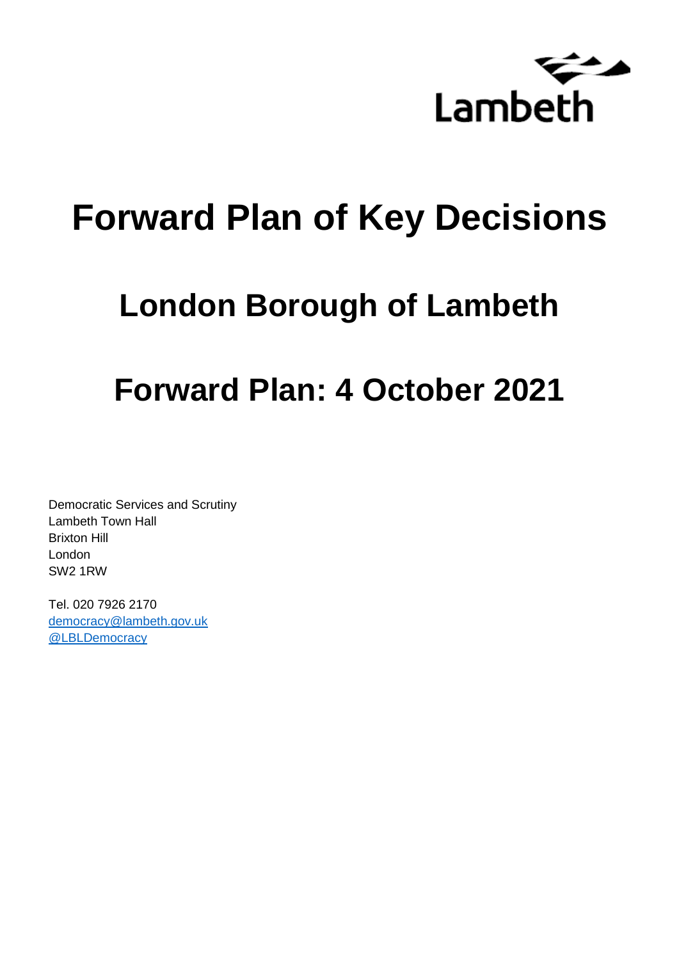

# **Forward Plan of Key Decisions**

# **London Borough of Lambeth**

# **Forward Plan: 4 October 2021**

Democratic Services and Scrutiny Lambeth Town Hall Brixton Hill London SW2 1RW

Tel. 020 7926 2170 [democracy@lambeth.gov.uk](mailto:democracy@lambeth.gov.uk) [@LBLDemocracy](https://twitter.com/LBLDemocracy?lang=en)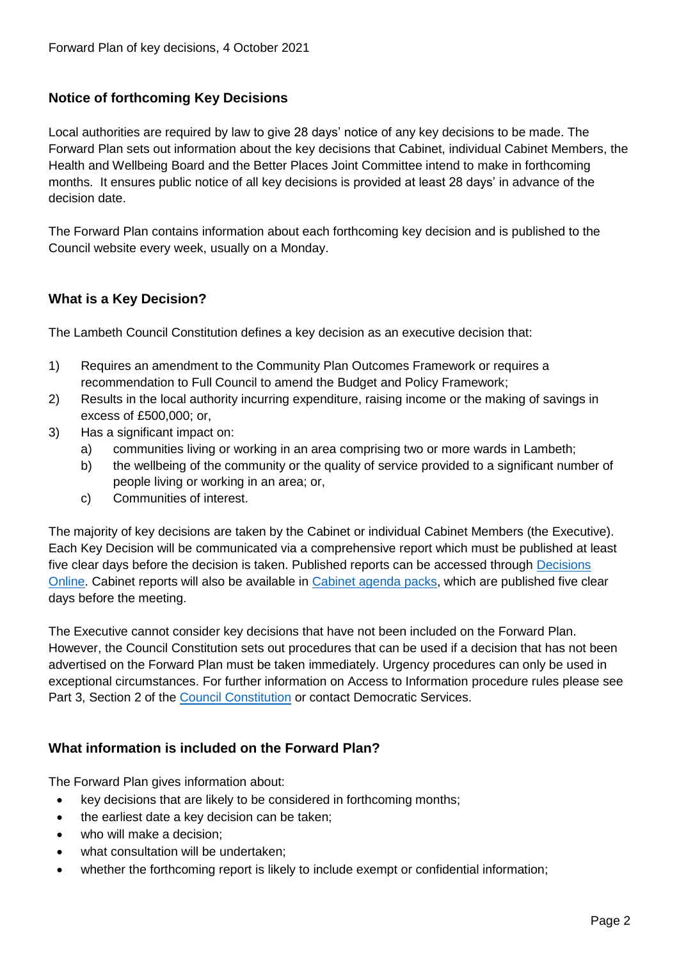# **Notice of forthcoming Key Decisions**

Local authorities are required by law to give 28 days' notice of any key decisions to be made. The Forward Plan sets out information about the key decisions that Cabinet, individual Cabinet Members, the Health and Wellbeing Board and the Better Places Joint Committee intend to make in forthcoming months. It ensures public notice of all key decisions is provided at least 28 days' in advance of the decision date.

The Forward Plan contains information about each forthcoming key decision and is published to the Council website every week, usually on a Monday.

# **What is a Key Decision?**

The Lambeth Council Constitution defines a key decision as an executive decision that:

- 1) Requires an amendment to the Community Plan Outcomes Framework or requires a recommendation to Full Council to amend the Budget and Policy Framework;
- 2) Results in the local authority incurring expenditure, raising income or the making of savings in excess of £500,000; or,
- 3) Has a significant impact on:
	- a) communities living or working in an area comprising two or more wards in Lambeth;
	- b) the wellbeing of the community or the quality of service provided to a significant number of people living or working in an area; or,
	- c) Communities of interest.

The majority of key decisions are taken by the Cabinet or individual Cabinet Members (the Executive). Each Key Decision will be communicated via a comprehensive report which must be published at least five clear days before the decision is taken. Published reports can be accessed through Decisions [Online.](http://moderngov.lambeth.gov.uk/mgDelegatedDecisions.aspx?bcr=1&DM=0&DS=2&K=0&DR=&V=0) Cabinet reports will also be available in [Cabinet agenda packs,](https://moderngov.lambeth.gov.uk/ieListMeetings.aspx?CommitteeId=225) which are published five clear days before the meeting.

The Executive cannot consider key decisions that have not been included on the Forward Plan. However, the Council Constitution sets out procedures that can be used if a decision that has not been advertised on the Forward Plan must be taken immediately. Urgency procedures can only be used in exceptional circumstances. For further information on Access to Information procedure rules please see Part 3, Section 2 of the [Council Constitution](http://moderngov.lambeth.gov.uk/ieListMeetings.aspx?CId=738&info=1&MD=Constitution) or contact Democratic Services.

# **What information is included on the Forward Plan?**

The Forward Plan gives information about:

- key decisions that are likely to be considered in forthcoming months;
- the earliest date a key decision can be taken;
- who will make a decision;
- what consultation will be undertaken;
- whether the forthcoming report is likely to include exempt or confidential information;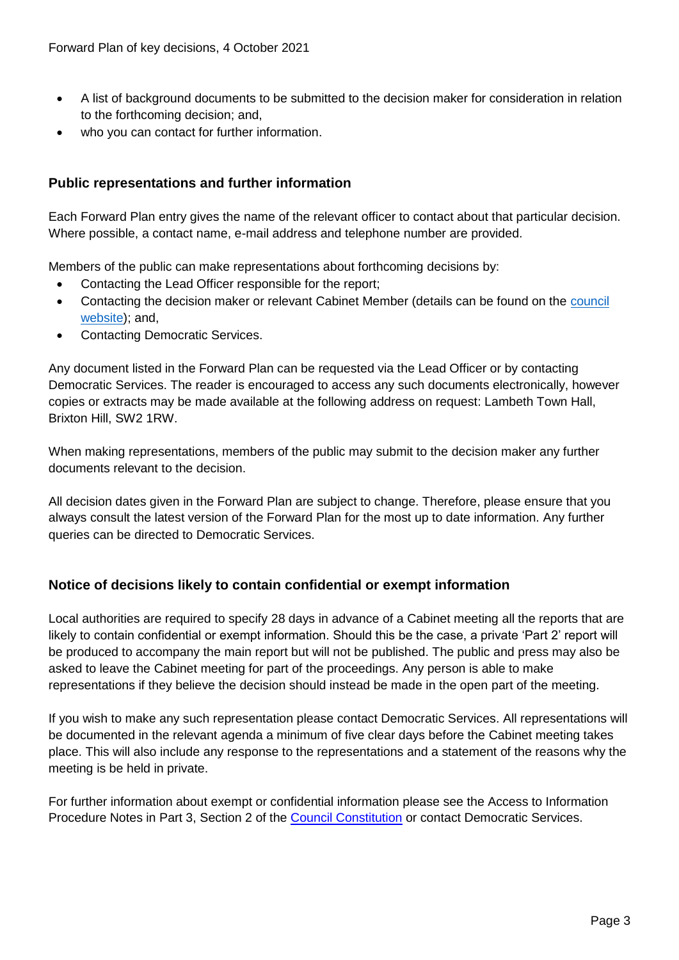- A list of background documents to be submitted to the decision maker for consideration in relation to the forthcoming decision; and,
- who you can contact for further information.

# **Public representations and further information**

Each Forward Plan entry gives the name of the relevant officer to contact about that particular decision. Where possible, a contact name, e-mail address and telephone number are provided.

Members of the public can make representations about forthcoming decisions by:

- Contacting the Lead Officer responsible for the report;
- Contacting the decision maker or relevant Cabinet Member (details can be found on the council [website\)](http://moderngov.lambeth.gov.uk/mgMemberIndex.aspx?bcr=1); and,
- Contacting Democratic Services.

Any document listed in the Forward Plan can be requested via the Lead Officer or by contacting Democratic Services. The reader is encouraged to access any such documents electronically, however copies or extracts may be made available at the following address on request: Lambeth Town Hall, Brixton Hill, SW2 1RW.

When making representations, members of the public may submit to the decision maker any further documents relevant to the decision.

All decision dates given in the Forward Plan are subject to change. Therefore, please ensure that you always consult the latest version of the Forward Plan for the most up to date information. Any further queries can be directed to Democratic Services.

# **Notice of decisions likely to contain confidential or exempt information**

Local authorities are required to specify 28 days in advance of a Cabinet meeting all the reports that are likely to contain confidential or exempt information. Should this be the case, a private 'Part 2' report will be produced to accompany the main report but will not be published. The public and press may also be asked to leave the Cabinet meeting for part of the proceedings. Any person is able to make representations if they believe the decision should instead be made in the open part of the meeting.

If you wish to make any such representation please contact Democratic Services. All representations will be documented in the relevant agenda a minimum of five clear days before the Cabinet meeting takes place. This will also include any response to the representations and a statement of the reasons why the meeting is be held in private.

For further information about exempt or confidential information please see the Access to Information Procedure Notes in Part 3, Section 2 of the [Council Constitution](http://moderngov.lambeth.gov.uk/ieListMeetings.aspx?CId=738&info=1&MD=Constitution) or contact Democratic Services.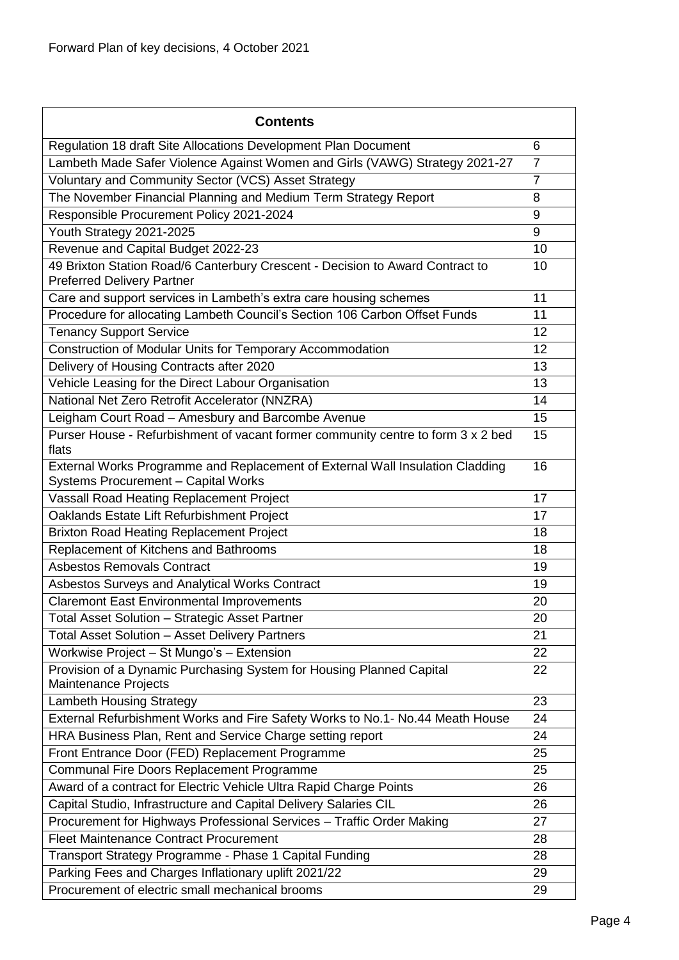| <b>Contents</b>                                                                                                      |                |
|----------------------------------------------------------------------------------------------------------------------|----------------|
| Regulation 18 draft Site Allocations Development Plan Document                                                       | 6              |
| Lambeth Made Safer Violence Against Women and Girls (VAWG) Strategy 2021-27                                          | $\overline{7}$ |
| Voluntary and Community Sector (VCS) Asset Strategy                                                                  | $\overline{7}$ |
| The November Financial Planning and Medium Term Strategy Report                                                      | 8              |
| Responsible Procurement Policy 2021-2024                                                                             | 9              |
| Youth Strategy 2021-2025                                                                                             | 9              |
| Revenue and Capital Budget 2022-23                                                                                   | 10             |
| 49 Brixton Station Road/6 Canterbury Crescent - Decision to Award Contract to<br><b>Preferred Delivery Partner</b>   | 10             |
| Care and support services in Lambeth's extra care housing schemes                                                    | 11             |
| Procedure for allocating Lambeth Council's Section 106 Carbon Offset Funds                                           | 11             |
| <b>Tenancy Support Service</b>                                                                                       | 12             |
| Construction of Modular Units for Temporary Accommodation                                                            | 12             |
| Delivery of Housing Contracts after 2020                                                                             | 13             |
| Vehicle Leasing for the Direct Labour Organisation                                                                   | 13             |
| National Net Zero Retrofit Accelerator (NNZRA)                                                                       | 14             |
| Leigham Court Road - Amesbury and Barcombe Avenue                                                                    | 15             |
| Purser House - Refurbishment of vacant former community centre to form 3 x 2 bed<br>flats                            | 15             |
| External Works Programme and Replacement of External Wall Insulation Cladding<br>Systems Procurement - Capital Works | 16             |
| Vassall Road Heating Replacement Project                                                                             | 17             |
| Oaklands Estate Lift Refurbishment Project                                                                           | 17             |
| <b>Brixton Road Heating Replacement Project</b>                                                                      | 18             |
| Replacement of Kitchens and Bathrooms                                                                                | 18             |
| <b>Asbestos Removals Contract</b>                                                                                    | 19             |
| Asbestos Surveys and Analytical Works Contract                                                                       | 19             |
| <b>Claremont East Environmental Improvements</b>                                                                     | 20             |
| Total Asset Solution - Strategic Asset Partner                                                                       | 20             |
| <b>Total Asset Solution - Asset Delivery Partners</b>                                                                | 21             |
| Workwise Project - St Mungo's - Extension                                                                            | 22             |
| Provision of a Dynamic Purchasing System for Housing Planned Capital<br>Maintenance Projects                         | 22             |
| <b>Lambeth Housing Strategy</b>                                                                                      | 23             |
| External Refurbishment Works and Fire Safety Works to No.1- No.44 Meath House                                        | 24             |
| HRA Business Plan, Rent and Service Charge setting report                                                            | 24             |
| Front Entrance Door (FED) Replacement Programme                                                                      | 25             |
| Communal Fire Doors Replacement Programme                                                                            | 25             |
| Award of a contract for Electric Vehicle Ultra Rapid Charge Points                                                   | 26             |
| Capital Studio, Infrastructure and Capital Delivery Salaries CIL                                                     | 26             |
| Procurement for Highways Professional Services - Traffic Order Making                                                | 27             |
| <b>Fleet Maintenance Contract Procurement</b>                                                                        | 28             |
| Transport Strategy Programme - Phase 1 Capital Funding                                                               | 28             |
| Parking Fees and Charges Inflationary uplift 2021/22                                                                 | 29             |
| Procurement of electric small mechanical brooms                                                                      | 29             |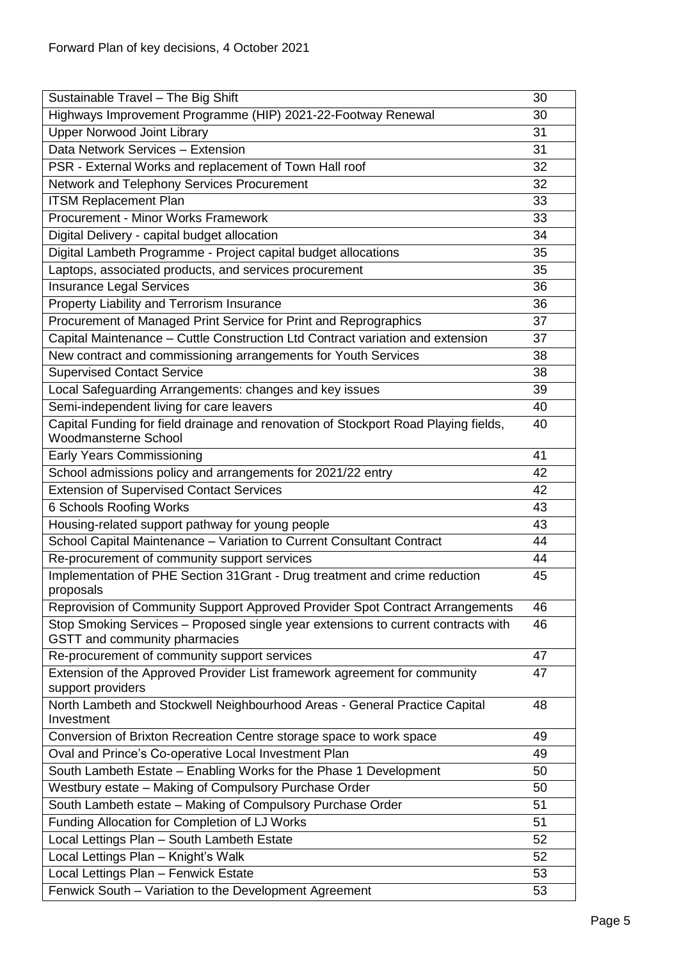| Sustainable Travel - The Big Shift                                                                                 | 30 |
|--------------------------------------------------------------------------------------------------------------------|----|
| Highways Improvement Programme (HIP) 2021-22-Footway Renewal                                                       | 30 |
| <b>Upper Norwood Joint Library</b>                                                                                 | 31 |
| Data Network Services - Extension                                                                                  | 31 |
| PSR - External Works and replacement of Town Hall roof                                                             | 32 |
| Network and Telephony Services Procurement                                                                         | 32 |
| <b>ITSM Replacement Plan</b>                                                                                       | 33 |
| Procurement - Minor Works Framework                                                                                | 33 |
| Digital Delivery - capital budget allocation                                                                       | 34 |
| Digital Lambeth Programme - Project capital budget allocations                                                     | 35 |
| Laptops, associated products, and services procurement                                                             | 35 |
| <b>Insurance Legal Services</b>                                                                                    | 36 |
| Property Liability and Terrorism Insurance                                                                         | 36 |
| Procurement of Managed Print Service for Print and Reprographics                                                   | 37 |
| Capital Maintenance - Cuttle Construction Ltd Contract variation and extension                                     | 37 |
| New contract and commissioning arrangements for Youth Services                                                     | 38 |
| <b>Supervised Contact Service</b>                                                                                  | 38 |
| Local Safeguarding Arrangements: changes and key issues                                                            | 39 |
| Semi-independent living for care leavers                                                                           | 40 |
| Capital Funding for field drainage and renovation of Stockport Road Playing fields,<br><b>Woodmansterne School</b> | 40 |
| <b>Early Years Commissioning</b>                                                                                   | 41 |
| School admissions policy and arrangements for 2021/22 entry                                                        | 42 |
| <b>Extension of Supervised Contact Services</b>                                                                    | 42 |
| 6 Schools Roofing Works                                                                                            | 43 |
| Housing-related support pathway for young people                                                                   | 43 |
| School Capital Maintenance - Variation to Current Consultant Contract                                              | 44 |
| Re-procurement of community support services                                                                       | 44 |
| Implementation of PHE Section 31 Grant - Drug treatment and crime reduction<br>proposals                           | 45 |
| Reprovision of Community Support Approved Provider Spot Contract Arrangements                                      | 46 |
| Stop Smoking Services - Proposed single year extensions to current contracts with<br>GSTT and community pharmacies | 46 |
| Re-procurement of community support services                                                                       | 47 |
| Extension of the Approved Provider List framework agreement for community<br>support providers                     | 47 |
| North Lambeth and Stockwell Neighbourhood Areas - General Practice Capital<br>Investment                           | 48 |
| Conversion of Brixton Recreation Centre storage space to work space                                                | 49 |
| Oval and Prince's Co-operative Local Investment Plan                                                               | 49 |
| South Lambeth Estate - Enabling Works for the Phase 1 Development                                                  | 50 |
| Westbury estate - Making of Compulsory Purchase Order                                                              | 50 |
| South Lambeth estate - Making of Compulsory Purchase Order                                                         | 51 |
| Funding Allocation for Completion of LJ Works                                                                      | 51 |
| Local Lettings Plan - South Lambeth Estate                                                                         | 52 |
| Local Lettings Plan - Knight's Walk                                                                                | 52 |
| Local Lettings Plan - Fenwick Estate                                                                               | 53 |
| Fenwick South - Variation to the Development Agreement                                                             | 53 |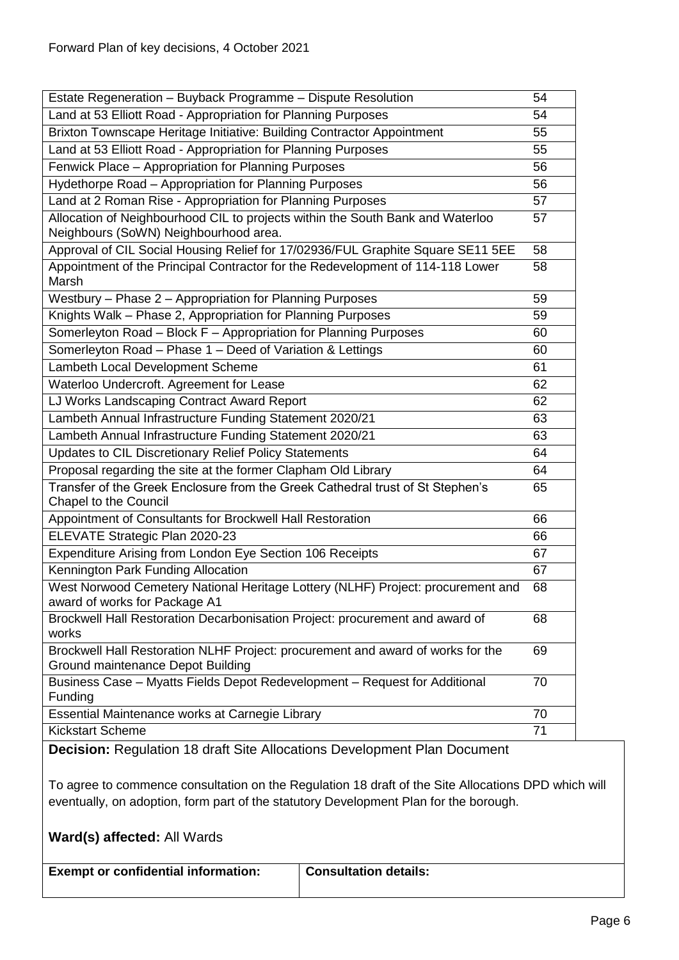| Estate Regeneration - Buyback Programme - Dispute Resolution                                                            | 54 |
|-------------------------------------------------------------------------------------------------------------------------|----|
| Land at 53 Elliott Road - Appropriation for Planning Purposes                                                           | 54 |
| Brixton Townscape Heritage Initiative: Building Contractor Appointment                                                  | 55 |
| Land at 53 Elliott Road - Appropriation for Planning Purposes                                                           | 55 |
| Fenwick Place - Appropriation for Planning Purposes                                                                     | 56 |
| Hydethorpe Road - Appropriation for Planning Purposes                                                                   | 56 |
| Land at 2 Roman Rise - Appropriation for Planning Purposes                                                              | 57 |
| Allocation of Neighbourhood CIL to projects within the South Bank and Waterloo<br>Neighbours (SoWN) Neighbourhood area. | 57 |
| Approval of CIL Social Housing Relief for 17/02936/FUL Graphite Square SE11 5EE                                         | 58 |
| Appointment of the Principal Contractor for the Redevelopment of 114-118 Lower<br>Marsh                                 | 58 |
| Westbury - Phase 2 - Appropriation for Planning Purposes                                                                | 59 |
| Knights Walk - Phase 2, Appropriation for Planning Purposes                                                             | 59 |
| Somerleyton Road - Block F - Appropriation for Planning Purposes                                                        | 60 |
| Somerleyton Road - Phase 1 - Deed of Variation & Lettings                                                               | 60 |
| Lambeth Local Development Scheme                                                                                        | 61 |
| Waterloo Undercroft. Agreement for Lease                                                                                | 62 |
| LJ Works Landscaping Contract Award Report                                                                              | 62 |
| Lambeth Annual Infrastructure Funding Statement 2020/21                                                                 | 63 |
| Lambeth Annual Infrastructure Funding Statement 2020/21                                                                 | 63 |
| Updates to CIL Discretionary Relief Policy Statements                                                                   | 64 |
| Proposal regarding the site at the former Clapham Old Library                                                           | 64 |
| Transfer of the Greek Enclosure from the Greek Cathedral trust of St Stephen's<br>Chapel to the Council                 | 65 |
| Appointment of Consultants for Brockwell Hall Restoration                                                               | 66 |
| ELEVATE Strategic Plan 2020-23                                                                                          | 66 |
| Expenditure Arising from London Eye Section 106 Receipts                                                                | 67 |
| Kennington Park Funding Allocation                                                                                      | 67 |
| West Norwood Cemetery National Heritage Lottery (NLHF) Project: procurement and<br>award of works for Package A1        | 68 |
| Brockwell Hall Restoration Decarbonisation Project: procurement and award of<br>works                                   | 68 |
| Brockwell Hall Restoration NLHF Project: procurement and award of works for the<br>Ground maintenance Depot Building    | 69 |
| Business Case - Myatts Fields Depot Redevelopment - Request for Additional<br>Funding                                   | 70 |
| Essential Maintenance works at Carnegie Library                                                                         | 70 |
| <b>Kickstart Scheme</b>                                                                                                 | 71 |

<span id="page-5-0"></span>**Decision:** Regulation 18 draft Site Allocations Development Plan Document

To agree to commence consultation on the Regulation 18 draft of the Site Allocations DPD which will eventually, on adoption, form part of the statutory Development Plan for the borough.

| <b>Exempt or confidential information:</b> | <b>Consultation details:</b> |
|--------------------------------------------|------------------------------|
|                                            |                              |
|                                            |                              |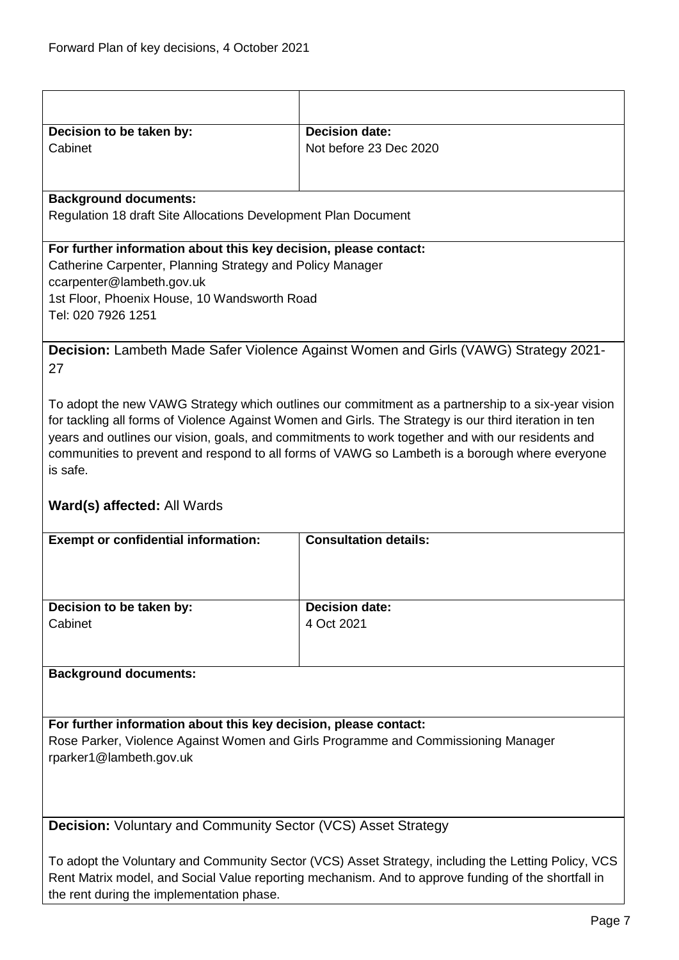<span id="page-6-0"></span>

| Decision to be taken by:                                                                            | <b>Decision date:</b>                                                                                  |  |
|-----------------------------------------------------------------------------------------------------|--------------------------------------------------------------------------------------------------------|--|
| Cabinet                                                                                             | Not before 23 Dec 2020                                                                                 |  |
|                                                                                                     |                                                                                                        |  |
|                                                                                                     |                                                                                                        |  |
| <b>Background documents:</b>                                                                        |                                                                                                        |  |
| Regulation 18 draft Site Allocations Development Plan Document                                      |                                                                                                        |  |
|                                                                                                     |                                                                                                        |  |
| For further information about this key decision, please contact:                                    |                                                                                                        |  |
| Catherine Carpenter, Planning Strategy and Policy Manager                                           |                                                                                                        |  |
| ccarpenter@lambeth.gov.uk                                                                           |                                                                                                        |  |
| 1st Floor, Phoenix House, 10 Wandsworth Road                                                        |                                                                                                        |  |
| Tel: 020 7926 1251                                                                                  |                                                                                                        |  |
|                                                                                                     |                                                                                                        |  |
|                                                                                                     | <b>Decision:</b> Lambeth Made Safer Violence Against Women and Girls (VAWG) Strategy 2021-             |  |
| 27                                                                                                  |                                                                                                        |  |
|                                                                                                     |                                                                                                        |  |
|                                                                                                     | To adopt the new VAWG Strategy which outlines our commitment as a partnership to a six-year vision     |  |
|                                                                                                     | for tackling all forms of Violence Against Women and Girls. The Strategy is our third iteration in ten |  |
|                                                                                                     | years and outlines our vision, goals, and commitments to work together and with our residents and      |  |
|                                                                                                     | communities to prevent and respond to all forms of VAWG so Lambeth is a borough where everyone         |  |
| is safe.                                                                                            |                                                                                                        |  |
|                                                                                                     |                                                                                                        |  |
| <b>Ward(s) affected: All Wards</b>                                                                  |                                                                                                        |  |
| <b>Exempt or confidential information:</b>                                                          | <b>Consultation details:</b>                                                                           |  |
|                                                                                                     |                                                                                                        |  |
|                                                                                                     |                                                                                                        |  |
|                                                                                                     |                                                                                                        |  |
| Decision to be taken by:                                                                            | <b>Decision date:</b>                                                                                  |  |
| Cabinet                                                                                             | 4 Oct 2021                                                                                             |  |
|                                                                                                     |                                                                                                        |  |
|                                                                                                     |                                                                                                        |  |
| <b>Background documents:</b>                                                                        |                                                                                                        |  |
|                                                                                                     |                                                                                                        |  |
|                                                                                                     |                                                                                                        |  |
| For further information about this key decision, please contact:                                    |                                                                                                        |  |
| Rose Parker, Violence Against Women and Girls Programme and Commissioning Manager                   |                                                                                                        |  |
| rparker1@lambeth.gov.uk                                                                             |                                                                                                        |  |
|                                                                                                     |                                                                                                        |  |
|                                                                                                     |                                                                                                        |  |
|                                                                                                     |                                                                                                        |  |
| <b>Decision:</b> Voluntary and Community Sector (VCS) Asset Strategy                                |                                                                                                        |  |
|                                                                                                     |                                                                                                        |  |
| To adopt the Voluntary and Community Sector (VCS) Asset Strategy, including the Letting Policy, VCS |                                                                                                        |  |

<span id="page-6-1"></span>Rent Matrix model, and Social Value reporting mechanism. And to approve funding of the shortfall in

the rent during the implementation phase.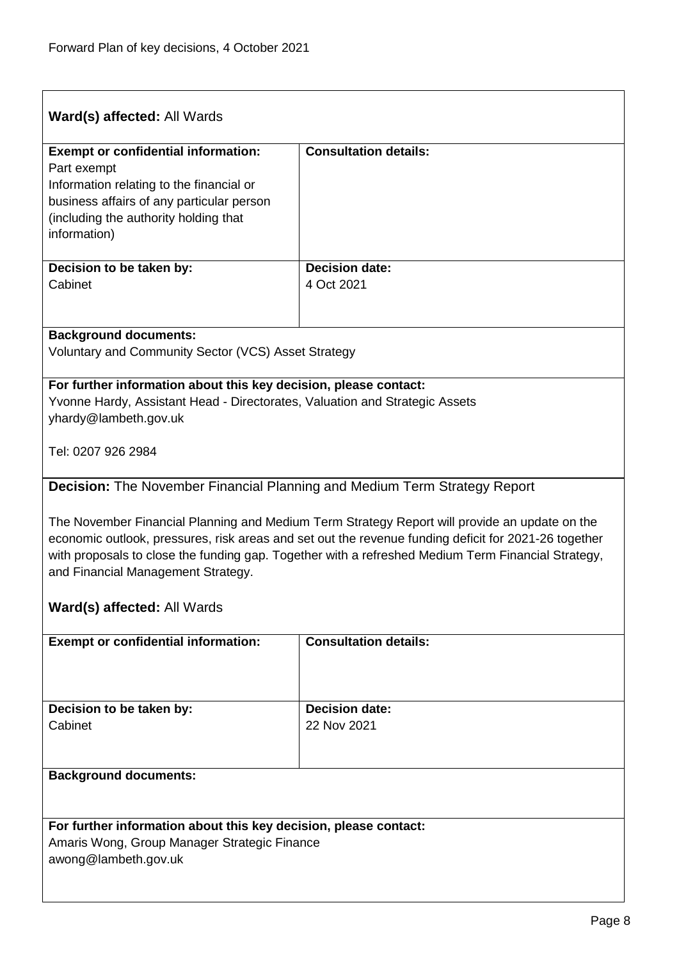<span id="page-7-0"></span>

| Ward(s) affected: All Wards                                                                                                                                                                                                                                                                                                                       |                                     |  |
|---------------------------------------------------------------------------------------------------------------------------------------------------------------------------------------------------------------------------------------------------------------------------------------------------------------------------------------------------|-------------------------------------|--|
| <b>Exempt or confidential information:</b><br>Part exempt<br>Information relating to the financial or<br>business affairs of any particular person<br>(including the authority holding that<br>information)                                                                                                                                       | <b>Consultation details:</b>        |  |
| Decision to be taken by:<br>Cabinet                                                                                                                                                                                                                                                                                                               | <b>Decision date:</b><br>4 Oct 2021 |  |
| <b>Background documents:</b><br>Voluntary and Community Sector (VCS) Asset Strategy                                                                                                                                                                                                                                                               |                                     |  |
| For further information about this key decision, please contact:<br>Yvonne Hardy, Assistant Head - Directorates, Valuation and Strategic Assets<br>yhardy@lambeth.gov.uk                                                                                                                                                                          |                                     |  |
| Tel: 0207 926 2984                                                                                                                                                                                                                                                                                                                                |                                     |  |
| Decision: The November Financial Planning and Medium Term Strategy Report                                                                                                                                                                                                                                                                         |                                     |  |
| The November Financial Planning and Medium Term Strategy Report will provide an update on the<br>economic outlook, pressures, risk areas and set out the revenue funding deficit for 2021-26 together<br>with proposals to close the funding gap. Together with a refreshed Medium Term Financial Strategy,<br>and Financial Management Strategy. |                                     |  |
| Ward(s) affected: All Wards                                                                                                                                                                                                                                                                                                                       |                                     |  |
| <b>Exempt or confidential information:</b>                                                                                                                                                                                                                                                                                                        | <b>Consultation details:</b>        |  |
| <b>Decision date:</b><br>Decision to be taken by:<br>Cabinet<br>22 Nov 2021                                                                                                                                                                                                                                                                       |                                     |  |
|                                                                                                                                                                                                                                                                                                                                                   |                                     |  |
| <b>Background documents:</b>                                                                                                                                                                                                                                                                                                                      |                                     |  |
| For further information about this key decision, please contact:<br>Amaris Wong, Group Manager Strategic Finance<br>awong@lambeth.gov.uk                                                                                                                                                                                                          |                                     |  |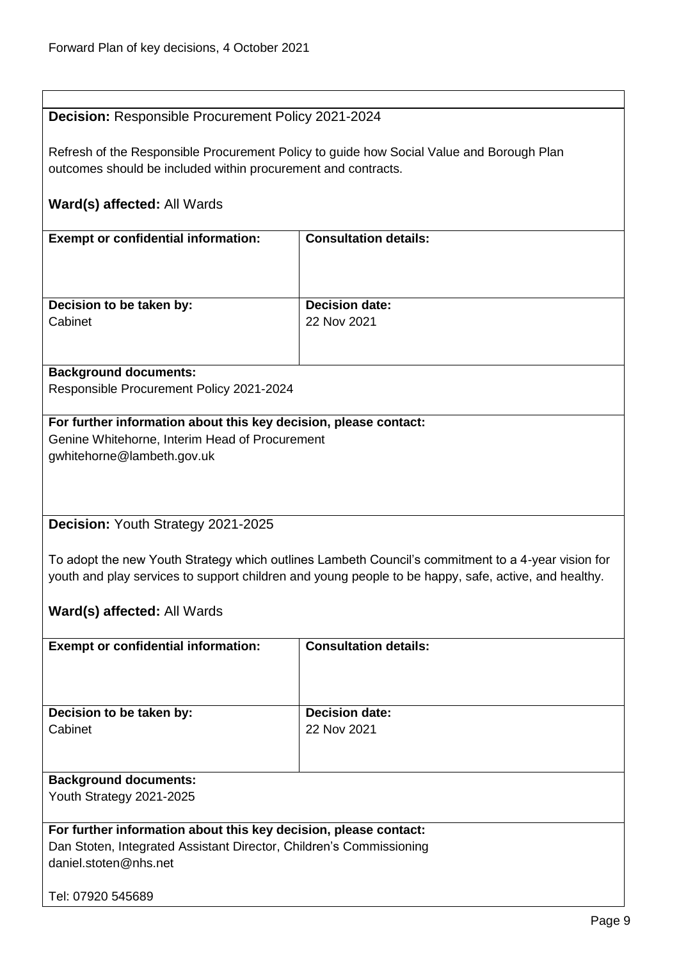<span id="page-8-1"></span><span id="page-8-0"></span>

| <b>Decision: Responsible Procurement Policy 2021-2024</b>           |                                                                                                      |  |  |
|---------------------------------------------------------------------|------------------------------------------------------------------------------------------------------|--|--|
|                                                                     |                                                                                                      |  |  |
|                                                                     | Refresh of the Responsible Procurement Policy to guide how Social Value and Borough Plan             |  |  |
| outcomes should be included within procurement and contracts.       |                                                                                                      |  |  |
|                                                                     |                                                                                                      |  |  |
| Ward(s) affected: All Wards                                         |                                                                                                      |  |  |
|                                                                     | <b>Consultation details:</b>                                                                         |  |  |
| <b>Exempt or confidential information:</b>                          |                                                                                                      |  |  |
|                                                                     |                                                                                                      |  |  |
|                                                                     |                                                                                                      |  |  |
| Decision to be taken by:                                            | <b>Decision date:</b>                                                                                |  |  |
| Cabinet                                                             | 22 Nov 2021                                                                                          |  |  |
|                                                                     |                                                                                                      |  |  |
|                                                                     |                                                                                                      |  |  |
| <b>Background documents:</b>                                        |                                                                                                      |  |  |
| Responsible Procurement Policy 2021-2024                            |                                                                                                      |  |  |
| For further information about this key decision, please contact:    |                                                                                                      |  |  |
| Genine Whitehorne, Interim Head of Procurement                      |                                                                                                      |  |  |
| gwhitehorne@lambeth.gov.uk                                          |                                                                                                      |  |  |
|                                                                     |                                                                                                      |  |  |
|                                                                     |                                                                                                      |  |  |
|                                                                     |                                                                                                      |  |  |
| Decision: Youth Strategy 2021-2025                                  |                                                                                                      |  |  |
|                                                                     |                                                                                                      |  |  |
|                                                                     | To adopt the new Youth Strategy which outlines Lambeth Council's commitment to a 4-year vision for   |  |  |
|                                                                     | youth and play services to support children and young people to be happy, safe, active, and healthy. |  |  |
|                                                                     |                                                                                                      |  |  |
| Ward(s) affected: All Wards                                         |                                                                                                      |  |  |
| <b>Exempt or confidential information:</b>                          | <b>Consultation details:</b>                                                                         |  |  |
|                                                                     |                                                                                                      |  |  |
|                                                                     |                                                                                                      |  |  |
|                                                                     |                                                                                                      |  |  |
| Decision to be taken by:                                            | <b>Decision date:</b>                                                                                |  |  |
| Cabinet                                                             | 22 Nov 2021                                                                                          |  |  |
|                                                                     |                                                                                                      |  |  |
|                                                                     |                                                                                                      |  |  |
| <b>Background documents:</b>                                        |                                                                                                      |  |  |
| Youth Strategy 2021-2025                                            |                                                                                                      |  |  |
| For further information about this key decision, please contact:    |                                                                                                      |  |  |
| Dan Stoten, Integrated Assistant Director, Children's Commissioning |                                                                                                      |  |  |
| daniel.stoten@nhs.net                                               |                                                                                                      |  |  |
|                                                                     |                                                                                                      |  |  |
| Tel: 07920 545689                                                   |                                                                                                      |  |  |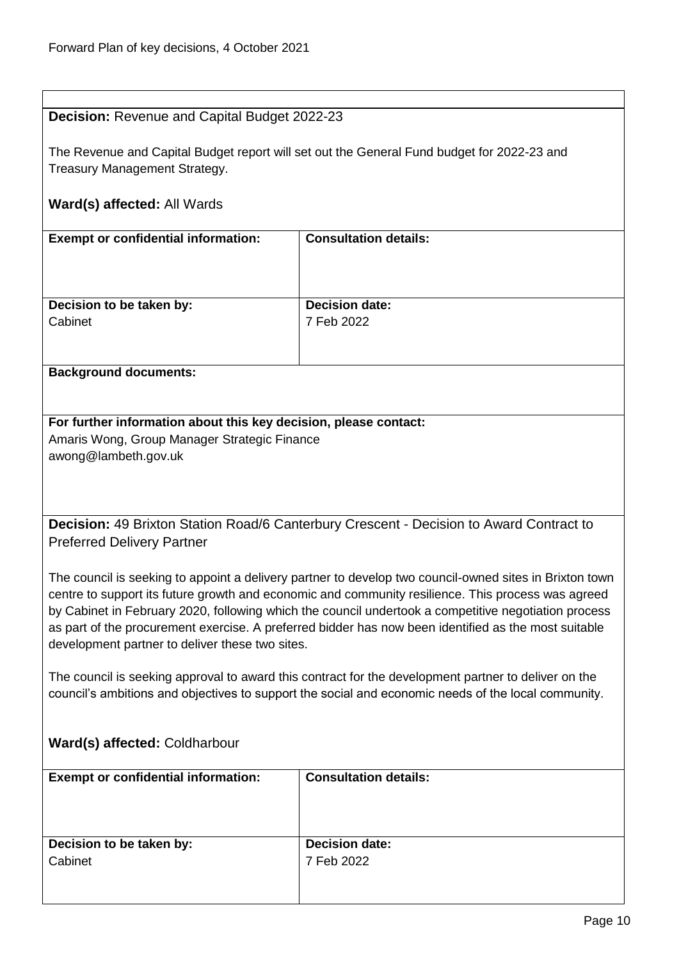<span id="page-9-0"></span>**Decision:** Revenue and Capital Budget 2022-23

| The Revenue and Capital Budget report will set out the General Fund budget for 2022-23 and<br>Treasury Management Strategy.                                                                                  |                                                                                                         |  |
|--------------------------------------------------------------------------------------------------------------------------------------------------------------------------------------------------------------|---------------------------------------------------------------------------------------------------------|--|
|                                                                                                                                                                                                              |                                                                                                         |  |
| Ward(s) affected: All Wards                                                                                                                                                                                  |                                                                                                         |  |
| <b>Exempt or confidential information:</b>                                                                                                                                                                   | <b>Consultation details:</b>                                                                            |  |
|                                                                                                                                                                                                              |                                                                                                         |  |
|                                                                                                                                                                                                              |                                                                                                         |  |
| Decision to be taken by:<br>Cabinet                                                                                                                                                                          | <b>Decision date:</b><br>7 Feb 2022                                                                     |  |
|                                                                                                                                                                                                              |                                                                                                         |  |
| <b>Background documents:</b>                                                                                                                                                                                 |                                                                                                         |  |
|                                                                                                                                                                                                              |                                                                                                         |  |
| For further information about this key decision, please contact:                                                                                                                                             |                                                                                                         |  |
| Amaris Wong, Group Manager Strategic Finance<br>awong@lambeth.gov.uk                                                                                                                                         |                                                                                                         |  |
|                                                                                                                                                                                                              |                                                                                                         |  |
|                                                                                                                                                                                                              |                                                                                                         |  |
| Decision: 49 Brixton Station Road/6 Canterbury Crescent - Decision to Award Contract to                                                                                                                      |                                                                                                         |  |
| <b>Preferred Delivery Partner</b>                                                                                                                                                                            |                                                                                                         |  |
|                                                                                                                                                                                                              | The council is seeking to appoint a delivery partner to develop two council-owned sites in Brixton town |  |
|                                                                                                                                                                                                              | centre to support its future growth and economic and community resilience. This process was agreed      |  |
| by Cabinet in February 2020, following which the council undertook a competitive negotiation process<br>as part of the procurement exercise. A preferred bidder has now been identified as the most suitable |                                                                                                         |  |
| development partner to deliver these two sites.                                                                                                                                                              |                                                                                                         |  |
| The council is seeking approval to award this contract for the development partner to deliver on the                                                                                                         |                                                                                                         |  |
| council's ambitions and objectives to support the social and economic needs of the local community.                                                                                                          |                                                                                                         |  |
|                                                                                                                                                                                                              |                                                                                                         |  |
| Ward(s) affected: Coldharbour                                                                                                                                                                                |                                                                                                         |  |

<span id="page-9-1"></span>

| <b>Exempt or confidential information:</b> | <b>Consultation details:</b> |
|--------------------------------------------|------------------------------|
|                                            |                              |
| Decision to be taken by:                   | <b>Decision date:</b>        |
| Cabinet                                    | 7 Feb 2022                   |
|                                            |                              |
|                                            |                              |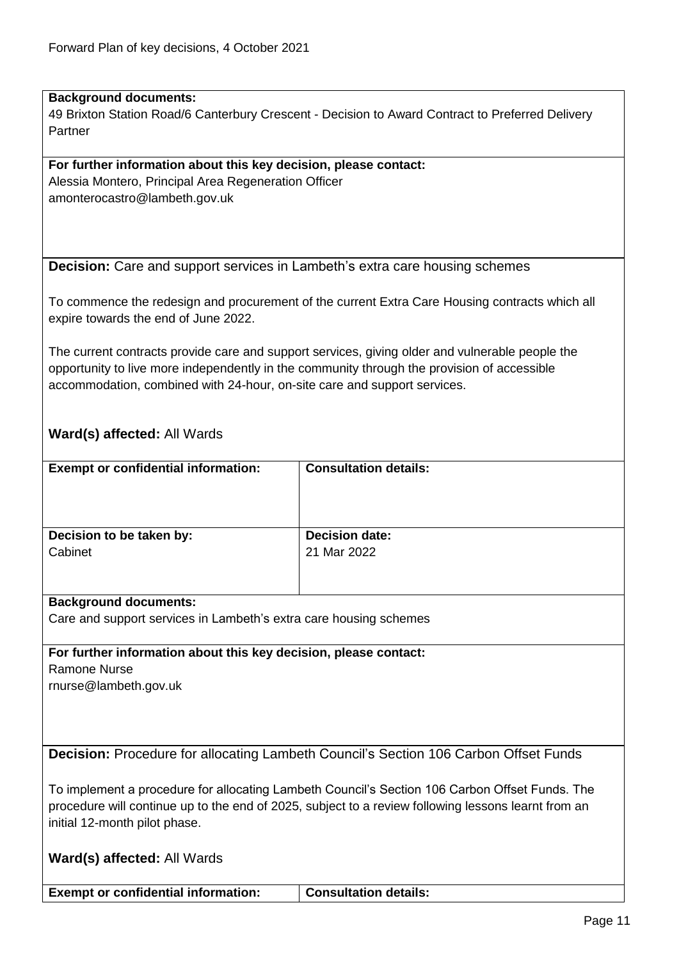#### **Background documents:**

49 Brixton Station Road/6 Canterbury Crescent - Decision to Award Contract to Preferred Delivery Partner

#### **For further information about this key decision, please contact:**

Alessia Montero, Principal Area Regeneration Officer amonterocastro@lambeth.gov.uk

#### <span id="page-10-0"></span>**Decision:** Care and support services in Lambeth's extra care housing schemes

To commence the redesign and procurement of the current Extra Care Housing contracts which all expire towards the end of June 2022.

The current contracts provide care and support services, giving older and vulnerable people the opportunity to live more independently in the community through the provision of accessible accommodation, combined with 24-hour, on-site care and support services.

# **Ward(s) affected:** All Wards

| <b>Exempt or confidential information:</b> | <b>Consultation details:</b> |
|--------------------------------------------|------------------------------|
| Decision to be taken by:                   | <b>Decision date:</b>        |
| Cabinet                                    | 21 Mar 2022                  |

#### **Background documents:**

Care and support services in Lambeth's extra care housing schemes

**For further information about this key decision, please contact:** Ramone Nurse rnurse@lambeth.gov.uk

<span id="page-10-1"></span>**Decision:** Procedure for allocating Lambeth Council's Section 106 Carbon Offset Funds

To implement a procedure for allocating Lambeth Council's Section 106 Carbon Offset Funds. The procedure will continue up to the end of 2025, subject to a review following lessons learnt from an initial 12-month pilot phase.

|  |  | Ward(s) affected: All Wards |
|--|--|-----------------------------|
|--|--|-----------------------------|

**Exempt or confidential information: Consultation details:**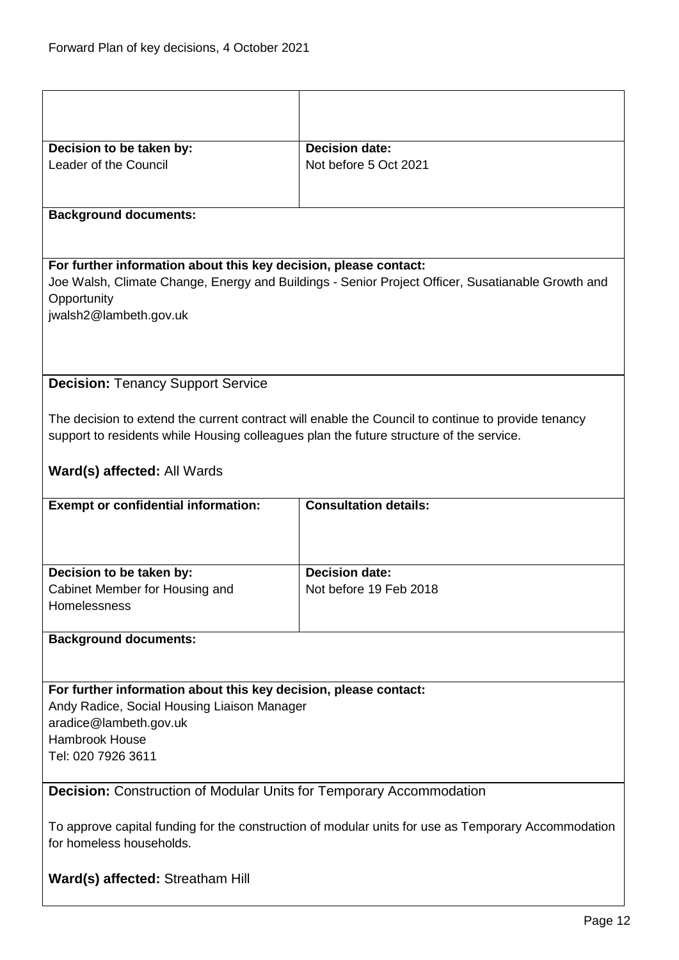<span id="page-11-1"></span><span id="page-11-0"></span>

| Decision to be taken by:                                                                                                        | <b>Decision date:</b>                                                                              |  |
|---------------------------------------------------------------------------------------------------------------------------------|----------------------------------------------------------------------------------------------------|--|
| Leader of the Council                                                                                                           | Not before 5 Oct 2021                                                                              |  |
|                                                                                                                                 |                                                                                                    |  |
| <b>Background documents:</b>                                                                                                    |                                                                                                    |  |
|                                                                                                                                 |                                                                                                    |  |
| For further information about this key decision, please contact:                                                                |                                                                                                    |  |
|                                                                                                                                 | Joe Walsh, Climate Change, Energy and Buildings - Senior Project Officer, Susatianable Growth and  |  |
| Opportunity<br>jwalsh2@lambeth.gov.uk                                                                                           |                                                                                                    |  |
|                                                                                                                                 |                                                                                                    |  |
|                                                                                                                                 |                                                                                                    |  |
|                                                                                                                                 |                                                                                                    |  |
| <b>Decision: Tenancy Support Service</b>                                                                                        |                                                                                                    |  |
|                                                                                                                                 | The decision to extend the current contract will enable the Council to continue to provide tenancy |  |
| support to residents while Housing colleagues plan the future structure of the service.                                         |                                                                                                    |  |
| Ward(s) affected: All Wards                                                                                                     |                                                                                                    |  |
|                                                                                                                                 |                                                                                                    |  |
| <b>Exempt or confidential information:</b>                                                                                      | <b>Consultation details:</b>                                                                       |  |
|                                                                                                                                 |                                                                                                    |  |
|                                                                                                                                 |                                                                                                    |  |
| Decision to be taken by:                                                                                                        | <b>Decision date:</b>                                                                              |  |
| Cabinet Member for Housing and<br>Homelessness                                                                                  | Not before 19 Feb 2018                                                                             |  |
|                                                                                                                                 |                                                                                                    |  |
| <b>Background documents:</b>                                                                                                    |                                                                                                    |  |
|                                                                                                                                 |                                                                                                    |  |
| For further information about this key decision, please contact:                                                                |                                                                                                    |  |
| Andy Radice, Social Housing Liaison Manager                                                                                     |                                                                                                    |  |
| aradice@lambeth.gov.uk                                                                                                          |                                                                                                    |  |
| <b>Hambrook House</b>                                                                                                           |                                                                                                    |  |
| Tel: 020 7926 3611                                                                                                              |                                                                                                    |  |
| <b>Decision:</b> Construction of Modular Units for Temporary Accommodation                                                      |                                                                                                    |  |
|                                                                                                                                 |                                                                                                    |  |
| To approve capital funding for the construction of modular units for use as Temporary Accommodation<br>for homeless households. |                                                                                                    |  |
|                                                                                                                                 |                                                                                                    |  |
| Ward(s) affected: Streatham Hill                                                                                                |                                                                                                    |  |
|                                                                                                                                 |                                                                                                    |  |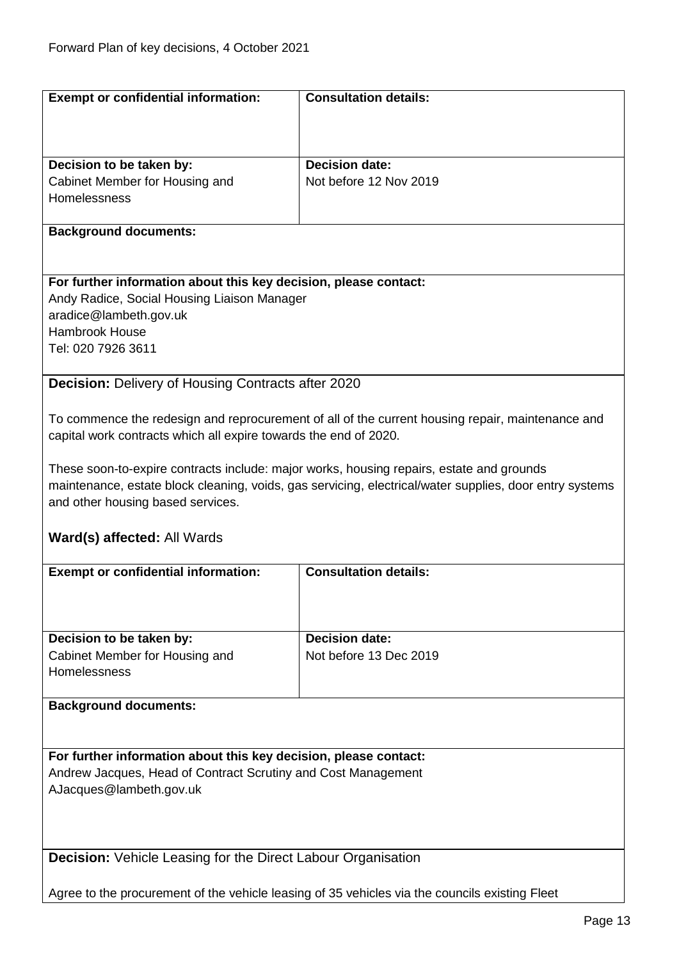<span id="page-12-1"></span><span id="page-12-0"></span>

| <b>Exempt or confidential information:</b>                                                     | <b>Consultation details:</b>                                                                            |  |
|------------------------------------------------------------------------------------------------|---------------------------------------------------------------------------------------------------------|--|
|                                                                                                |                                                                                                         |  |
|                                                                                                |                                                                                                         |  |
| Decision to be taken by:                                                                       | <b>Decision date:</b>                                                                                   |  |
| Cabinet Member for Housing and                                                                 | Not before 12 Nov 2019                                                                                  |  |
| Homelessness                                                                                   |                                                                                                         |  |
|                                                                                                |                                                                                                         |  |
| <b>Background documents:</b>                                                                   |                                                                                                         |  |
|                                                                                                |                                                                                                         |  |
| For further information about this key decision, please contact:                               |                                                                                                         |  |
| Andy Radice, Social Housing Liaison Manager                                                    |                                                                                                         |  |
| aradice@lambeth.gov.uk                                                                         |                                                                                                         |  |
| <b>Hambrook House</b>                                                                          |                                                                                                         |  |
| Tel: 020 7926 3611                                                                             |                                                                                                         |  |
| <b>Decision:</b> Delivery of Housing Contracts after 2020                                      |                                                                                                         |  |
|                                                                                                |                                                                                                         |  |
|                                                                                                | To commence the redesign and reprocurement of all of the current housing repair, maintenance and        |  |
| capital work contracts which all expire towards the end of 2020.                               |                                                                                                         |  |
|                                                                                                |                                                                                                         |  |
| These soon-to-expire contracts include: major works, housing repairs, estate and grounds       |                                                                                                         |  |
|                                                                                                | maintenance, estate block cleaning, voids, gas servicing, electrical/water supplies, door entry systems |  |
| and other housing based services.                                                              |                                                                                                         |  |
| Ward(s) affected: All Wards                                                                    |                                                                                                         |  |
|                                                                                                |                                                                                                         |  |
| <b>Exempt or confidential information:</b>                                                     | <b>Consultation details:</b>                                                                            |  |
|                                                                                                |                                                                                                         |  |
|                                                                                                |                                                                                                         |  |
| Decision to be taken by:                                                                       | <b>Decision date:</b>                                                                                   |  |
| Cabinet Member for Housing and                                                                 | Not before 13 Dec 2019                                                                                  |  |
| Homelessness                                                                                   |                                                                                                         |  |
|                                                                                                |                                                                                                         |  |
| <b>Background documents:</b>                                                                   |                                                                                                         |  |
|                                                                                                |                                                                                                         |  |
| For further information about this key decision, please contact:                               |                                                                                                         |  |
| Andrew Jacques, Head of Contract Scrutiny and Cost Management                                  |                                                                                                         |  |
| AJacques@lambeth.gov.uk                                                                        |                                                                                                         |  |
|                                                                                                |                                                                                                         |  |
|                                                                                                |                                                                                                         |  |
|                                                                                                |                                                                                                         |  |
| <b>Decision:</b> Vehicle Leasing for the Direct Labour Organisation                            |                                                                                                         |  |
| Agree to the procurement of the vehicle leasing of 35 vehicles via the councils existing Fleet |                                                                                                         |  |
|                                                                                                |                                                                                                         |  |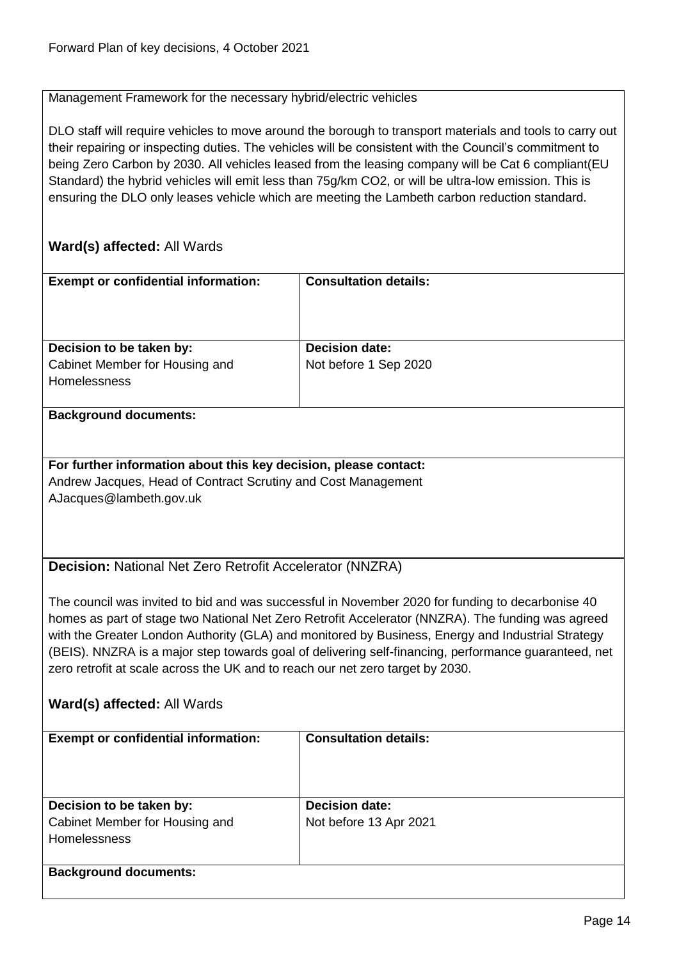#### Management Framework for the necessary hybrid/electric vehicles

DLO staff will require vehicles to move around the borough to transport materials and tools to carry out their repairing or inspecting duties. The vehicles will be consistent with the Council's commitment to being Zero Carbon by 2030. All vehicles leased from the leasing company will be Cat 6 compliant(EU Standard) the hybrid vehicles will emit less than 75g/km CO2, or will be ultra-low emission. This is ensuring the DLO only leases vehicle which are meeting the Lambeth carbon reduction standard.

<span id="page-13-0"></span>

| <b>Exempt or confidential information:</b>                                                                                                                                                                | <b>Consultation details:</b>                                                                      |  |
|-----------------------------------------------------------------------------------------------------------------------------------------------------------------------------------------------------------|---------------------------------------------------------------------------------------------------|--|
|                                                                                                                                                                                                           |                                                                                                   |  |
|                                                                                                                                                                                                           |                                                                                                   |  |
| Decision to be taken by:                                                                                                                                                                                  | <b>Decision date:</b>                                                                             |  |
| Cabinet Member for Housing and                                                                                                                                                                            | Not before 1 Sep 2020                                                                             |  |
| Homelessness                                                                                                                                                                                              |                                                                                                   |  |
| <b>Background documents:</b>                                                                                                                                                                              |                                                                                                   |  |
|                                                                                                                                                                                                           |                                                                                                   |  |
| For further information about this key decision, please contact:                                                                                                                                          |                                                                                                   |  |
| Andrew Jacques, Head of Contract Scrutiny and Cost Management                                                                                                                                             |                                                                                                   |  |
| AJacques@lambeth.gov.uk                                                                                                                                                                                   |                                                                                                   |  |
|                                                                                                                                                                                                           |                                                                                                   |  |
|                                                                                                                                                                                                           |                                                                                                   |  |
| Decision: National Net Zero Retrofit Accelerator (NNZRA)                                                                                                                                                  |                                                                                                   |  |
|                                                                                                                                                                                                           |                                                                                                   |  |
|                                                                                                                                                                                                           | The council was invited to bid and was successful in November 2020 for funding to decarbonise 40  |  |
|                                                                                                                                                                                                           | homes as part of stage two National Net Zero Retrofit Accelerator (NNZRA). The funding was agreed |  |
| with the Greater London Authority (GLA) and monitored by Business, Energy and Industrial Strategy<br>(BEIS). NNZRA is a major step towards goal of delivering self-financing, performance guaranteed, net |                                                                                                   |  |
| zero retrofit at scale across the UK and to reach our net zero target by 2030.                                                                                                                            |                                                                                                   |  |
|                                                                                                                                                                                                           |                                                                                                   |  |
| Ward(s) affected: All Wards                                                                                                                                                                               |                                                                                                   |  |
| <b>Exempt or confidential information:</b>                                                                                                                                                                | <b>Consultation details:</b>                                                                      |  |
|                                                                                                                                                                                                           |                                                                                                   |  |
|                                                                                                                                                                                                           |                                                                                                   |  |
|                                                                                                                                                                                                           |                                                                                                   |  |
| Decision to be taken by:                                                                                                                                                                                  | <b>Decision date:</b>                                                                             |  |
| Cabinet Member for Housing and<br>Homelessness                                                                                                                                                            | Not before 13 Apr 2021                                                                            |  |
|                                                                                                                                                                                                           |                                                                                                   |  |
| <b>Background documents:</b>                                                                                                                                                                              |                                                                                                   |  |
|                                                                                                                                                                                                           |                                                                                                   |  |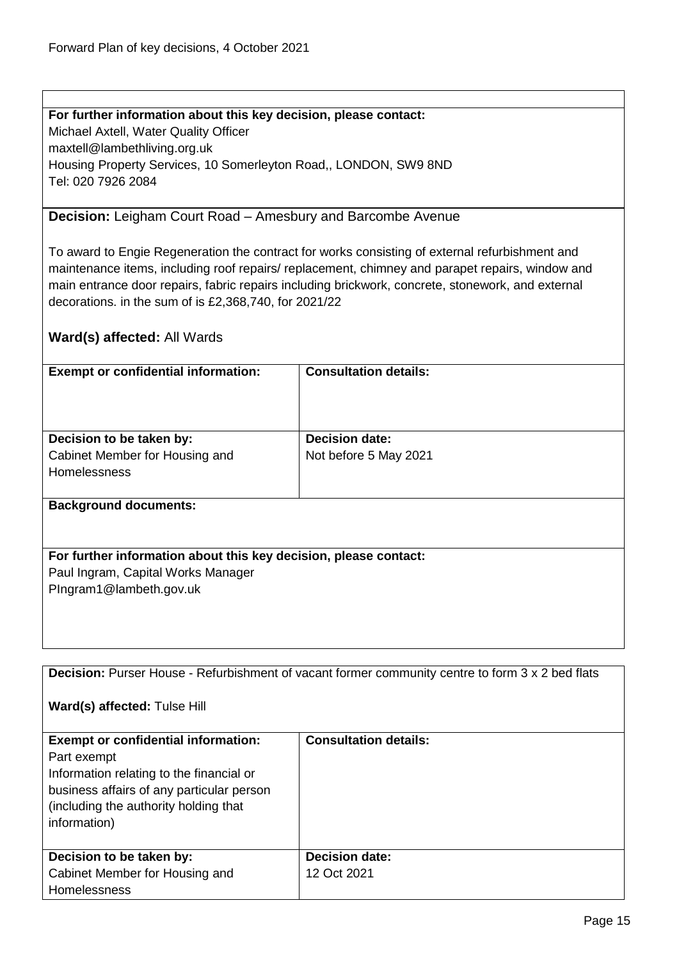### **For further information about this key decision, please contact:**

Michael Axtell, Water Quality Officer maxtell@lambethliving.org.uk Housing Property Services, 10 Somerleyton Road,, LONDON, SW9 8ND Tel: 020 7926 2084

#### <span id="page-14-0"></span>**Decision:** Leigham Court Road – Amesbury and Barcombe Avenue

To award to Engie Regeneration the contract for works consisting of external refurbishment and maintenance items, including roof repairs/ replacement, chimney and parapet repairs, window and main entrance door repairs, fabric repairs including brickwork, concrete, stonework, and external decorations. in the sum of is £2,368,740, for 2021/22

# **Ward(s) affected:** All Wards

| <b>Exempt or confidential information:</b>                       | <b>Consultation details:</b> |
|------------------------------------------------------------------|------------------------------|
|                                                                  |                              |
|                                                                  |                              |
| Decision to be taken by:                                         | <b>Decision date:</b>        |
| Cabinet Member for Housing and                                   | Not before 5 May 2021        |
| Homelessness                                                     |                              |
|                                                                  |                              |
| <b>Background documents:</b>                                     |                              |
|                                                                  |                              |
|                                                                  |                              |
| For further information about this key decision, please contact: |                              |
| Paul Ingram, Capital Works Manager                               |                              |
| PIngram1@lambeth.gov.uk                                          |                              |
|                                                                  |                              |
|                                                                  |                              |

<span id="page-14-1"></span>**Decision:** Purser House - Refurbishment of vacant former community centre to form 3 x 2 bed flats

**Ward(s) affected:** Tulse Hill

| <b>Exempt or confidential information:</b><br>Part exempt<br>Information relating to the financial or<br>business affairs of any particular person<br>(including the authority holding that<br>information) | <b>Consultation details:</b>         |
|-------------------------------------------------------------------------------------------------------------------------------------------------------------------------------------------------------------|--------------------------------------|
| Decision to be taken by:<br>Cabinet Member for Housing and                                                                                                                                                  | <b>Decision date:</b><br>12 Oct 2021 |
| <b>Homelessness</b>                                                                                                                                                                                         |                                      |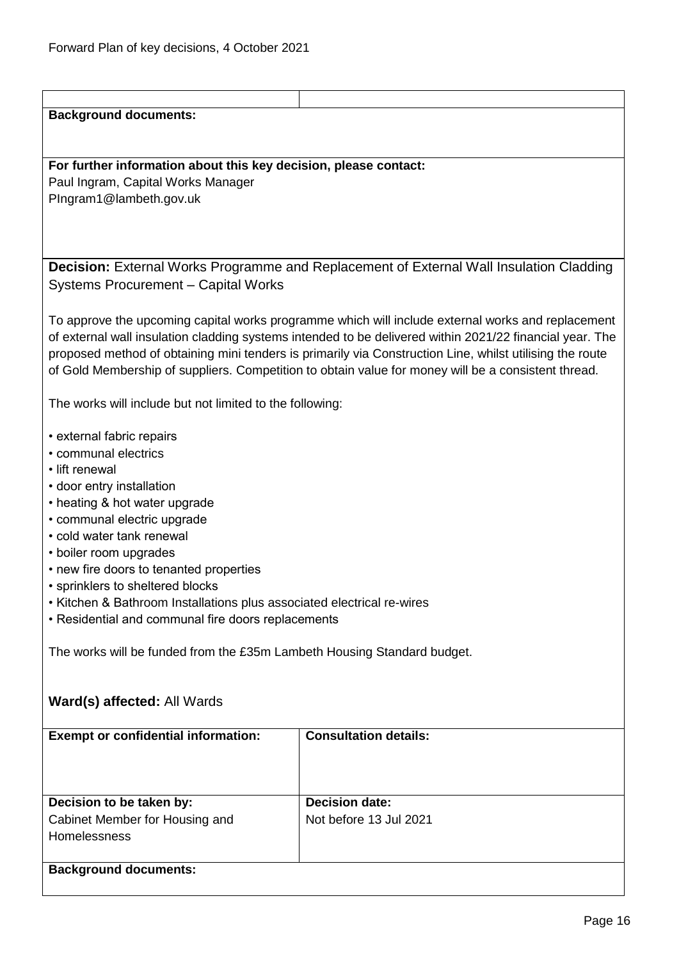<span id="page-15-0"></span>

| <b>Background documents:</b>                                            |                                                                                                          |  |
|-------------------------------------------------------------------------|----------------------------------------------------------------------------------------------------------|--|
|                                                                         |                                                                                                          |  |
|                                                                         |                                                                                                          |  |
| For further information about this key decision, please contact:        |                                                                                                          |  |
| Paul Ingram, Capital Works Manager                                      |                                                                                                          |  |
| PIngram1@lambeth.gov.uk                                                 |                                                                                                          |  |
|                                                                         |                                                                                                          |  |
|                                                                         |                                                                                                          |  |
|                                                                         |                                                                                                          |  |
|                                                                         | Decision: External Works Programme and Replacement of External Wall Insulation Cladding                  |  |
| <b>Systems Procurement - Capital Works</b>                              |                                                                                                          |  |
|                                                                         |                                                                                                          |  |
|                                                                         |                                                                                                          |  |
|                                                                         | To approve the upcoming capital works programme which will include external works and replacement        |  |
|                                                                         | of external wall insulation cladding systems intended to be delivered within 2021/22 financial year. The |  |
|                                                                         | proposed method of obtaining mini tenders is primarily via Construction Line, whilst utilising the route |  |
|                                                                         | of Gold Membership of suppliers. Competition to obtain value for money will be a consistent thread.      |  |
|                                                                         |                                                                                                          |  |
| The works will include but not limited to the following:                |                                                                                                          |  |
|                                                                         |                                                                                                          |  |
| • external fabric repairs                                               |                                                                                                          |  |
| • communal electrics                                                    |                                                                                                          |  |
| • lift renewal                                                          |                                                                                                          |  |
| • door entry installation                                               |                                                                                                          |  |
| • heating & hot water upgrade                                           |                                                                                                          |  |
| • communal electric upgrade                                             |                                                                                                          |  |
| • cold water tank renewal                                               |                                                                                                          |  |
| • boiler room upgrades                                                  |                                                                                                          |  |
| • new fire doors to tenanted properties                                 |                                                                                                          |  |
| • sprinklers to sheltered blocks                                        |                                                                                                          |  |
| · Kitchen & Bathroom Installations plus associated electrical re-wires  |                                                                                                          |  |
| • Residential and communal fire doors replacements                      |                                                                                                          |  |
|                                                                         |                                                                                                          |  |
| The works will be funded from the £35m Lambeth Housing Standard budget. |                                                                                                          |  |
|                                                                         |                                                                                                          |  |
|                                                                         |                                                                                                          |  |
| Ward(s) affected: All Wards                                             |                                                                                                          |  |
|                                                                         |                                                                                                          |  |
| <b>Exempt or confidential information:</b>                              | <b>Consultation details:</b>                                                                             |  |
|                                                                         |                                                                                                          |  |
|                                                                         |                                                                                                          |  |
|                                                                         |                                                                                                          |  |
| Decision to be taken by:                                                | <b>Decision date:</b>                                                                                    |  |
| Cabinet Member for Housing and                                          | Not before 13 Jul 2021                                                                                   |  |
| Homelessness                                                            |                                                                                                          |  |
|                                                                         |                                                                                                          |  |
|                                                                         |                                                                                                          |  |
| <b>Background documents:</b>                                            |                                                                                                          |  |
|                                                                         |                                                                                                          |  |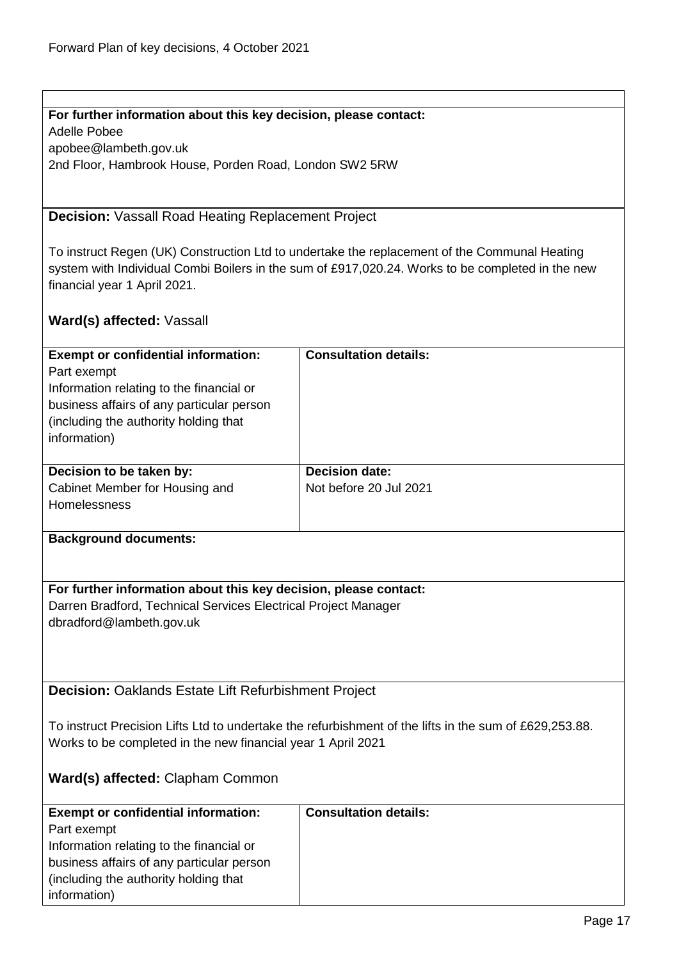# **For further information about this key decision, please contact:**

Adelle Pobee apobee@lambeth.gov.uk 2nd Floor, Hambrook House, Porden Road, London SW2 5RW

# <span id="page-16-0"></span>**Decision:** Vassall Road Heating Replacement Project

To instruct Regen (UK) Construction Ltd to undertake the replacement of the Communal Heating system with Individual Combi Boilers in the sum of £917,020.24. Works to be completed in the new financial year 1 April 2021.

# **Ward(s) affected:** Vassall

| <b>Exempt or confidential information:</b><br>Part exempt<br>Information relating to the financial or<br>business affairs of any particular person<br>(including the authority holding that)<br>information) | <b>Consultation details:</b>                    |
|--------------------------------------------------------------------------------------------------------------------------------------------------------------------------------------------------------------|-------------------------------------------------|
| Decision to be taken by:<br>Cabinet Member for Housing and                                                                                                                                                   | <b>Decision date:</b><br>Not before 20 Jul 2021 |
| <b>Homelessness</b>                                                                                                                                                                                          |                                                 |

#### **Background documents:**

**For further information about this key decision, please contact:** Darren Bradford, Technical Services Electrical Project Manager dbradford@lambeth.gov.uk

<span id="page-16-1"></span>**Decision:** Oaklands Estate Lift Refurbishment Project

To instruct Precision Lifts Ltd to undertake the refurbishment of the lifts in the sum of £629,253.88. Works to be completed in the new financial year 1 April 2021

# **Ward(s) affected:** Clapham Common

| <b>Exempt or confidential information:</b> | <b>Consultation details:</b> |
|--------------------------------------------|------------------------------|
| Part exempt                                |                              |
| Information relating to the financial or   |                              |
| business affairs of any particular person  |                              |
| (including the authority holding that)     |                              |
| information)                               |                              |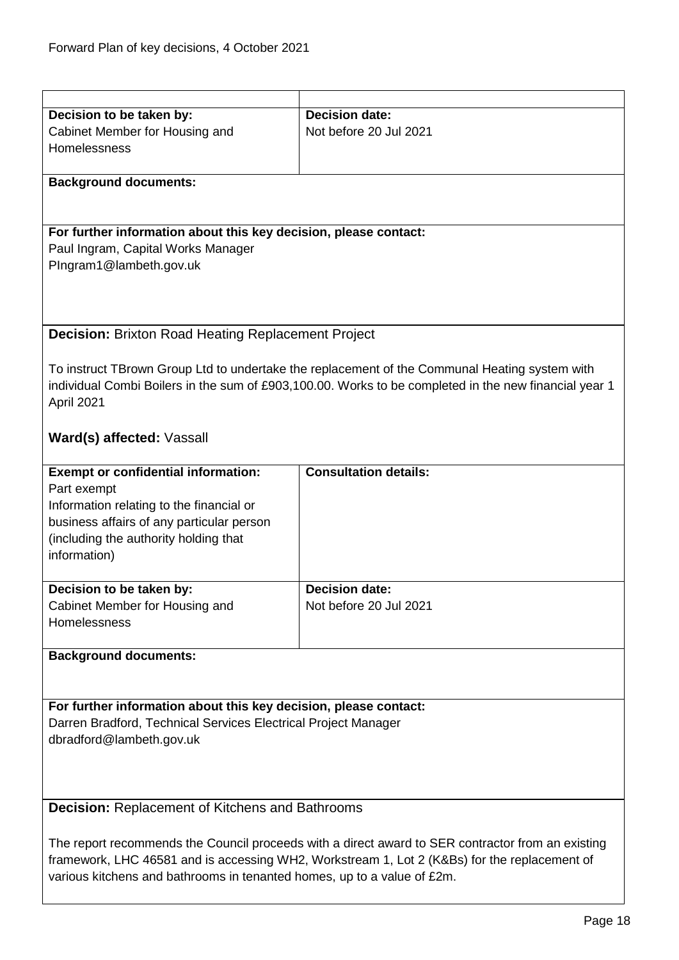<span id="page-17-1"></span><span id="page-17-0"></span>

| Decision to be taken by:                                                                          | <b>Decision date:</b>                                                                                 |
|---------------------------------------------------------------------------------------------------|-------------------------------------------------------------------------------------------------------|
| Cabinet Member for Housing and                                                                    | Not before 20 Jul 2021                                                                                |
| Homelessness                                                                                      |                                                                                                       |
|                                                                                                   |                                                                                                       |
| <b>Background documents:</b>                                                                      |                                                                                                       |
|                                                                                                   |                                                                                                       |
|                                                                                                   |                                                                                                       |
|                                                                                                   |                                                                                                       |
| For further information about this key decision, please contact:                                  |                                                                                                       |
| Paul Ingram, Capital Works Manager                                                                |                                                                                                       |
| PIngram1@lambeth.gov.uk                                                                           |                                                                                                       |
|                                                                                                   |                                                                                                       |
|                                                                                                   |                                                                                                       |
|                                                                                                   |                                                                                                       |
| <b>Decision: Brixton Road Heating Replacement Project</b>                                         |                                                                                                       |
|                                                                                                   |                                                                                                       |
|                                                                                                   |                                                                                                       |
|                                                                                                   | To instruct TBrown Group Ltd to undertake the replacement of the Communal Heating system with         |
|                                                                                                   | individual Combi Boilers in the sum of £903,100.00. Works to be completed in the new financial year 1 |
| April 2021                                                                                        |                                                                                                       |
|                                                                                                   |                                                                                                       |
| Ward(s) affected: Vassall                                                                         |                                                                                                       |
|                                                                                                   |                                                                                                       |
|                                                                                                   |                                                                                                       |
| <b>Exempt or confidential information:</b>                                                        | <b>Consultation details:</b>                                                                          |
| Part exempt                                                                                       |                                                                                                       |
| Information relating to the financial or                                                          |                                                                                                       |
| business affairs of any particular person                                                         |                                                                                                       |
| (including the authority holding that                                                             |                                                                                                       |
| information)                                                                                      |                                                                                                       |
|                                                                                                   |                                                                                                       |
|                                                                                                   |                                                                                                       |
| Decision to be taken by:                                                                          | <b>Decision date:</b>                                                                                 |
| Cabinet Member for Housing and                                                                    | Not before 20 Jul 2021                                                                                |
| Homelessness                                                                                      |                                                                                                       |
|                                                                                                   |                                                                                                       |
| <b>Background documents:</b>                                                                      |                                                                                                       |
|                                                                                                   |                                                                                                       |
|                                                                                                   |                                                                                                       |
|                                                                                                   |                                                                                                       |
| For further information about this key decision, please contact:                                  |                                                                                                       |
| Darren Bradford, Technical Services Electrical Project Manager                                    |                                                                                                       |
| dbradford@lambeth.gov.uk                                                                          |                                                                                                       |
|                                                                                                   |                                                                                                       |
|                                                                                                   |                                                                                                       |
|                                                                                                   |                                                                                                       |
| <b>Decision: Replacement of Kitchens and Bathrooms</b>                                            |                                                                                                       |
|                                                                                                   |                                                                                                       |
|                                                                                                   |                                                                                                       |
| The report recommends the Council proceeds with a direct award to SER contractor from an existing |                                                                                                       |
| framework, LHC 46581 and is accessing WH2, Workstream 1, Lot 2 (K&Bs) for the replacement of      |                                                                                                       |
| various kitchens and bathrooms in tenanted homes, up to a value of £2m.                           |                                                                                                       |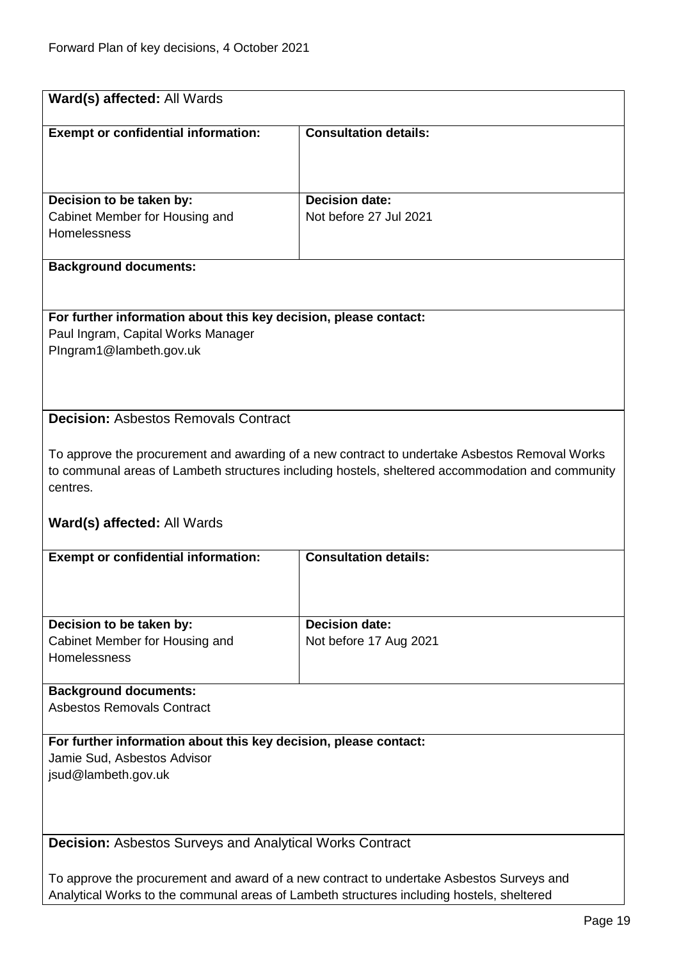<span id="page-18-1"></span><span id="page-18-0"></span>

| Ward(s) affected: All Wards                                                                            |                                                                                                  |
|--------------------------------------------------------------------------------------------------------|--------------------------------------------------------------------------------------------------|
| <b>Exempt or confidential information:</b>                                                             | <b>Consultation details:</b>                                                                     |
|                                                                                                        |                                                                                                  |
| Decision to be taken by:                                                                               | <b>Decision date:</b>                                                                            |
| Cabinet Member for Housing and<br>Homelessness                                                         | Not before 27 Jul 2021                                                                           |
|                                                                                                        |                                                                                                  |
| <b>Background documents:</b>                                                                           |                                                                                                  |
|                                                                                                        |                                                                                                  |
| For further information about this key decision, please contact:<br>Paul Ingram, Capital Works Manager |                                                                                                  |
| PIngram1@lambeth.gov.uk                                                                                |                                                                                                  |
|                                                                                                        |                                                                                                  |
| <b>Decision: Asbestos Removals Contract</b>                                                            |                                                                                                  |
|                                                                                                        |                                                                                                  |
|                                                                                                        | To approve the procurement and awarding of a new contract to undertake Asbestos Removal Works    |
| centres.                                                                                               | to communal areas of Lambeth structures including hostels, sheltered accommodation and community |
|                                                                                                        |                                                                                                  |
| <b>Ward(s) affected: All Wards</b>                                                                     |                                                                                                  |
| <b>Exempt or confidential information:</b>                                                             | <b>Consultation details:</b>                                                                     |
|                                                                                                        |                                                                                                  |
| Decision to be taken by:                                                                               | <b>Decision date:</b>                                                                            |
| Cabinet Member for Housing and                                                                         | Not before 17 Aug 2021                                                                           |
| Homelessness                                                                                           |                                                                                                  |
| <b>Background documents:</b>                                                                           |                                                                                                  |
| <b>Asbestos Removals Contract</b>                                                                      |                                                                                                  |
| For further information about this key decision, please contact:<br>Jamie Sud, Asbestos Advisor        |                                                                                                  |
| jsud@lambeth.gov.uk                                                                                    |                                                                                                  |
|                                                                                                        |                                                                                                  |
|                                                                                                        |                                                                                                  |
| <b>Decision: Asbestos Surveys and Analytical Works Contract</b>                                        |                                                                                                  |
| To approve the procurement and award of a new contract to undertake Asbestos Surveys and               |                                                                                                  |
| Analytical Works to the communal areas of Lambeth structures including hostels, sheltered              |                                                                                                  |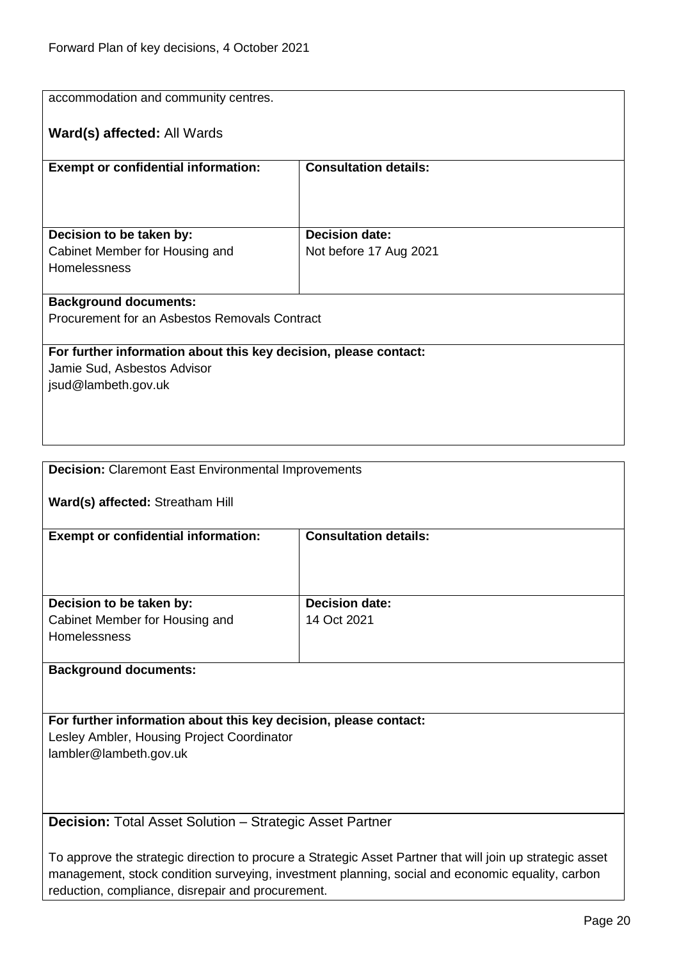| accommodation and community centres.                             |                              |  |
|------------------------------------------------------------------|------------------------------|--|
| Ward(s) affected: All Wards                                      |                              |  |
| <b>Exempt or confidential information:</b>                       | <b>Consultation details:</b> |  |
|                                                                  |                              |  |
|                                                                  |                              |  |
| Decision to be taken by:                                         | <b>Decision date:</b>        |  |
| Cabinet Member for Housing and                                   | Not before 17 Aug 2021       |  |
| Homelessness                                                     |                              |  |
| <b>Background documents:</b>                                     |                              |  |
| Procurement for an Asbestos Removals Contract                    |                              |  |
|                                                                  |                              |  |
| For further information about this key decision, please contact: |                              |  |
| Jamie Sud, Asbestos Advisor                                      |                              |  |
| jsud@lambeth.gov.uk                                              |                              |  |
|                                                                  |                              |  |
|                                                                  |                              |  |
|                                                                  |                              |  |
|                                                                  |                              |  |
| <b>Decision: Claremont East Environmental Improvements</b>       |                              |  |
| Ward(s) affected: Streatham Hill                                 |                              |  |
|                                                                  |                              |  |
| <b>Exempt or confidential information:</b>                       | <b>Consultation details:</b> |  |
|                                                                  |                              |  |
|                                                                  |                              |  |
|                                                                  |                              |  |
| Decision to be taken by:                                         | <b>Decision date:</b>        |  |
| Cabinet Member for Housing and                                   | 14 Oct 2021                  |  |
| Homelessness                                                     |                              |  |
|                                                                  |                              |  |
| <b>Background documents:</b>                                     |                              |  |

<span id="page-19-0"></span>**For further information about this key decision, please contact:** Lesley Ambler, Housing Project Coordinator lambler@lambeth.gov.uk

<span id="page-19-1"></span>**Decision:** Total Asset Solution – Strategic Asset Partner

To approve the strategic direction to procure a Strategic Asset Partner that will join up strategic asset management, stock condition surveying, investment planning, social and economic equality, carbon reduction, compliance, disrepair and procurement.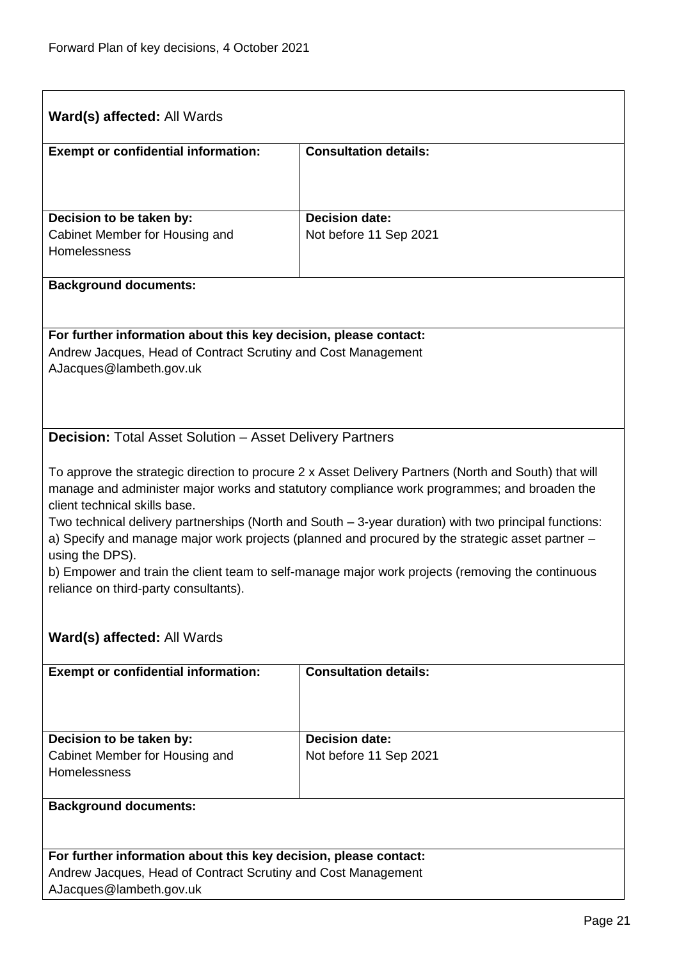<span id="page-20-0"></span>

| <b>Ward(s) affected: All Wards</b>                                                                                                                                                                                                                                                                                                                                                                                                                                                                                                                                                                                 |                              |  |
|--------------------------------------------------------------------------------------------------------------------------------------------------------------------------------------------------------------------------------------------------------------------------------------------------------------------------------------------------------------------------------------------------------------------------------------------------------------------------------------------------------------------------------------------------------------------------------------------------------------------|------------------------------|--|
| <b>Exempt or confidential information:</b>                                                                                                                                                                                                                                                                                                                                                                                                                                                                                                                                                                         | <b>Consultation details:</b> |  |
| Decision to be taken by:                                                                                                                                                                                                                                                                                                                                                                                                                                                                                                                                                                                           | <b>Decision date:</b>        |  |
| Cabinet Member for Housing and<br>Homelessness                                                                                                                                                                                                                                                                                                                                                                                                                                                                                                                                                                     | Not before 11 Sep 2021       |  |
| <b>Background documents:</b>                                                                                                                                                                                                                                                                                                                                                                                                                                                                                                                                                                                       |                              |  |
| For further information about this key decision, please contact:<br>Andrew Jacques, Head of Contract Scrutiny and Cost Management<br>AJacques@lambeth.gov.uk                                                                                                                                                                                                                                                                                                                                                                                                                                                       |                              |  |
| <b>Decision:</b> Total Asset Solution - Asset Delivery Partners                                                                                                                                                                                                                                                                                                                                                                                                                                                                                                                                                    |                              |  |
| To approve the strategic direction to procure 2 x Asset Delivery Partners (North and South) that will<br>manage and administer major works and statutory compliance work programmes; and broaden the<br>client technical skills base.<br>Two technical delivery partnerships (North and South - 3-year duration) with two principal functions:<br>a) Specify and manage major work projects (planned and procured by the strategic asset partner -<br>using the DPS).<br>b) Empower and train the client team to self-manage major work projects (removing the continuous<br>reliance on third-party consultants). |                              |  |
| Ward(s) affected: All Wards                                                                                                                                                                                                                                                                                                                                                                                                                                                                                                                                                                                        |                              |  |
| <b>Exempt or confidential information:</b>                                                                                                                                                                                                                                                                                                                                                                                                                                                                                                                                                                         | <b>Consultation details:</b> |  |
| Decision to be taken by:                                                                                                                                                                                                                                                                                                                                                                                                                                                                                                                                                                                           | <b>Decision date:</b>        |  |
| Cabinet Member for Housing and<br>Homelessness                                                                                                                                                                                                                                                                                                                                                                                                                                                                                                                                                                     | Not before 11 Sep 2021       |  |
| <b>Background documents:</b>                                                                                                                                                                                                                                                                                                                                                                                                                                                                                                                                                                                       |                              |  |
| For further information about this key decision, please contact:<br>Andrew Jacques, Head of Contract Scrutiny and Cost Management<br>AJacques@lambeth.gov.uk                                                                                                                                                                                                                                                                                                                                                                                                                                                       |                              |  |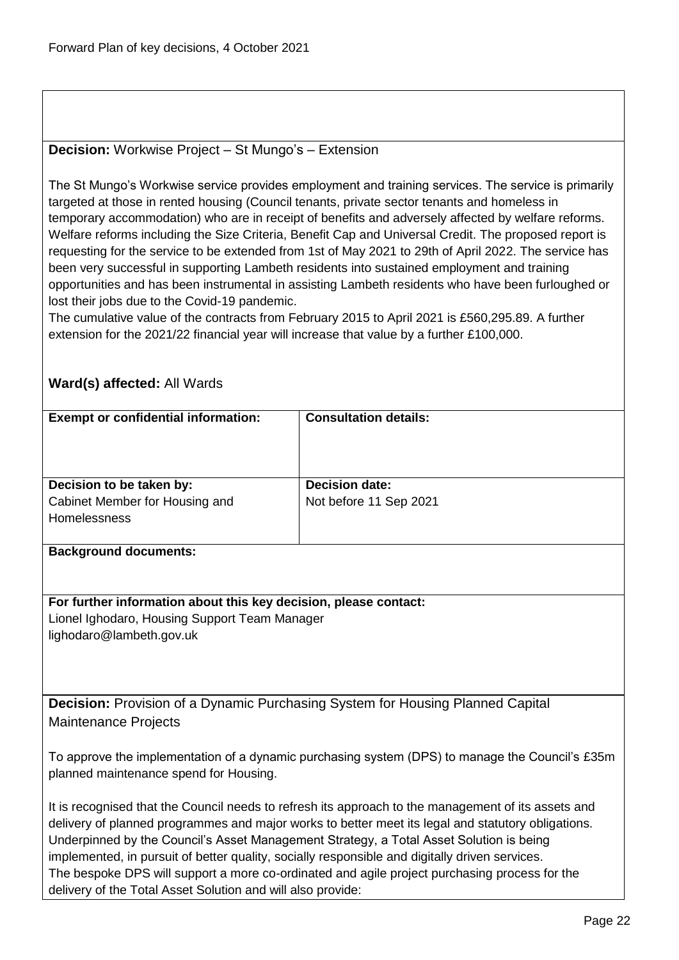#### <span id="page-21-0"></span>**Decision:** Workwise Project – St Mungo's – Extension

The St Mungo's Workwise service provides employment and training services. The service is primarily targeted at those in rented housing (Council tenants, private sector tenants and homeless in temporary accommodation) who are in receipt of benefits and adversely affected by welfare reforms. Welfare reforms including the Size Criteria, Benefit Cap and Universal Credit. The proposed report is requesting for the service to be extended from 1st of May 2021 to 29th of April 2022. The service has been very successful in supporting Lambeth residents into sustained employment and training opportunities and has been instrumental in assisting Lambeth residents who have been furloughed or lost their jobs due to the Covid-19 pandemic.

The cumulative value of the contracts from February 2015 to April 2021 is £560,295.89. A further extension for the 2021/22 financial year will increase that value by a further £100,000.

# **Ward(s) affected:** All Wards

| <b>Exempt or confidential information:</b>                                                          | <b>Consultation details:</b> |  |
|-----------------------------------------------------------------------------------------------------|------------------------------|--|
|                                                                                                     |                              |  |
|                                                                                                     |                              |  |
| Decision to be taken by:                                                                            | <b>Decision date:</b>        |  |
| Cabinet Member for Housing and                                                                      | Not before 11 Sep 2021       |  |
| Homelessness                                                                                        |                              |  |
| <b>Background documents:</b>                                                                        |                              |  |
|                                                                                                     |                              |  |
|                                                                                                     |                              |  |
| For further information about this key decision, please contact:                                    |                              |  |
| Lionel Ighodaro, Housing Support Team Manager                                                       |                              |  |
| lighodaro@lambeth.gov.uk                                                                            |                              |  |
|                                                                                                     |                              |  |
|                                                                                                     |                              |  |
| <b>Decision:</b> Provision of a Dynamic Purchasing System for Housing Planned Capital               |                              |  |
| <b>Maintenance Projects</b>                                                                         |                              |  |
|                                                                                                     |                              |  |
| To approve the implementation of a dynamic purchasing system (DPS) to manage the Council's £35m     |                              |  |
| planned maintenance spend for Housing.                                                              |                              |  |
| It is recognised that the Council needs to refresh its approach to the management of its assets and |                              |  |
| delivery of planned programmes and major works to better meet its legal and statutory obligations.  |                              |  |
| Underpinned by the Council's Asset Management Strategy, a Total Asset Solution is being             |                              |  |
| implemented, in pursuit of better quality, socially responsible and digitally driven services.      |                              |  |

<span id="page-21-1"></span>The bespoke DPS will support a more co-ordinated and agile project purchasing process for the delivery of the Total Asset Solution and will also provide: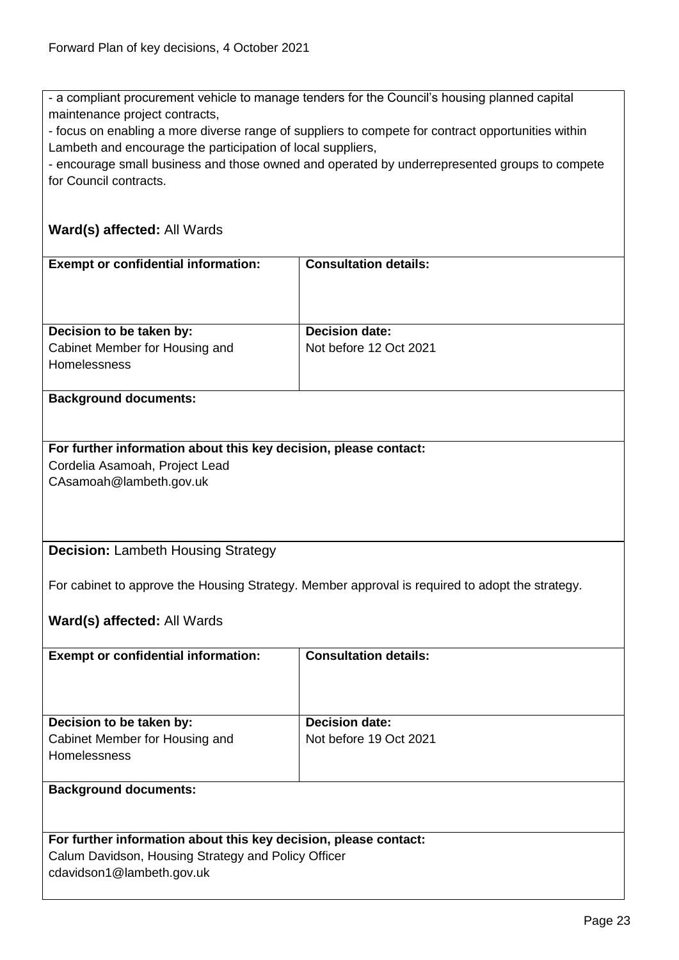- a compliant procurement vehicle to manage tenders for the Council's housing planned capital maintenance project contracts,

- focus on enabling a more diverse range of suppliers to compete for contract opportunities within Lambeth and encourage the participation of local suppliers,

- encourage small business and those owned and operated by underrepresented groups to compete for Council contracts.

#### **Ward(s) affected:** All Wards

| <b>Exempt or confidential information:</b>            | <b>Consultation details:</b> |
|-------------------------------------------------------|------------------------------|
| Decision to be taken by:                              | <b>Decision date:</b>        |
| Cabinet Member for Housing and<br><b>Homelessness</b> | Not before 12 Oct 2021       |

#### **Background documents:**

#### **For further information about this key decision, please contact:** Cordelia Asamoah, Project Lead CAsamoah@lambeth.gov.uk

#### <span id="page-22-0"></span>**Decision:** Lambeth Housing Strategy

For cabinet to approve the Housing Strategy. Member approval is required to adopt the strategy.

**Ward(s) affected:** All Wards

| <b>Exempt or confidential information:</b>                       | <b>Consultation details:</b> |  |
|------------------------------------------------------------------|------------------------------|--|
|                                                                  |                              |  |
| Decision to be taken by:                                         | <b>Decision date:</b>        |  |
| Cabinet Member for Housing and                                   | Not before 19 Oct 2021       |  |
| <b>Homelessness</b>                                              |                              |  |
| <b>Background documents:</b>                                     |                              |  |
|                                                                  |                              |  |
| For further information about this key decision, please contact: |                              |  |
| Colum Dovideon, Houging Strategy and Doliny Officer              |                              |  |

Calum Davidson, Housing Strategy and Policy Officer cdavidson1@lambeth.gov.uk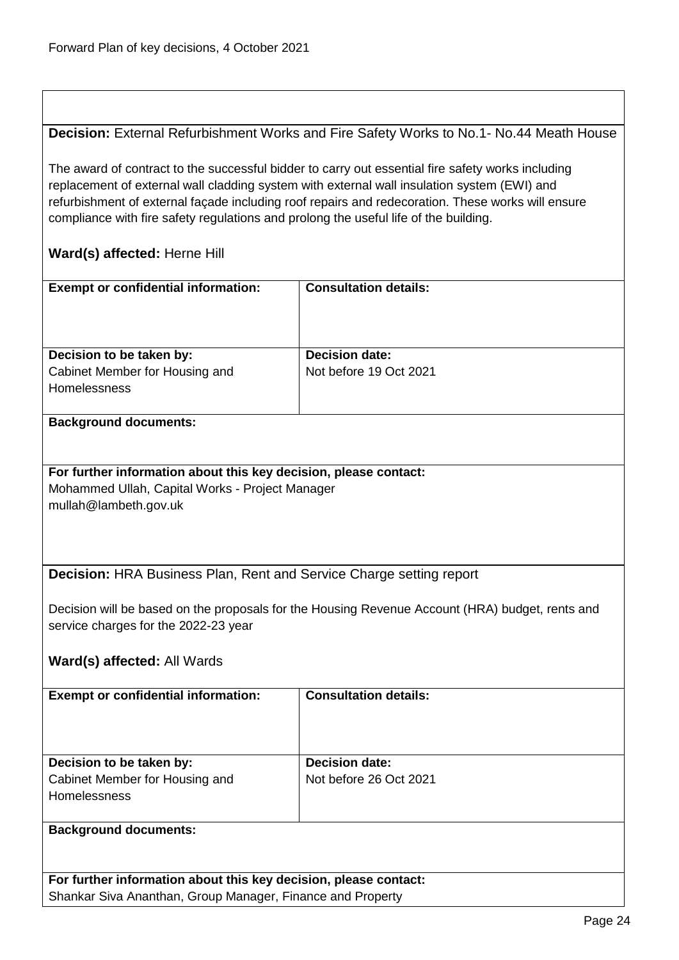### <span id="page-23-0"></span>**Decision:** External Refurbishment Works and Fire Safety Works to No.1- No.44 Meath House

The award of contract to the successful bidder to carry out essential fire safety works including replacement of external wall cladding system with external wall insulation system (EWI) and refurbishment of external façade including roof repairs and redecoration. These works will ensure compliance with fire safety regulations and prolong the useful life of the building.

#### **Ward(s) affected:** Herne Hill

| <b>Exempt or confidential information:</b>     | <b>Consultation details:</b> |
|------------------------------------------------|------------------------------|
| Decision to be taken by:                       | <b>Decision date:</b>        |
| Cabinet Member for Housing and<br>Homelessness | Not before 19 Oct 2021       |

#### **Background documents:**

**For further information about this key decision, please contact:** Mohammed Ullah, Capital Works - Project Manager mullah@lambeth.gov.uk

<span id="page-23-1"></span>**Decision:** HRA Business Plan, Rent and Service Charge setting report

Decision will be based on the proposals for the Housing Revenue Account (HRA) budget, rents and service charges for the 2022-23 year

#### **Ward(s) affected:** All Wards

| <b>Exempt or confidential information:</b>                                        | <b>Consultation details:</b>                    |
|-----------------------------------------------------------------------------------|-------------------------------------------------|
| Decision to be taken by:<br>Cabinet Member for Housing and<br><b>Homelessness</b> | <b>Decision date:</b><br>Not before 26 Oct 2021 |
| <b>Background documents:</b>                                                      |                                                 |

**For further information about this key decision, please contact:** Shankar Siva Ananthan, Group Manager, Finance and Property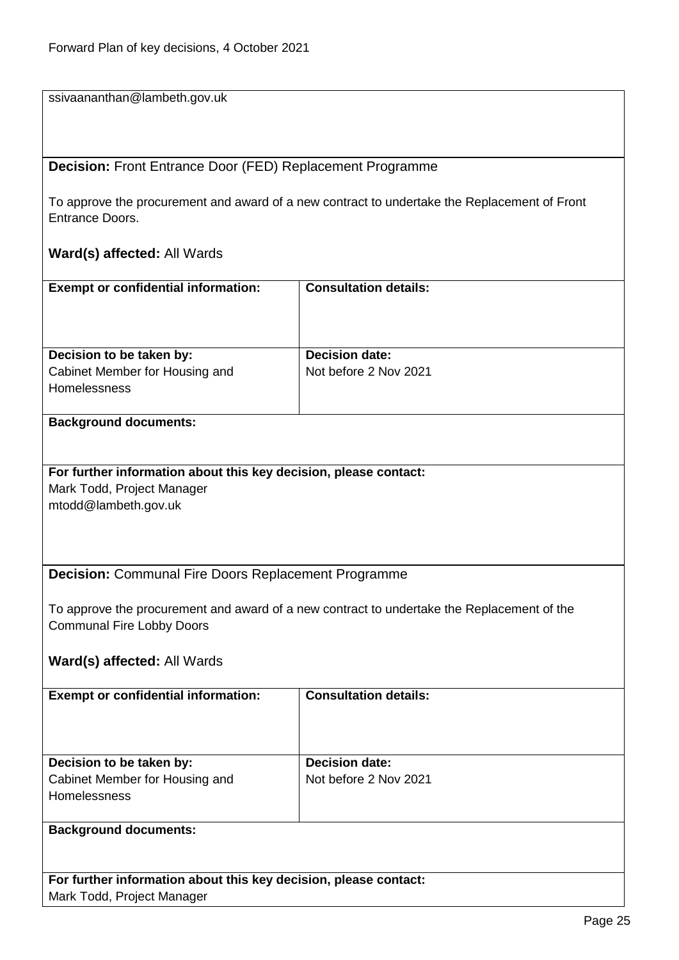ssivaananthan@lambeth.gov.uk

<span id="page-24-0"></span>**Decision:** Front Entrance Door (FED) Replacement Programme

To approve the procurement and award of a new contract to undertake the Replacement of Front Entrance Doors.

#### **Ward(s) affected:** All Wards

| <b>Exempt or confidential information:</b>            | <b>Consultation details:</b> |
|-------------------------------------------------------|------------------------------|
| Decision to be taken by:                              | <b>Decision date:</b>        |
| Cabinet Member for Housing and<br><b>Homelessness</b> | Not before 2 Nov 2021        |

#### **Background documents:**

**For further information about this key decision, please contact:** Mark Todd, Project Manager mtodd@lambeth.gov.uk

#### <span id="page-24-1"></span>**Decision:** Communal Fire Doors Replacement Programme

To approve the procurement and award of a new contract to undertake the Replacement of the Communal Fire Lobby Doors

#### **Ward(s) affected:** All Wards

| <b>Exempt or confidential information:</b>                                        | <b>Consultation details:</b>                   |
|-----------------------------------------------------------------------------------|------------------------------------------------|
| Decision to be taken by:<br>Cabinet Member for Housing and<br><b>Homelessness</b> | <b>Decision date:</b><br>Not before 2 Nov 2021 |
| <b>Background documents:</b>                                                      |                                                |

# **Background documents:**

**For further information about this key decision, please contact:** Mark Todd, Project Manager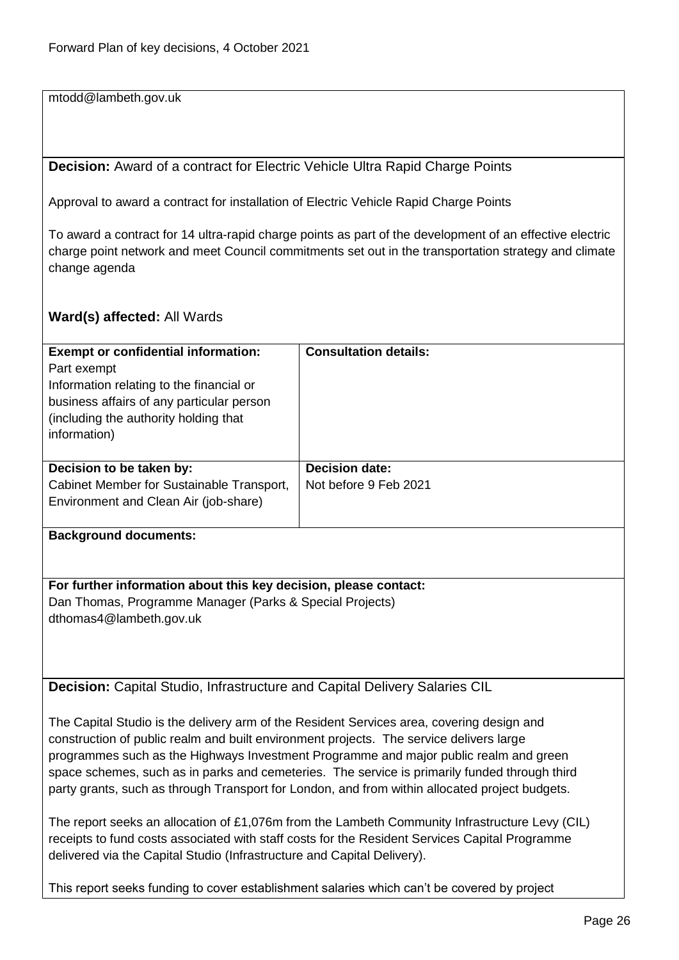mtodd@lambeth.gov.uk

<span id="page-25-0"></span>**Decision:** Award of a contract for Electric Vehicle Ultra Rapid Charge Points

Approval to award a contract for installation of Electric Vehicle Rapid Charge Points

To award a contract for 14 ultra-rapid charge points as part of the development of an effective electric charge point network and meet Council commitments set out in the transportation strategy and climate change agenda

#### **Ward(s) affected:** All Wards

| <b>Exempt or confidential information:</b> | <b>Consultation details:</b> |
|--------------------------------------------|------------------------------|
| Part exempt                                |                              |
| Information relating to the financial or   |                              |
| business affairs of any particular person  |                              |
| (including the authority holding that)     |                              |
| information)                               |                              |
|                                            |                              |
| Decision to be taken by:                   | <b>Decision date:</b>        |
| Cabinet Member for Sustainable Transport,  | Not before 9 Feb 2021        |
|                                            |                              |
| Environment and Clean Air (job-share)      |                              |
|                                            |                              |
| <b>Background documents:</b>               |                              |
|                                            |                              |
|                                            |                              |

**For further information about this key decision, please contact:** Dan Thomas, Programme Manager (Parks & Special Projects) dthomas4@lambeth.gov.uk

<span id="page-25-1"></span>**Decision:** Capital Studio, Infrastructure and Capital Delivery Salaries CIL

The Capital Studio is the delivery arm of the Resident Services area, covering design and construction of public realm and built environment projects. The service delivers large programmes such as the Highways Investment Programme and major public realm and green space schemes, such as in parks and cemeteries. The service is primarily funded through third party grants, such as through Transport for London, and from within allocated project budgets.

The report seeks an allocation of £1,076m from the Lambeth Community Infrastructure Levy (CIL) receipts to fund costs associated with staff costs for the Resident Services Capital Programme delivered via the Capital Studio (Infrastructure and Capital Delivery).

This report seeks funding to cover establishment salaries which can't be covered by project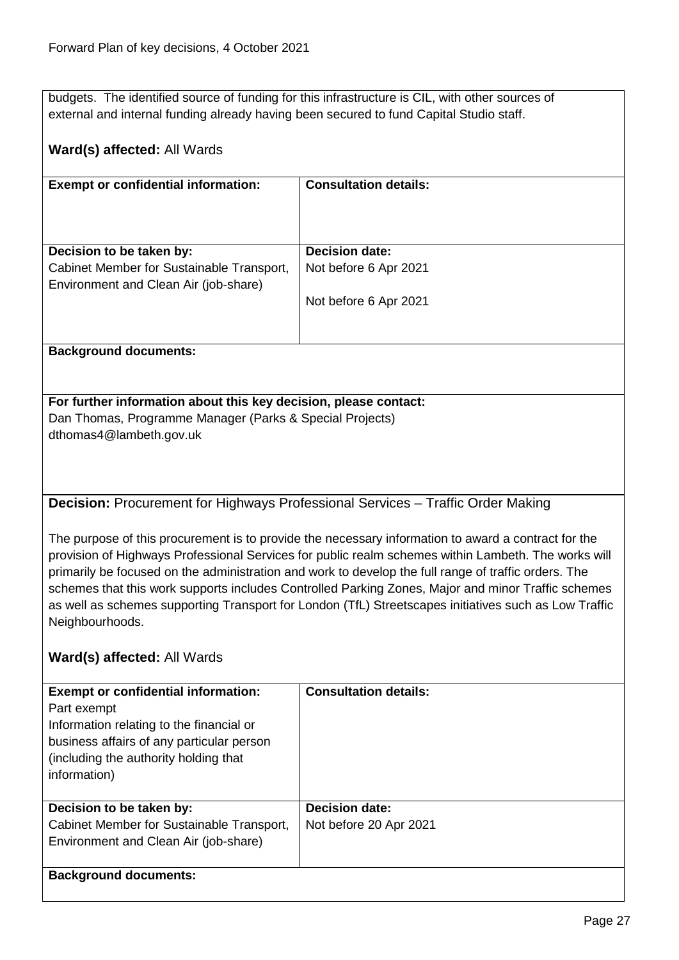budgets. The identified source of funding for this infrastructure is CIL, with other sources of external and internal funding already having been secured to fund Capital Studio staff.

### **Ward(s) affected:** All Wards

| <b>Exempt or confidential information:</b>                                                                     | <b>Consultation details:</b>                   |
|----------------------------------------------------------------------------------------------------------------|------------------------------------------------|
| Decision to be taken by:<br>Cabinet Member for Sustainable Transport,<br>Environment and Clean Air (job-share) | <b>Decision date:</b><br>Not before 6 Apr 2021 |
| <b>Background documents:</b>                                                                                   | Not before 6 Apr 2021                          |

# **For further information about this key decision, please contact:** Dan Thomas, Programme Manager (Parks & Special Projects)

dthomas4@lambeth.gov.uk

<span id="page-26-0"></span>**Decision:** Procurement for Highways Professional Services – Traffic Order Making

The purpose of this procurement is to provide the necessary information to award a contract for the provision of Highways Professional Services for public realm schemes within Lambeth. The works will primarily be focused on the administration and work to develop the full range of traffic orders. The schemes that this work supports includes Controlled Parking Zones, Major and minor Traffic schemes as well as schemes supporting Transport for London (TfL) Streetscapes initiatives such as Low Traffic Neighbourhoods.

| <b>Exempt or confidential information:</b><br>Part exempt<br>Information relating to the financial or<br>business affairs of any particular person<br>(including the authority holding that<br>information) | <b>Consultation details:</b> |
|-------------------------------------------------------------------------------------------------------------------------------------------------------------------------------------------------------------|------------------------------|
| Decision to be taken by:                                                                                                                                                                                    | <b>Decision date:</b>        |
| Cabinet Member for Sustainable Transport,                                                                                                                                                                   | Not before 20 Apr 2021       |
| Environment and Clean Air (job-share)                                                                                                                                                                       |                              |
|                                                                                                                                                                                                             |                              |
| <b>Background documents:</b>                                                                                                                                                                                |                              |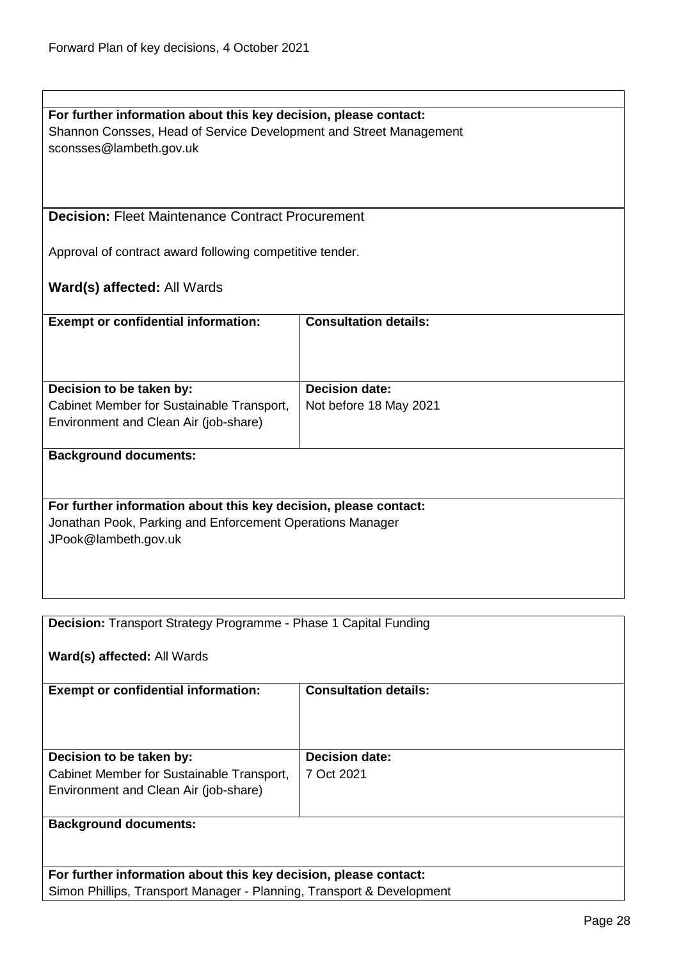<span id="page-27-1"></span><span id="page-27-0"></span>

| For further information about this key decision, please contact:<br>Shannon Consses, Head of Service Development and Street Management |                              |  |
|----------------------------------------------------------------------------------------------------------------------------------------|------------------------------|--|
| sconsses@lambeth.gov.uk                                                                                                                |                              |  |
|                                                                                                                                        |                              |  |
|                                                                                                                                        |                              |  |
|                                                                                                                                        |                              |  |
| <b>Decision: Fleet Maintenance Contract Procurement</b>                                                                                |                              |  |
|                                                                                                                                        |                              |  |
| Approval of contract award following competitive tender.                                                                               |                              |  |
|                                                                                                                                        |                              |  |
| Ward(s) affected: All Wards                                                                                                            |                              |  |
|                                                                                                                                        |                              |  |
| <b>Exempt or confidential information:</b>                                                                                             | <b>Consultation details:</b> |  |
|                                                                                                                                        |                              |  |
|                                                                                                                                        |                              |  |
|                                                                                                                                        | <b>Decision date:</b>        |  |
| Decision to be taken by:<br>Cabinet Member for Sustainable Transport,                                                                  | Not before 18 May 2021       |  |
| Environment and Clean Air (job-share)                                                                                                  |                              |  |
|                                                                                                                                        |                              |  |
| <b>Background documents:</b>                                                                                                           |                              |  |
|                                                                                                                                        |                              |  |
|                                                                                                                                        |                              |  |
| For further information about this key decision, please contact:                                                                       |                              |  |
| Jonathan Pook, Parking and Enforcement Operations Manager                                                                              |                              |  |
| JPook@lambeth.gov.uk                                                                                                                   |                              |  |
|                                                                                                                                        |                              |  |
|                                                                                                                                        |                              |  |
|                                                                                                                                        |                              |  |
|                                                                                                                                        |                              |  |
| <b>Decision:</b> Transport Strategy Programme - Phase 1 Capital Funding                                                                |                              |  |
|                                                                                                                                        |                              |  |
| Ward(s) affected: All Wards                                                                                                            |                              |  |
| <b>Exempt or confidential information:</b>                                                                                             | <b>Consultation details:</b> |  |
|                                                                                                                                        |                              |  |
|                                                                                                                                        |                              |  |
|                                                                                                                                        |                              |  |
| Decision to be taken by:                                                                                                               | <b>Decision date:</b>        |  |
| Cabinet Member for Sustainable Transport,                                                                                              | 7 Oct 2021                   |  |
| Environment and Clean Air (job-share)                                                                                                  |                              |  |
|                                                                                                                                        |                              |  |
| <b>Background documents:</b>                                                                                                           |                              |  |
|                                                                                                                                        |                              |  |
|                                                                                                                                        |                              |  |
| For further information about this key decision, please contact:                                                                       |                              |  |
| Simon Phillips, Transport Manager - Planning, Transport & Development                                                                  |                              |  |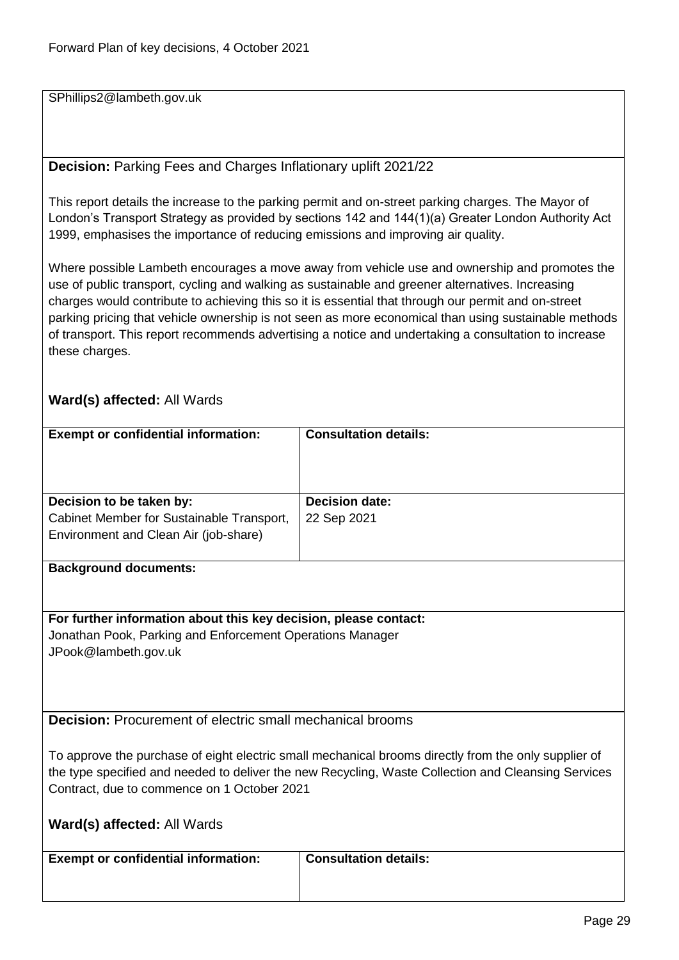SPhillips2@lambeth.gov.uk

# <span id="page-28-0"></span>**Decision:** Parking Fees and Charges Inflationary uplift 2021/22

This report details the increase to the parking permit and on-street parking charges. The Mayor of London's Transport Strategy as provided by sections 142 and 144(1)(a) Greater London Authority Act 1999, emphasises the importance of reducing emissions and improving air quality.

Where possible Lambeth encourages a move away from vehicle use and ownership and promotes the use of public transport, cycling and walking as sustainable and greener alternatives. Increasing charges would contribute to achieving this so it is essential that through our permit and on-street parking pricing that vehicle ownership is not seen as more economical than using sustainable methods of transport. This report recommends advertising a notice and undertaking a consultation to increase these charges.

<span id="page-28-1"></span>

| <b>Exempt or confidential information:</b>                       | <b>Consultation details:</b>                                                                         |  |
|------------------------------------------------------------------|------------------------------------------------------------------------------------------------------|--|
|                                                                  |                                                                                                      |  |
|                                                                  |                                                                                                      |  |
|                                                                  |                                                                                                      |  |
| Decision to be taken by:                                         | <b>Decision date:</b>                                                                                |  |
| Cabinet Member for Sustainable Transport,                        | 22 Sep 2021                                                                                          |  |
| Environment and Clean Air (job-share)                            |                                                                                                      |  |
|                                                                  |                                                                                                      |  |
| <b>Background documents:</b>                                     |                                                                                                      |  |
|                                                                  |                                                                                                      |  |
|                                                                  |                                                                                                      |  |
| For further information about this key decision, please contact: |                                                                                                      |  |
| Jonathan Pook, Parking and Enforcement Operations Manager        |                                                                                                      |  |
| JPook@lambeth.gov.uk                                             |                                                                                                      |  |
|                                                                  |                                                                                                      |  |
|                                                                  |                                                                                                      |  |
|                                                                  |                                                                                                      |  |
| <b>Decision:</b> Procurement of electric small mechanical brooms |                                                                                                      |  |
|                                                                  |                                                                                                      |  |
|                                                                  | To approve the purchase of eight electric small mechanical brooms directly from the only supplier of |  |
|                                                                  | the type specified and needed to deliver the new Recycling, Waste Collection and Cleansing Services  |  |
| Contract, due to commence on 1 October 2021                      |                                                                                                      |  |
|                                                                  |                                                                                                      |  |
| Ward(s) affected: All Wards                                      |                                                                                                      |  |
|                                                                  |                                                                                                      |  |
| <b>Exempt or confidential information:</b>                       | <b>Consultation details:</b>                                                                         |  |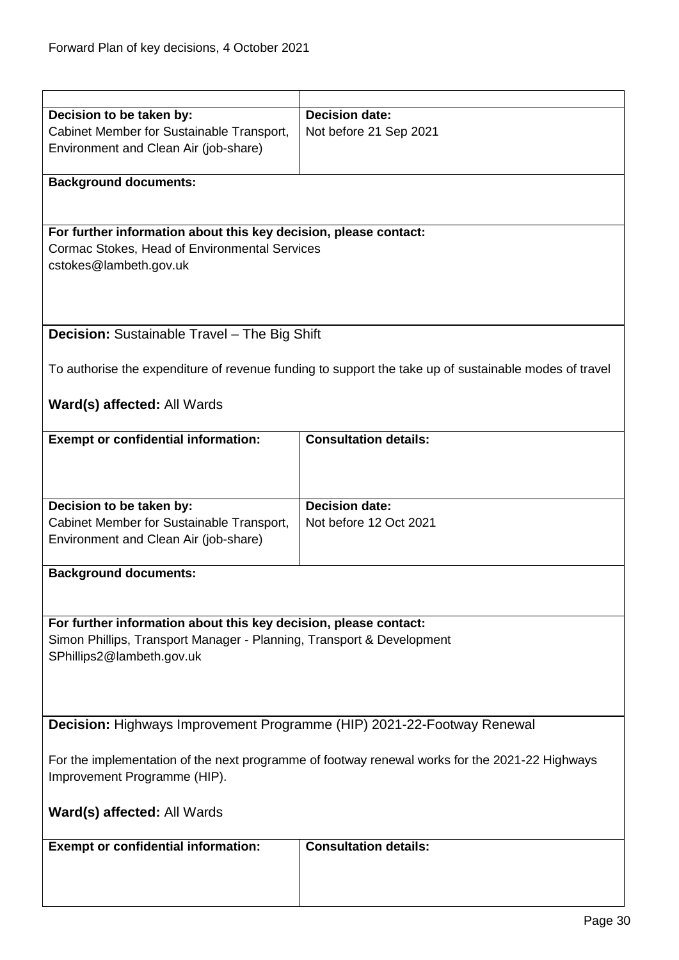<span id="page-29-1"></span><span id="page-29-0"></span>

| Decision to be taken by:                                                                       | <b>Decision date:</b>                                                                                 |
|------------------------------------------------------------------------------------------------|-------------------------------------------------------------------------------------------------------|
| Cabinet Member for Sustainable Transport,                                                      | Not before 21 Sep 2021                                                                                |
| Environment and Clean Air (job-share)                                                          |                                                                                                       |
|                                                                                                |                                                                                                       |
| <b>Background documents:</b>                                                                   |                                                                                                       |
|                                                                                                |                                                                                                       |
|                                                                                                |                                                                                                       |
| For further information about this key decision, please contact:                               |                                                                                                       |
|                                                                                                |                                                                                                       |
| Cormac Stokes, Head of Environmental Services                                                  |                                                                                                       |
| cstokes@lambeth.gov.uk                                                                         |                                                                                                       |
|                                                                                                |                                                                                                       |
|                                                                                                |                                                                                                       |
|                                                                                                |                                                                                                       |
| Decision: Sustainable Travel - The Big Shift                                                   |                                                                                                       |
|                                                                                                |                                                                                                       |
|                                                                                                |                                                                                                       |
|                                                                                                | To authorise the expenditure of revenue funding to support the take up of sustainable modes of travel |
|                                                                                                |                                                                                                       |
| Ward(s) affected: All Wards                                                                    |                                                                                                       |
|                                                                                                |                                                                                                       |
| <b>Exempt or confidential information:</b>                                                     | <b>Consultation details:</b>                                                                          |
|                                                                                                |                                                                                                       |
|                                                                                                |                                                                                                       |
|                                                                                                |                                                                                                       |
|                                                                                                |                                                                                                       |
| Decision to be taken by:                                                                       | <b>Decision date:</b>                                                                                 |
| Cabinet Member for Sustainable Transport,                                                      | Not before 12 Oct 2021                                                                                |
| Environment and Clean Air (job-share)                                                          |                                                                                                       |
|                                                                                                |                                                                                                       |
|                                                                                                |                                                                                                       |
| <b>Background documents:</b>                                                                   |                                                                                                       |
|                                                                                                |                                                                                                       |
|                                                                                                |                                                                                                       |
| For further information about this key decision, please contact:                               |                                                                                                       |
| Simon Phillips, Transport Manager - Planning, Transport & Development                          |                                                                                                       |
| SPhillips2@lambeth.gov.uk                                                                      |                                                                                                       |
|                                                                                                |                                                                                                       |
|                                                                                                |                                                                                                       |
|                                                                                                |                                                                                                       |
|                                                                                                |                                                                                                       |
| <b>Decision:</b> Highways Improvement Programme (HIP) 2021-22-Footway Renewal                  |                                                                                                       |
|                                                                                                |                                                                                                       |
| For the implementation of the next programme of footway renewal works for the 2021-22 Highways |                                                                                                       |
| Improvement Programme (HIP).                                                                   |                                                                                                       |
|                                                                                                |                                                                                                       |
|                                                                                                |                                                                                                       |
| <b>Ward(s) affected: All Wards</b>                                                             |                                                                                                       |
|                                                                                                |                                                                                                       |
| <b>Exempt or confidential information:</b>                                                     | <b>Consultation details:</b>                                                                          |
|                                                                                                |                                                                                                       |
|                                                                                                |                                                                                                       |
|                                                                                                |                                                                                                       |
|                                                                                                |                                                                                                       |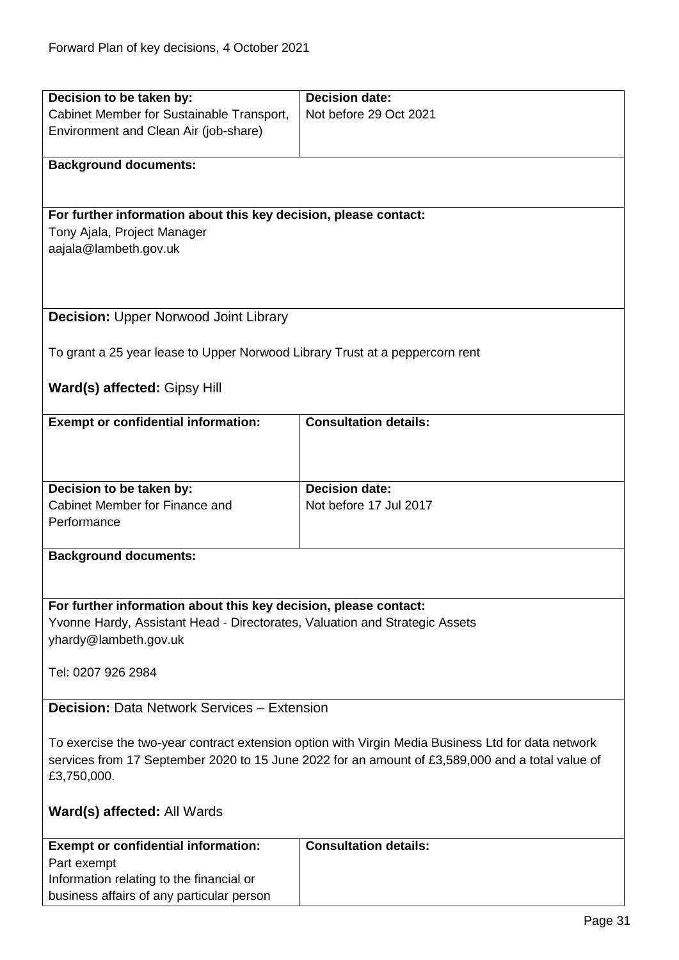<span id="page-30-1"></span><span id="page-30-0"></span>

| Decision to be taken by:                                                                                                                                                                               | <b>Decision date:</b>        |  |
|--------------------------------------------------------------------------------------------------------------------------------------------------------------------------------------------------------|------------------------------|--|
| Cabinet Member for Sustainable Transport,                                                                                                                                                              | Not before 29 Oct 2021       |  |
| Environment and Clean Air (job-share)                                                                                                                                                                  |                              |  |
|                                                                                                                                                                                                        |                              |  |
| <b>Background documents:</b>                                                                                                                                                                           |                              |  |
|                                                                                                                                                                                                        |                              |  |
|                                                                                                                                                                                                        |                              |  |
| For further information about this key decision, please contact:                                                                                                                                       |                              |  |
| Tony Ajala, Project Manager                                                                                                                                                                            |                              |  |
| aajala@lambeth.gov.uk                                                                                                                                                                                  |                              |  |
|                                                                                                                                                                                                        |                              |  |
|                                                                                                                                                                                                        |                              |  |
|                                                                                                                                                                                                        |                              |  |
| <b>Decision: Upper Norwood Joint Library</b>                                                                                                                                                           |                              |  |
|                                                                                                                                                                                                        |                              |  |
| To grant a 25 year lease to Upper Norwood Library Trust at a peppercorn rent                                                                                                                           |                              |  |
|                                                                                                                                                                                                        |                              |  |
| Ward(s) affected: Gipsy Hill                                                                                                                                                                           |                              |  |
|                                                                                                                                                                                                        |                              |  |
| <b>Exempt or confidential information:</b>                                                                                                                                                             | <b>Consultation details:</b> |  |
|                                                                                                                                                                                                        |                              |  |
|                                                                                                                                                                                                        |                              |  |
|                                                                                                                                                                                                        |                              |  |
|                                                                                                                                                                                                        | <b>Decision date:</b>        |  |
| Decision to be taken by:<br>Cabinet Member for Finance and                                                                                                                                             | Not before 17 Jul 2017       |  |
| Performance                                                                                                                                                                                            |                              |  |
|                                                                                                                                                                                                        |                              |  |
| <b>Background documents:</b>                                                                                                                                                                           |                              |  |
|                                                                                                                                                                                                        |                              |  |
|                                                                                                                                                                                                        |                              |  |
| For further information about this key decision, please contact:                                                                                                                                       |                              |  |
| Yvonne Hardy, Assistant Head - Directorates, Valuation and Strategic Assets                                                                                                                            |                              |  |
| yhardy@lambeth.gov.uk                                                                                                                                                                                  |                              |  |
|                                                                                                                                                                                                        |                              |  |
|                                                                                                                                                                                                        |                              |  |
| Tel: 0207 926 2984                                                                                                                                                                                     |                              |  |
| <b>Decision: Data Network Services - Extension</b>                                                                                                                                                     |                              |  |
|                                                                                                                                                                                                        |                              |  |
|                                                                                                                                                                                                        |                              |  |
| To exercise the two-year contract extension option with Virgin Media Business Ltd for data network<br>services from 17 September 2020 to 15 June 2022 for an amount of £3,589,000 and a total value of |                              |  |
|                                                                                                                                                                                                        |                              |  |
| £3,750,000.                                                                                                                                                                                            |                              |  |
|                                                                                                                                                                                                        |                              |  |
| Ward(s) affected: All Wards                                                                                                                                                                            |                              |  |
|                                                                                                                                                                                                        |                              |  |
| <b>Exempt or confidential information:</b>                                                                                                                                                             | <b>Consultation details:</b> |  |
| Part exempt                                                                                                                                                                                            |                              |  |
| Information relating to the financial or                                                                                                                                                               |                              |  |
| business affairs of any particular person                                                                                                                                                              |                              |  |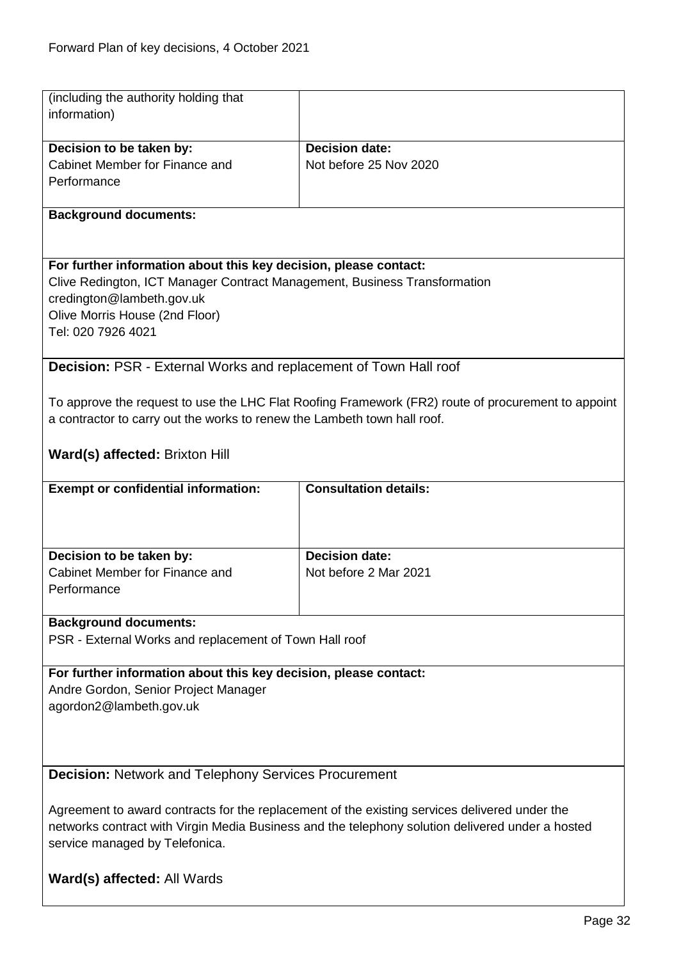<span id="page-31-1"></span> $\overline{\phantom{a}}$ 

<span id="page-31-0"></span>

| (including the authority holding that<br>information)                                                                                                                                                                               |                                                 |  |
|-------------------------------------------------------------------------------------------------------------------------------------------------------------------------------------------------------------------------------------|-------------------------------------------------|--|
| Decision to be taken by:<br>Cabinet Member for Finance and<br>Performance                                                                                                                                                           | <b>Decision date:</b><br>Not before 25 Nov 2020 |  |
| <b>Background documents:</b>                                                                                                                                                                                                        |                                                 |  |
| For further information about this key decision, please contact:<br>Clive Redington, ICT Manager Contract Management, Business Transformation<br>credington@lambeth.gov.uk<br>Olive Morris House (2nd Floor)<br>Tel: 020 7926 4021  |                                                 |  |
| Decision: PSR - External Works and replacement of Town Hall roof                                                                                                                                                                    |                                                 |  |
| To approve the request to use the LHC Flat Roofing Framework (FR2) route of procurement to appoint<br>a contractor to carry out the works to renew the Lambeth town hall roof.                                                      |                                                 |  |
| Ward(s) affected: Brixton Hill                                                                                                                                                                                                      |                                                 |  |
| <b>Exempt or confidential information:</b>                                                                                                                                                                                          | <b>Consultation details:</b>                    |  |
|                                                                                                                                                                                                                                     |                                                 |  |
| Decision to be taken by:<br>Cabinet Member for Finance and                                                                                                                                                                          | <b>Decision date:</b><br>Not before 2 Mar 2021  |  |
| Performance                                                                                                                                                                                                                         |                                                 |  |
| <b>Background documents:</b>                                                                                                                                                                                                        |                                                 |  |
| PSR - External Works and replacement of Town Hall roof                                                                                                                                                                              |                                                 |  |
| For further information about this key decision, please contact:<br>Andre Gordon, Senior Project Manager<br>agordon2@lambeth.gov.uk                                                                                                 |                                                 |  |
| <b>Decision: Network and Telephony Services Procurement</b>                                                                                                                                                                         |                                                 |  |
| Agreement to award contracts for the replacement of the existing services delivered under the<br>networks contract with Virgin Media Business and the telephony solution delivered under a hosted<br>service managed by Telefonica. |                                                 |  |
| Ward(s) affected: All Wards                                                                                                                                                                                                         |                                                 |  |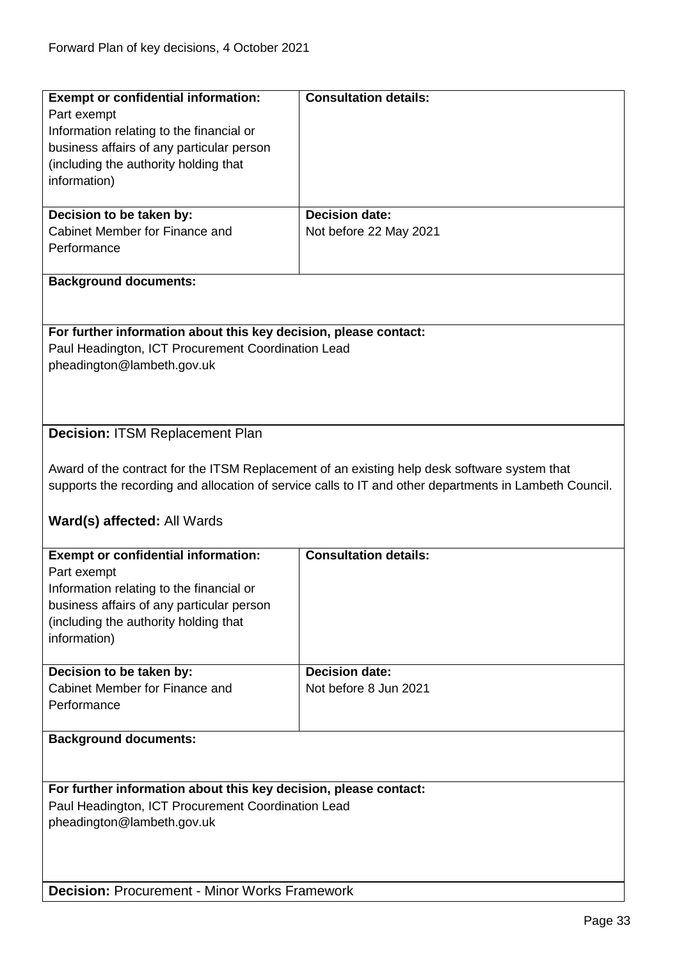<span id="page-32-1"></span><span id="page-32-0"></span>

| <b>Exempt or confidential information:</b>                       | <b>Consultation details:</b>                                                                           |
|------------------------------------------------------------------|--------------------------------------------------------------------------------------------------------|
|                                                                  |                                                                                                        |
| Part exempt                                                      |                                                                                                        |
| Information relating to the financial or                         |                                                                                                        |
| business affairs of any particular person                        |                                                                                                        |
| (including the authority holding that                            |                                                                                                        |
| information)                                                     |                                                                                                        |
|                                                                  |                                                                                                        |
| Decision to be taken by:                                         | <b>Decision date:</b>                                                                                  |
| Cabinet Member for Finance and                                   | Not before 22 May 2021                                                                                 |
| Performance                                                      |                                                                                                        |
|                                                                  |                                                                                                        |
|                                                                  |                                                                                                        |
| <b>Background documents:</b>                                     |                                                                                                        |
|                                                                  |                                                                                                        |
|                                                                  |                                                                                                        |
| For further information about this key decision, please contact: |                                                                                                        |
| Paul Headington, ICT Procurement Coordination Lead               |                                                                                                        |
| pheadington@lambeth.gov.uk                                       |                                                                                                        |
|                                                                  |                                                                                                        |
|                                                                  |                                                                                                        |
|                                                                  |                                                                                                        |
|                                                                  |                                                                                                        |
| <b>Decision: ITSM Replacement Plan</b>                           |                                                                                                        |
|                                                                  |                                                                                                        |
|                                                                  | Award of the contract for the ITSM Replacement of an existing help desk software system that           |
|                                                                  | supports the recording and allocation of service calls to IT and other departments in Lambeth Council. |
|                                                                  |                                                                                                        |
|                                                                  |                                                                                                        |
| Ward(s) affected: All Wards                                      |                                                                                                        |
|                                                                  |                                                                                                        |
| <b>Exempt or confidential information:</b>                       | <b>Consultation details:</b>                                                                           |
| Part exempt                                                      |                                                                                                        |
| Information relating to the financial or                         |                                                                                                        |
| business affairs of any particular person                        |                                                                                                        |
| (including the authority holding that                            |                                                                                                        |
| information)                                                     |                                                                                                        |
|                                                                  |                                                                                                        |
| Decision to be taken by:                                         | <b>Decision date:</b>                                                                                  |
|                                                                  |                                                                                                        |
| Cabinet Member for Finance and                                   | Not before 8 Jun 2021                                                                                  |
| Performance                                                      |                                                                                                        |
|                                                                  |                                                                                                        |
| <b>Background documents:</b>                                     |                                                                                                        |
|                                                                  |                                                                                                        |
|                                                                  |                                                                                                        |
| For further information about this key decision, please contact: |                                                                                                        |
| Paul Headington, ICT Procurement Coordination Lead               |                                                                                                        |
|                                                                  |                                                                                                        |
| pheadington@lambeth.gov.uk                                       |                                                                                                        |
|                                                                  |                                                                                                        |
|                                                                  |                                                                                                        |
|                                                                  |                                                                                                        |
|                                                                  |                                                                                                        |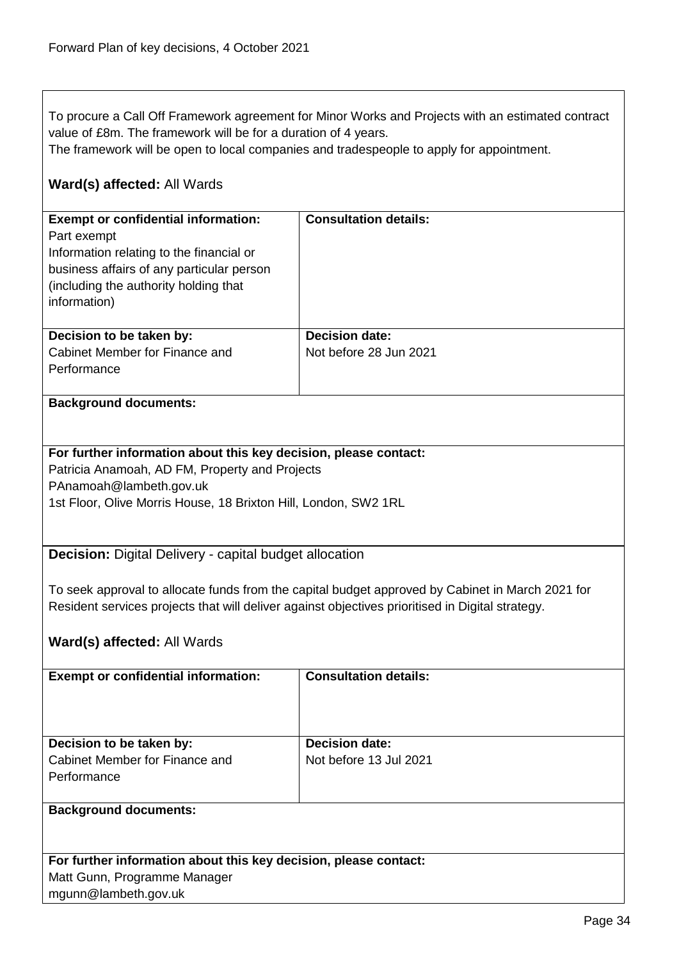To procure a Call Off Framework agreement for Minor Works and Projects with an estimated contract value of £8m. The framework will be for a duration of 4 years.

The framework will be open to local companies and tradespeople to apply for appointment.

# **Ward(s) affected:** All Wards

| <b>Exempt or confidential information:</b><br>Part exempt<br>Information relating to the financial or<br>business affairs of any particular person<br>(including the authority holding that) | <b>Consultation details:</b>                    |
|----------------------------------------------------------------------------------------------------------------------------------------------------------------------------------------------|-------------------------------------------------|
| information)                                                                                                                                                                                 |                                                 |
| Decision to be taken by:<br>Cabinet Member for Finance and<br>Performance                                                                                                                    | <b>Decision date:</b><br>Not before 28 Jun 2021 |

#### **Background documents:**

#### **For further information about this key decision, please contact:**

Patricia Anamoah, AD FM, Property and Projects PAnamoah@lambeth.gov.uk 1st Floor, Olive Morris House, 18 Brixton Hill, London, SW2 1RL

<span id="page-33-0"></span>**Decision:** Digital Delivery - capital budget allocation

To seek approval to allocate funds from the capital budget approved by Cabinet in March 2021 for Resident services projects that will deliver against objectives prioritised in Digital strategy.

#### **Ward(s) affected:** All Wards

| <b>Exempt or confidential information:</b>                                | <b>Consultation details:</b>                    |
|---------------------------------------------------------------------------|-------------------------------------------------|
| Decision to be taken by:<br>Cabinet Member for Finance and<br>Performance | <b>Decision date:</b><br>Not before 13 Jul 2021 |
| <b>Background documents:</b>                                              |                                                 |

**For further information about this key decision, please contact:** Matt Gunn, Programme Manager mgunn@lambeth.gov.uk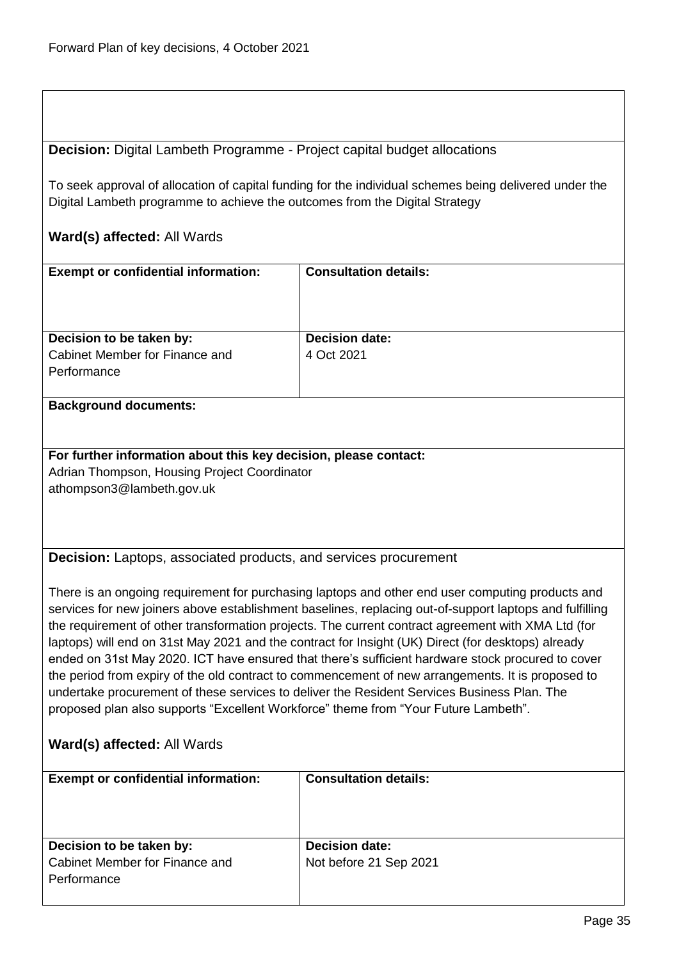<span id="page-34-0"></span>**Decision:** Digital Lambeth Programme - Project capital budget allocations

To seek approval of allocation of capital funding for the individual schemes being delivered under the Digital Lambeth programme to achieve the outcomes from the Digital Strategy

### **Ward(s) affected:** All Wards

| <b>Exempt or confidential information:</b>         | <b>Consultation details:</b> |
|----------------------------------------------------|------------------------------|
| Decision to be taken by:                           | <b>Decision date:</b>        |
| Cabinet Member for Finance and                     | 4 Oct 2021                   |
| Performance                                        |                              |
|                                                    |                              |
| Property and a control of the process of a control |                              |

#### **Background documents:**

### **For further information about this key decision, please contact:** Adrian Thompson, Housing Project Coordinator

athompson3@lambeth.gov.uk

<span id="page-34-1"></span>**Decision:** Laptops, associated products, and services procurement

There is an ongoing requirement for purchasing laptops and other end user computing products and services for new joiners above establishment baselines, replacing out-of-support laptops and fulfilling the requirement of other transformation projects. The current contract agreement with XMA Ltd (for laptops) will end on 31st May 2021 and the contract for Insight (UK) Direct (for desktops) already ended on 31st May 2020. ICT have ensured that there's sufficient hardware stock procured to cover the period from expiry of the old contract to commencement of new arrangements. It is proposed to undertake procurement of these services to deliver the Resident Services Business Plan. The proposed plan also supports "Excellent Workforce" theme from "Your Future Lambeth".

| <b>Exempt or confidential information:</b>                                | <b>Consultation details:</b>                    |
|---------------------------------------------------------------------------|-------------------------------------------------|
| Decision to be taken by:<br>Cabinet Member for Finance and<br>Performance | <b>Decision date:</b><br>Not before 21 Sep 2021 |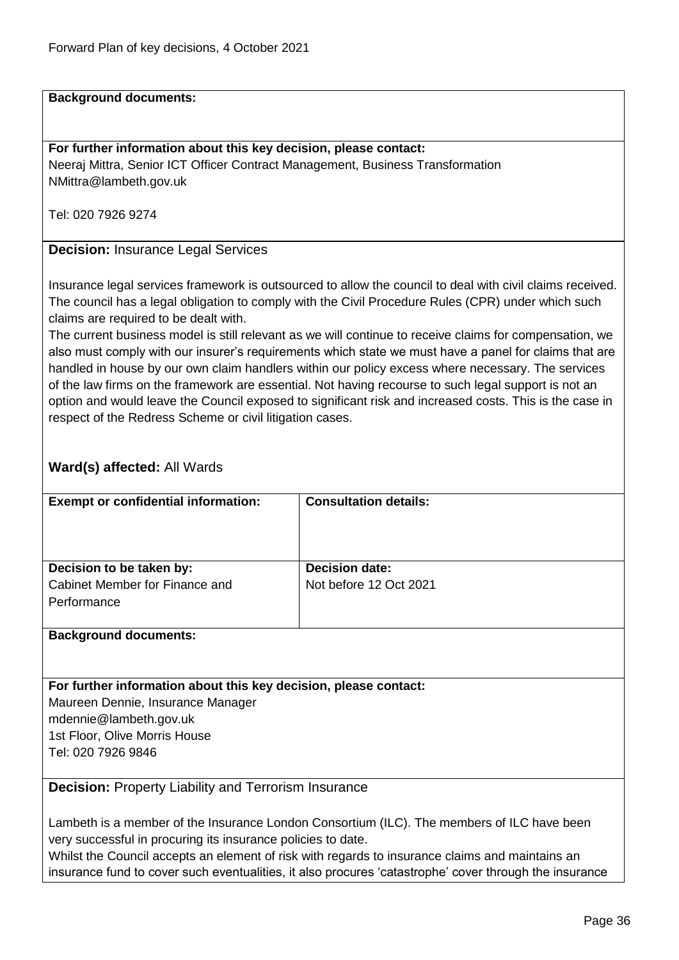#### **Background documents:**

#### **For further information about this key decision, please contact:**

Neeraj Mittra, Senior ICT Officer Contract Management, Business Transformation NMittra@lambeth.gov.uk

Tel: 020 7926 9274

#### <span id="page-35-0"></span>**Decision:** Insurance Legal Services

Insurance legal services framework is outsourced to allow the council to deal with civil claims received. The council has a legal obligation to comply with the Civil Procedure Rules (CPR) under which such claims are required to be dealt with.

The current business model is still relevant as we will continue to receive claims for compensation, we also must comply with our insurer's requirements which state we must have a panel for claims that are handled in house by our own claim handlers within our policy excess where necessary. The services of the law firms on the framework are essential. Not having recourse to such legal support is not an option and would leave the Council exposed to significant risk and increased costs. This is the case in respect of the Redress Scheme or civil litigation cases.

#### **Ward(s) affected:** All Wards

| <b>Consultation details:</b> |
|------------------------------|
| <b>Decision date:</b>        |
| Not before 12 Oct 2021       |
|                              |

#### **Background documents:**

#### **For further information about this key decision, please contact:**

Maureen Dennie, Insurance Manager mdennie@lambeth.gov.uk 1st Floor, Olive Morris House Tel: 020 7926 9846

<span id="page-35-1"></span>**Decision:** Property Liability and Terrorism Insurance

Lambeth is a member of the Insurance London Consortium (ILC). The members of ILC have been very successful in procuring its insurance policies to date.

Whilst the Council accepts an element of risk with regards to insurance claims and maintains an insurance fund to cover such eventualities, it also procures 'catastrophe' cover through the insurance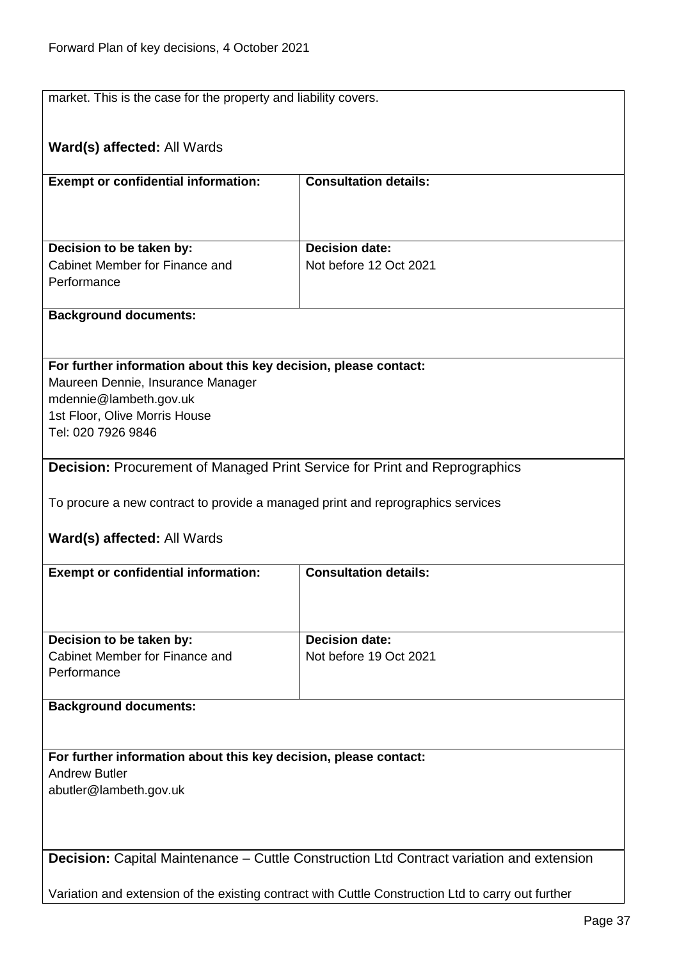market. This is the case for the property and liability covers.

| Ward(s) affected: All Wards                                                                           |                              |
|-------------------------------------------------------------------------------------------------------|------------------------------|
| <b>Exempt or confidential information:</b>                                                            | <b>Consultation details:</b> |
|                                                                                                       |                              |
|                                                                                                       | <b>Decision date:</b>        |
| Decision to be taken by:<br>Cabinet Member for Finance and                                            | Not before 12 Oct 2021       |
| Performance                                                                                           |                              |
| <b>Background documents:</b>                                                                          |                              |
|                                                                                                       |                              |
| For further information about this key decision, please contact:<br>Maureen Dennie, Insurance Manager |                              |
| mdennie@lambeth.gov.uk                                                                                |                              |
| 1st Floor, Olive Morris House                                                                         |                              |
| Tel: 020 7926 9846                                                                                    |                              |
| <b>Decision:</b> Procurement of Managed Print Service for Print and Reprographics                     |                              |
| To procure a new contract to provide a managed print and reprographics services                       |                              |
|                                                                                                       |                              |
| <b>Ward(s) affected: All Wards</b>                                                                    |                              |
| <b>Exempt or confidential information:</b>                                                            | <b>Consultation details:</b> |
|                                                                                                       |                              |
|                                                                                                       | <b>Decision date:</b>        |
| Decision to be taken by:<br>Cabinet Member for Finance and                                            | Not before 19 Oct 2021       |
| Performance                                                                                           |                              |
| <b>Background documents:</b>                                                                          |                              |
|                                                                                                       |                              |
| For further information about this key decision, please contact:                                      |                              |
| <b>Andrew Butler</b>                                                                                  |                              |
| abutler@lambeth.gov.uk                                                                                |                              |
|                                                                                                       |                              |
| Decision: Capital Maintenance - Cuttle Construction Ltd Contract variation and extension              |                              |
|                                                                                                       |                              |
| Variation and extension of the existing contract with Cuttle Construction Ltd to carry out further    |                              |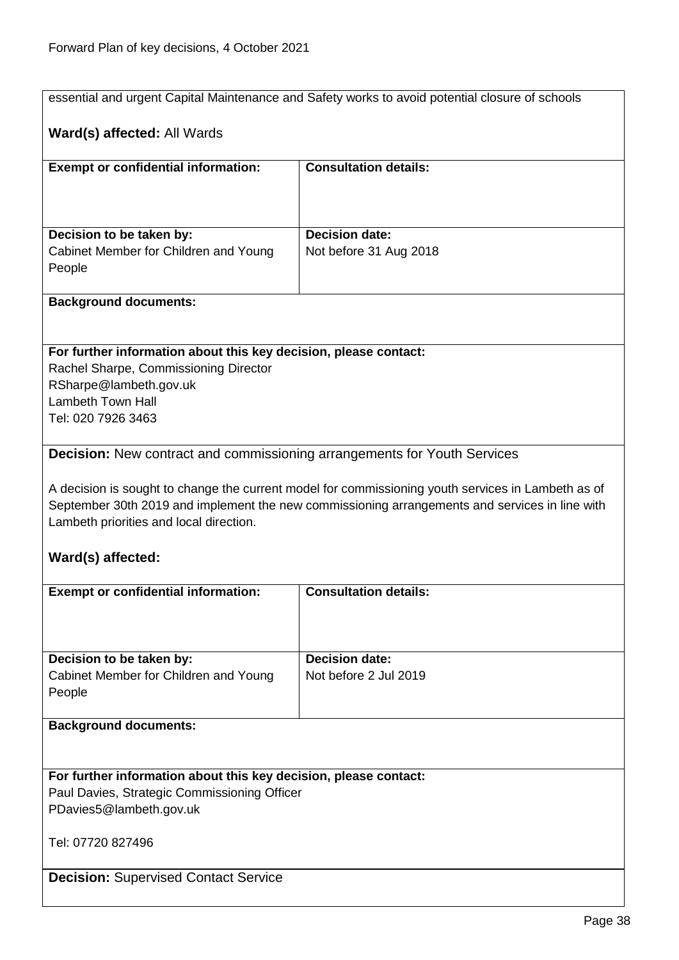|                                                                                                           | essential and urgent Capital Maintenance and Safety works to avoid potential closure of schools    |
|-----------------------------------------------------------------------------------------------------------|----------------------------------------------------------------------------------------------------|
|                                                                                                           |                                                                                                    |
| Ward(s) affected: All Wards                                                                               |                                                                                                    |
|                                                                                                           |                                                                                                    |
| <b>Exempt or confidential information:</b>                                                                | <b>Consultation details:</b>                                                                       |
|                                                                                                           |                                                                                                    |
|                                                                                                           |                                                                                                    |
| Decision to be taken by:                                                                                  | <b>Decision date:</b>                                                                              |
| Cabinet Member for Children and Young                                                                     | Not before 31 Aug 2018                                                                             |
| People                                                                                                    |                                                                                                    |
|                                                                                                           |                                                                                                    |
| <b>Background documents:</b>                                                                              |                                                                                                    |
|                                                                                                           |                                                                                                    |
|                                                                                                           |                                                                                                    |
| For further information about this key decision, please contact:<br>Rachel Sharpe, Commissioning Director |                                                                                                    |
| RSharpe@lambeth.gov.uk                                                                                    |                                                                                                    |
| <b>Lambeth Town Hall</b>                                                                                  |                                                                                                    |
| Tel: 020 7926 3463                                                                                        |                                                                                                    |
|                                                                                                           |                                                                                                    |
| <b>Decision:</b> New contract and commissioning arrangements for Youth Services                           |                                                                                                    |
|                                                                                                           |                                                                                                    |
|                                                                                                           | A decision is sought to change the current model for commissioning youth services in Lambeth as of |
|                                                                                                           | September 30th 2019 and implement the new commissioning arrangements and services in line with     |
| Lambeth priorities and local direction.                                                                   |                                                                                                    |
|                                                                                                           |                                                                                                    |
| Ward(s) affected:                                                                                         |                                                                                                    |
| <b>Exempt or confidential information:</b>                                                                | <b>Consultation details:</b>                                                                       |
|                                                                                                           |                                                                                                    |
|                                                                                                           |                                                                                                    |
|                                                                                                           |                                                                                                    |
| Decision to be taken by:                                                                                  | <b>Decision date:</b>                                                                              |
| Cabinet Member for Children and Young                                                                     | Not before 2 Jul 2019                                                                              |
| People                                                                                                    |                                                                                                    |
| <b>Background documents:</b>                                                                              |                                                                                                    |
|                                                                                                           |                                                                                                    |
|                                                                                                           |                                                                                                    |
| For further information about this key decision, please contact:                                          |                                                                                                    |
| Paul Davies, Strategic Commissioning Officer                                                              |                                                                                                    |
| PDavies5@lambeth.gov.uk                                                                                   |                                                                                                    |
|                                                                                                           |                                                                                                    |
| Tel: 07720 827496                                                                                         |                                                                                                    |
|                                                                                                           |                                                                                                    |
|                                                                                                           |                                                                                                    |
| <b>Decision: Supervised Contact Service</b>                                                               |                                                                                                    |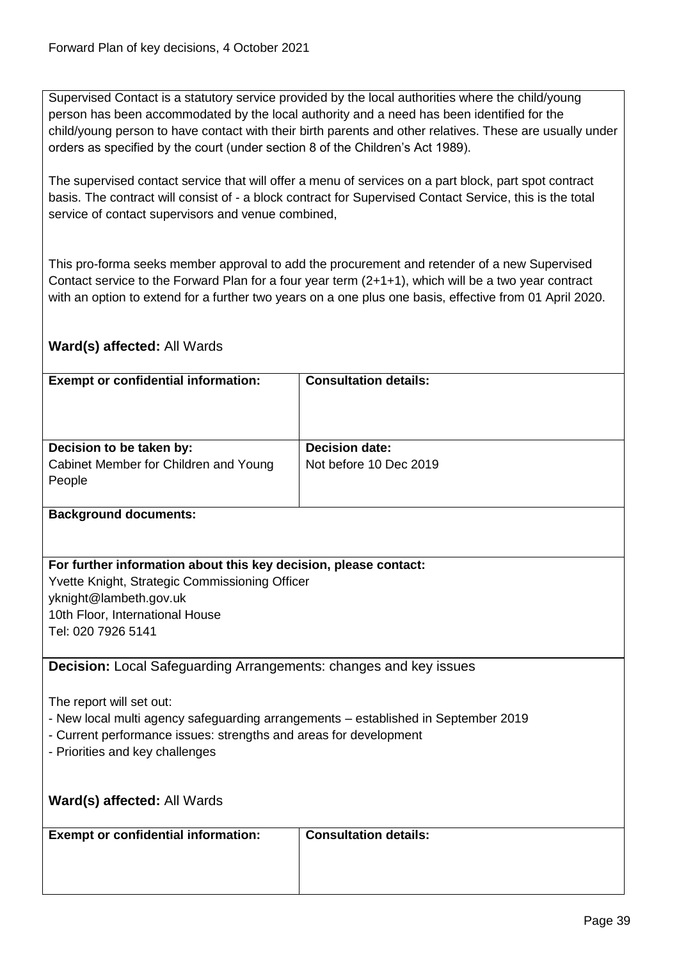Supervised Contact is a statutory service provided by the local authorities where the child/young person has been accommodated by the local authority and a need has been identified for the child/young person to have contact with their birth parents and other relatives. These are usually under orders as specified by the court (under section 8 of the Children's Act 1989).

The supervised contact service that will offer a menu of services on a part block, part spot contract basis. The contract will consist of - a block contract for Supervised Contact Service, this is the total service of contact supervisors and venue combined,

This pro-forma seeks member approval to add the procurement and retender of a new Supervised Contact service to the Forward Plan for a four year term (2+1+1), which will be a two year contract with an option to extend for a further two years on a one plus one basis, effective from 01 April 2020.

# **Ward(s) affected:** All Wards

| <b>Exempt or confidential information:</b>                                         | <b>Consultation details:</b> |
|------------------------------------------------------------------------------------|------------------------------|
|                                                                                    |                              |
|                                                                                    |                              |
| Decision to be taken by:                                                           | <b>Decision date:</b>        |
| Cabinet Member for Children and Young                                              | Not before 10 Dec 2019       |
| People                                                                             |                              |
|                                                                                    |                              |
| <b>Background documents:</b>                                                       |                              |
|                                                                                    |                              |
|                                                                                    |                              |
| For further information about this key decision, please contact:                   |                              |
| Yvette Knight, Strategic Commissioning Officer                                     |                              |
| yknight@lambeth.gov.uk                                                             |                              |
| 10th Floor, International House                                                    |                              |
| Tel: 020 7926 5141                                                                 |                              |
| <b>Decision:</b> Local Safeguarding Arrangements: changes and key issues           |                              |
|                                                                                    |                              |
| The report will set out:                                                           |                              |
| - New local multi agency safeguarding arrangements - established in September 2019 |                              |
| - Current performance issues: strengths and areas for development                  |                              |
| - Priorities and key challenges                                                    |                              |
|                                                                                    |                              |
|                                                                                    |                              |
| Ward(s) affected: All Wards                                                        |                              |
|                                                                                    | <b>Consultation details:</b> |
| <b>Exempt or confidential information:</b>                                         |                              |
|                                                                                    |                              |
|                                                                                    |                              |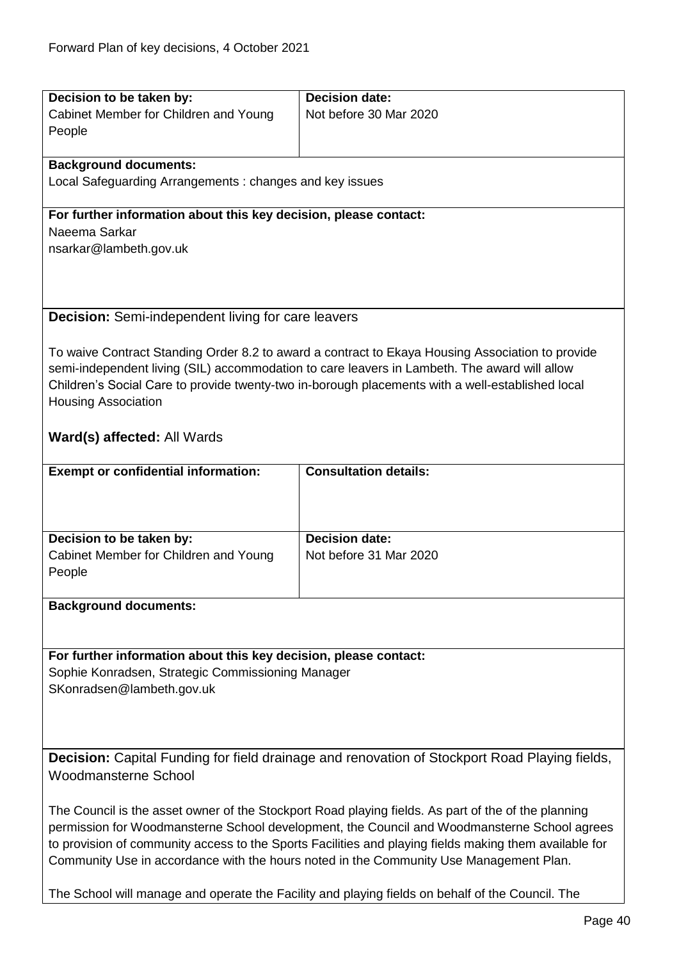| Decision to be taken by:                                                                                              | <b>Decision date:</b>                                                                               |
|-----------------------------------------------------------------------------------------------------------------------|-----------------------------------------------------------------------------------------------------|
| Cabinet Member for Children and Young                                                                                 | Not before 30 Mar 2020                                                                              |
| People                                                                                                                |                                                                                                     |
|                                                                                                                       |                                                                                                     |
| <b>Background documents:</b>                                                                                          |                                                                                                     |
| Local Safeguarding Arrangements: changes and key issues                                                               |                                                                                                     |
|                                                                                                                       |                                                                                                     |
| For further information about this key decision, please contact:                                                      |                                                                                                     |
| Naeema Sarkar                                                                                                         |                                                                                                     |
| nsarkar@lambeth.gov.uk                                                                                                |                                                                                                     |
|                                                                                                                       |                                                                                                     |
|                                                                                                                       |                                                                                                     |
| <b>Decision:</b> Semi-independent living for care leavers                                                             |                                                                                                     |
|                                                                                                                       |                                                                                                     |
|                                                                                                                       | To waive Contract Standing Order 8.2 to award a contract to Ekaya Housing Association to provide    |
|                                                                                                                       | semi-independent living (SIL) accommodation to care leavers in Lambeth. The award will allow        |
|                                                                                                                       | Children's Social Care to provide twenty-two in-borough placements with a well-established local    |
| <b>Housing Association</b>                                                                                            |                                                                                                     |
|                                                                                                                       |                                                                                                     |
| Ward(s) affected: All Wards                                                                                           |                                                                                                     |
|                                                                                                                       |                                                                                                     |
| <b>Exempt or confidential information:</b>                                                                            | <b>Consultation details:</b>                                                                        |
|                                                                                                                       |                                                                                                     |
|                                                                                                                       |                                                                                                     |
|                                                                                                                       |                                                                                                     |
| Decision to be taken by:                                                                                              | <b>Decision date:</b>                                                                               |
| Cabinet Member for Children and Young                                                                                 | Not before 31 Mar 2020                                                                              |
| People                                                                                                                |                                                                                                     |
|                                                                                                                       |                                                                                                     |
| <b>Background documents:</b>                                                                                          |                                                                                                     |
|                                                                                                                       |                                                                                                     |
|                                                                                                                       |                                                                                                     |
| For further information about this key decision, please contact:<br>Sophie Konradsen, Strategic Commissioning Manager |                                                                                                     |
| SKonradsen@lambeth.gov.uk                                                                                             |                                                                                                     |
|                                                                                                                       |                                                                                                     |
|                                                                                                                       |                                                                                                     |
|                                                                                                                       |                                                                                                     |
| Decision: Capital Funding for field drainage and renovation of Stockport Road Playing fields,                         |                                                                                                     |
| <b>Woodmansterne School</b>                                                                                           |                                                                                                     |
|                                                                                                                       |                                                                                                     |
|                                                                                                                       | The Council is the asset owner of the Stockport Road playing fields. As part of the of the planning |
| permission for Woodmansterne School development, the Council and Woodmansterne School agrees                          |                                                                                                     |
| to provision of community access to the Sports Facilities and playing fields making them available for                |                                                                                                     |
| Community Use in accordance with the hours noted in the Community Use Management Plan.                                |                                                                                                     |
|                                                                                                                       |                                                                                                     |

The School will manage and operate the Facility and playing fields on behalf of the Council. The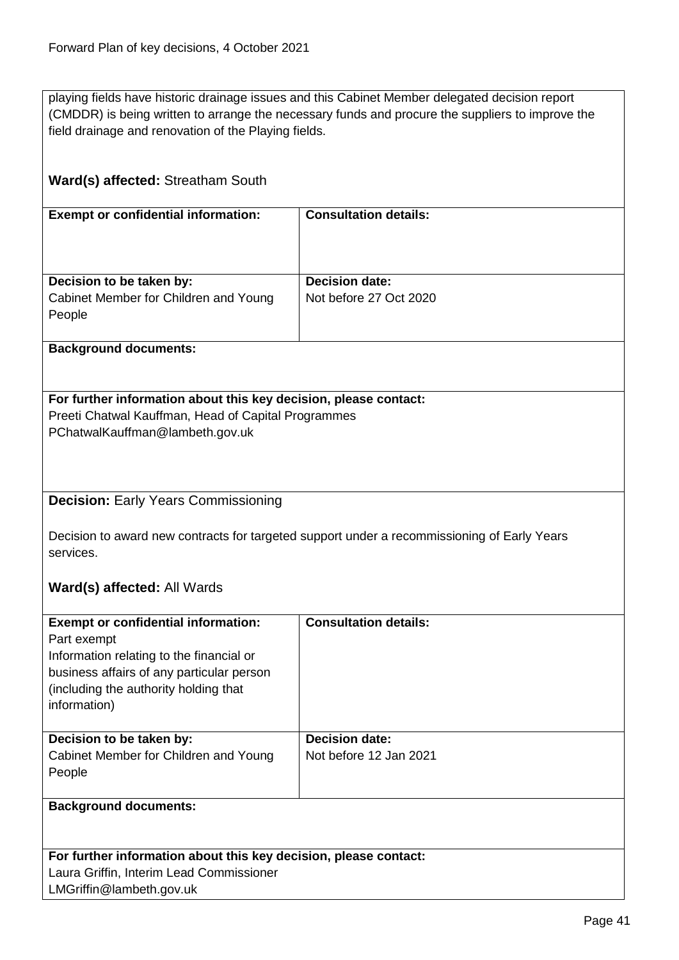playing fields have historic drainage issues and this Cabinet Member delegated decision report (CMDDR) is being written to arrange the necessary funds and procure the suppliers to improve the field drainage and renovation of the Playing fields.

# **Ward(s) affected:** Streatham South

| <b>Exempt or confidential information:</b> | <b>Consultation details:</b> |
|--------------------------------------------|------------------------------|
| Decision to be taken by:                   | <b>Decision date:</b>        |
| Cabinet Member for Children and Young      | Not before 27 Oct 2020       |
| People                                     |                              |
|                                            |                              |

## **Background documents:**

# **For further information about this key decision, please contact:** Preeti Chatwal Kauffman, Head of Capital Programmes

PChatwalKauffman@lambeth.gov.uk

# **Decision:** Early Years Commissioning

Decision to award new contracts for targeted support under a recommissioning of Early Years services.

# **Ward(s) affected:** All Wards

| <b>Exempt or confidential information:</b><br>Part exempt<br>Information relating to the financial or<br>business affairs of any particular person<br>(including the authority holding that)<br>information) | <b>Consultation details:</b>                    |
|--------------------------------------------------------------------------------------------------------------------------------------------------------------------------------------------------------------|-------------------------------------------------|
| Decision to be taken by:<br>Cabinet Member for Children and Young<br>People                                                                                                                                  | <b>Decision date:</b><br>Not before 12 Jan 2021 |
| <b>Background documents:</b>                                                                                                                                                                                 |                                                 |

| For further information about this key decision, please contact: |
|------------------------------------------------------------------|
| Laura Griffin, Interim Lead Commissioner                         |
| LMGriffin@lambeth.gov.uk                                         |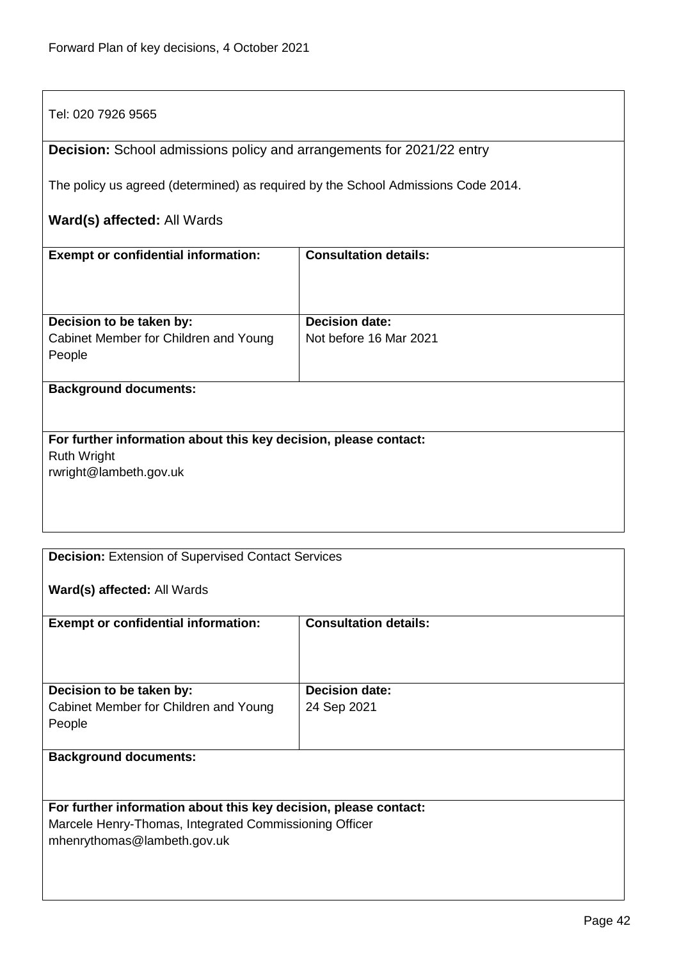# Tel: 020 7926 9565 **Decision:** School admissions policy and arrangements for 2021/22 entry The policy us agreed (determined) as required by the School Admissions Code 2014. **Ward(s) affected:** All Wards **Exempt or confidential information: Consultation details: Decision to be taken by:** Cabinet Member for Children and Young People **Decision date:** Not before 16 Mar 2021 **Background documents: For further information about this key decision, please contact:** Ruth Wright rwright@lambeth.gov.uk

|                                                                  | <b>Decision: Extension of Supervised Contact Services</b> |  |
|------------------------------------------------------------------|-----------------------------------------------------------|--|
| Ward(s) affected: All Wards                                      |                                                           |  |
| <b>Exempt or confidential information:</b>                       | <b>Consultation details:</b>                              |  |
|                                                                  |                                                           |  |
| Decision to be taken by:                                         | <b>Decision date:</b>                                     |  |
| Cabinet Member for Children and Young                            | 24 Sep 2021                                               |  |
| People                                                           |                                                           |  |
| <b>Background documents:</b>                                     |                                                           |  |
|                                                                  |                                                           |  |
|                                                                  |                                                           |  |
| For further information about this key decision, please contact: |                                                           |  |
| Marcele Henry-Thomas, Integrated Commissioning Officer           |                                                           |  |
| mhenrythomas@lambeth.gov.uk                                      |                                                           |  |
|                                                                  |                                                           |  |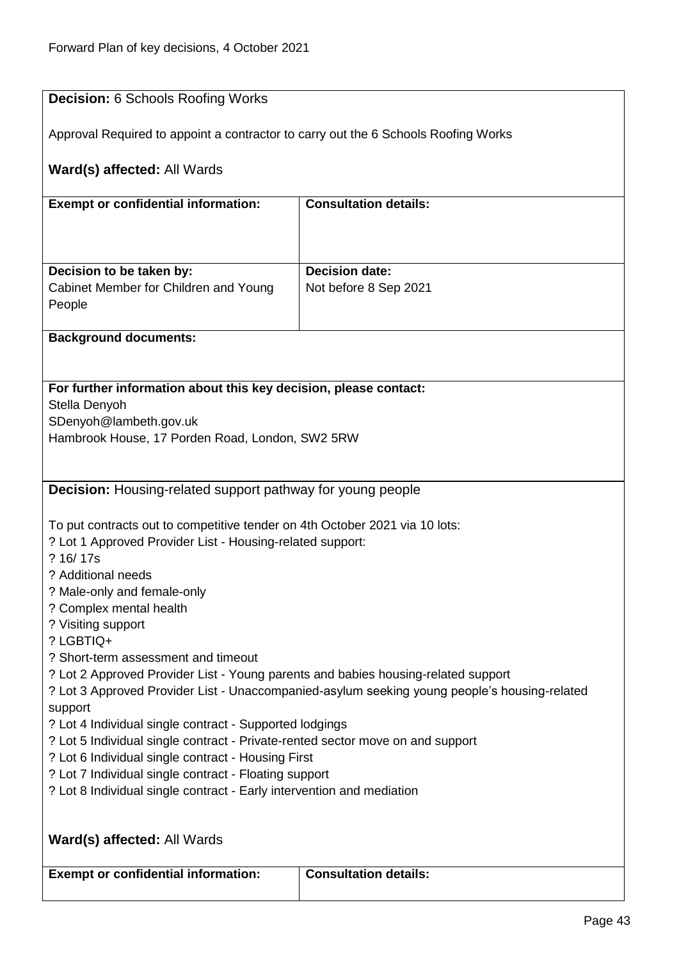| <b>Decision: 6 Schools Roofing Works</b>                                                                                                                                          |                              |
|-----------------------------------------------------------------------------------------------------------------------------------------------------------------------------------|------------------------------|
|                                                                                                                                                                                   |                              |
| Approval Required to appoint a contractor to carry out the 6 Schools Roofing Works                                                                                                |                              |
|                                                                                                                                                                                   |                              |
| Ward(s) affected: All Wards                                                                                                                                                       |                              |
|                                                                                                                                                                                   |                              |
| <b>Exempt or confidential information:</b>                                                                                                                                        | <b>Consultation details:</b> |
|                                                                                                                                                                                   |                              |
|                                                                                                                                                                                   |                              |
|                                                                                                                                                                                   | <b>Decision date:</b>        |
| Decision to be taken by:<br>Cabinet Member for Children and Young                                                                                                                 | Not before 8 Sep 2021        |
| People                                                                                                                                                                            |                              |
|                                                                                                                                                                                   |                              |
| <b>Background documents:</b>                                                                                                                                                      |                              |
|                                                                                                                                                                                   |                              |
|                                                                                                                                                                                   |                              |
| For further information about this key decision, please contact:                                                                                                                  |                              |
| Stella Denyoh                                                                                                                                                                     |                              |
| SDenyoh@lambeth.gov.uk                                                                                                                                                            |                              |
| Hambrook House, 17 Porden Road, London, SW2 5RW                                                                                                                                   |                              |
|                                                                                                                                                                                   |                              |
|                                                                                                                                                                                   |                              |
| <b>Decision:</b> Housing-related support pathway for young people                                                                                                                 |                              |
|                                                                                                                                                                                   |                              |
| To put contracts out to competitive tender on 4th October 2021 via 10 lots:                                                                                                       |                              |
| ? Lot 1 Approved Provider List - Housing-related support:                                                                                                                         |                              |
| ? 16/17s                                                                                                                                                                          |                              |
| ? Additional needs                                                                                                                                                                |                              |
| ? Male-only and female-only                                                                                                                                                       |                              |
| ? Complex mental health                                                                                                                                                           |                              |
| ? Visiting support                                                                                                                                                                |                              |
| ? LGBTIQ+                                                                                                                                                                         |                              |
| ? Short-term assessment and timeout                                                                                                                                               |                              |
| ? Lot 2 Approved Provider List - Young parents and babies housing-related support<br>? Lot 3 Approved Provider List - Unaccompanied-asylum seeking young people's housing-related |                              |
| support                                                                                                                                                                           |                              |
| ? Lot 4 Individual single contract - Supported lodgings                                                                                                                           |                              |
| ? Lot 5 Individual single contract - Private-rented sector move on and support                                                                                                    |                              |
| ? Lot 6 Individual single contract - Housing First                                                                                                                                |                              |
| ? Lot 7 Individual single contract - Floating support                                                                                                                             |                              |
| ? Lot 8 Individual single contract - Early intervention and mediation                                                                                                             |                              |
|                                                                                                                                                                                   |                              |
|                                                                                                                                                                                   |                              |
| Ward(s) affected: All Wards                                                                                                                                                       |                              |
|                                                                                                                                                                                   |                              |
| <b>Exempt or confidential information:</b>                                                                                                                                        | <b>Consultation details:</b> |
|                                                                                                                                                                                   |                              |
|                                                                                                                                                                                   |                              |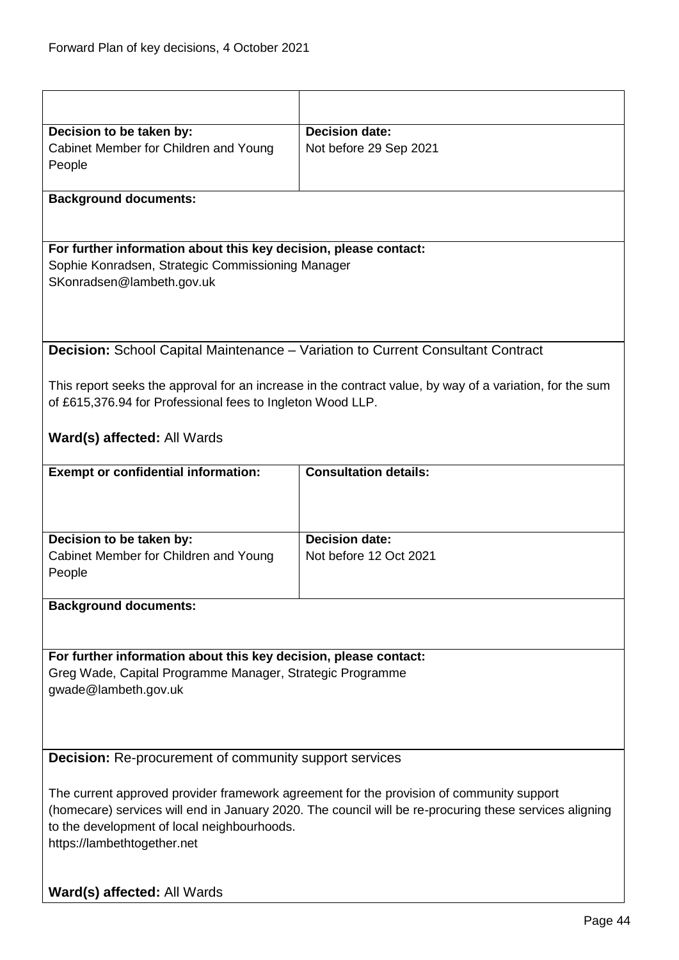| <b>Decision date:</b><br>Decision to be taken by:<br>Cabinet Member for Children and Young<br>Not before 29 Sep 2021<br>People<br><b>Background documents:</b><br>For further information about this key decision, please contact:<br>Sophie Konradsen, Strategic Commissioning Manager<br>SKonradsen@lambeth.gov.uk<br>Decision: School Capital Maintenance - Variation to Current Consultant Contract<br>This report seeks the approval for an increase in the contract value, by way of a variation, for the sum<br>of £615,376.94 for Professional fees to Ingleton Wood LLP.<br><b>Ward(s) affected: All Wards</b><br><b>Consultation details:</b><br><b>Exempt or confidential information:</b><br><b>Decision date:</b><br>Decision to be taken by:<br>Cabinet Member for Children and Young<br>Not before 12 Oct 2021<br>People<br><b>Background documents:</b> |  |
|-------------------------------------------------------------------------------------------------------------------------------------------------------------------------------------------------------------------------------------------------------------------------------------------------------------------------------------------------------------------------------------------------------------------------------------------------------------------------------------------------------------------------------------------------------------------------------------------------------------------------------------------------------------------------------------------------------------------------------------------------------------------------------------------------------------------------------------------------------------------------|--|
|                                                                                                                                                                                                                                                                                                                                                                                                                                                                                                                                                                                                                                                                                                                                                                                                                                                                         |  |
|                                                                                                                                                                                                                                                                                                                                                                                                                                                                                                                                                                                                                                                                                                                                                                                                                                                                         |  |
|                                                                                                                                                                                                                                                                                                                                                                                                                                                                                                                                                                                                                                                                                                                                                                                                                                                                         |  |
|                                                                                                                                                                                                                                                                                                                                                                                                                                                                                                                                                                                                                                                                                                                                                                                                                                                                         |  |
|                                                                                                                                                                                                                                                                                                                                                                                                                                                                                                                                                                                                                                                                                                                                                                                                                                                                         |  |
|                                                                                                                                                                                                                                                                                                                                                                                                                                                                                                                                                                                                                                                                                                                                                                                                                                                                         |  |
|                                                                                                                                                                                                                                                                                                                                                                                                                                                                                                                                                                                                                                                                                                                                                                                                                                                                         |  |
|                                                                                                                                                                                                                                                                                                                                                                                                                                                                                                                                                                                                                                                                                                                                                                                                                                                                         |  |
|                                                                                                                                                                                                                                                                                                                                                                                                                                                                                                                                                                                                                                                                                                                                                                                                                                                                         |  |
|                                                                                                                                                                                                                                                                                                                                                                                                                                                                                                                                                                                                                                                                                                                                                                                                                                                                         |  |
|                                                                                                                                                                                                                                                                                                                                                                                                                                                                                                                                                                                                                                                                                                                                                                                                                                                                         |  |
|                                                                                                                                                                                                                                                                                                                                                                                                                                                                                                                                                                                                                                                                                                                                                                                                                                                                         |  |
|                                                                                                                                                                                                                                                                                                                                                                                                                                                                                                                                                                                                                                                                                                                                                                                                                                                                         |  |
|                                                                                                                                                                                                                                                                                                                                                                                                                                                                                                                                                                                                                                                                                                                                                                                                                                                                         |  |
|                                                                                                                                                                                                                                                                                                                                                                                                                                                                                                                                                                                                                                                                                                                                                                                                                                                                         |  |
|                                                                                                                                                                                                                                                                                                                                                                                                                                                                                                                                                                                                                                                                                                                                                                                                                                                                         |  |
|                                                                                                                                                                                                                                                                                                                                                                                                                                                                                                                                                                                                                                                                                                                                                                                                                                                                         |  |
|                                                                                                                                                                                                                                                                                                                                                                                                                                                                                                                                                                                                                                                                                                                                                                                                                                                                         |  |
|                                                                                                                                                                                                                                                                                                                                                                                                                                                                                                                                                                                                                                                                                                                                                                                                                                                                         |  |
|                                                                                                                                                                                                                                                                                                                                                                                                                                                                                                                                                                                                                                                                                                                                                                                                                                                                         |  |
|                                                                                                                                                                                                                                                                                                                                                                                                                                                                                                                                                                                                                                                                                                                                                                                                                                                                         |  |
|                                                                                                                                                                                                                                                                                                                                                                                                                                                                                                                                                                                                                                                                                                                                                                                                                                                                         |  |
|                                                                                                                                                                                                                                                                                                                                                                                                                                                                                                                                                                                                                                                                                                                                                                                                                                                                         |  |
|                                                                                                                                                                                                                                                                                                                                                                                                                                                                                                                                                                                                                                                                                                                                                                                                                                                                         |  |
|                                                                                                                                                                                                                                                                                                                                                                                                                                                                                                                                                                                                                                                                                                                                                                                                                                                                         |  |
|                                                                                                                                                                                                                                                                                                                                                                                                                                                                                                                                                                                                                                                                                                                                                                                                                                                                         |  |
|                                                                                                                                                                                                                                                                                                                                                                                                                                                                                                                                                                                                                                                                                                                                                                                                                                                                         |  |
|                                                                                                                                                                                                                                                                                                                                                                                                                                                                                                                                                                                                                                                                                                                                                                                                                                                                         |  |
|                                                                                                                                                                                                                                                                                                                                                                                                                                                                                                                                                                                                                                                                                                                                                                                                                                                                         |  |
|                                                                                                                                                                                                                                                                                                                                                                                                                                                                                                                                                                                                                                                                                                                                                                                                                                                                         |  |
| For further information about this key decision, please contact:                                                                                                                                                                                                                                                                                                                                                                                                                                                                                                                                                                                                                                                                                                                                                                                                        |  |
| Greg Wade, Capital Programme Manager, Strategic Programme                                                                                                                                                                                                                                                                                                                                                                                                                                                                                                                                                                                                                                                                                                                                                                                                               |  |
| gwade@lambeth.gov.uk                                                                                                                                                                                                                                                                                                                                                                                                                                                                                                                                                                                                                                                                                                                                                                                                                                                    |  |
|                                                                                                                                                                                                                                                                                                                                                                                                                                                                                                                                                                                                                                                                                                                                                                                                                                                                         |  |
|                                                                                                                                                                                                                                                                                                                                                                                                                                                                                                                                                                                                                                                                                                                                                                                                                                                                         |  |
|                                                                                                                                                                                                                                                                                                                                                                                                                                                                                                                                                                                                                                                                                                                                                                                                                                                                         |  |
| <b>Decision:</b> Re-procurement of community support services                                                                                                                                                                                                                                                                                                                                                                                                                                                                                                                                                                                                                                                                                                                                                                                                           |  |
|                                                                                                                                                                                                                                                                                                                                                                                                                                                                                                                                                                                                                                                                                                                                                                                                                                                                         |  |
| The current approved provider framework agreement for the provision of community support                                                                                                                                                                                                                                                                                                                                                                                                                                                                                                                                                                                                                                                                                                                                                                                |  |
| (homecare) services will end in January 2020. The council will be re-procuring these services aligning                                                                                                                                                                                                                                                                                                                                                                                                                                                                                                                                                                                                                                                                                                                                                                  |  |
| to the development of local neighbourhoods.                                                                                                                                                                                                                                                                                                                                                                                                                                                                                                                                                                                                                                                                                                                                                                                                                             |  |
| https://lambethtogether.net                                                                                                                                                                                                                                                                                                                                                                                                                                                                                                                                                                                                                                                                                                                                                                                                                                             |  |
|                                                                                                                                                                                                                                                                                                                                                                                                                                                                                                                                                                                                                                                                                                                                                                                                                                                                         |  |
|                                                                                                                                                                                                                                                                                                                                                                                                                                                                                                                                                                                                                                                                                                                                                                                                                                                                         |  |
| Ward(s) affected: All Wards                                                                                                                                                                                                                                                                                                                                                                                                                                                                                                                                                                                                                                                                                                                                                                                                                                             |  |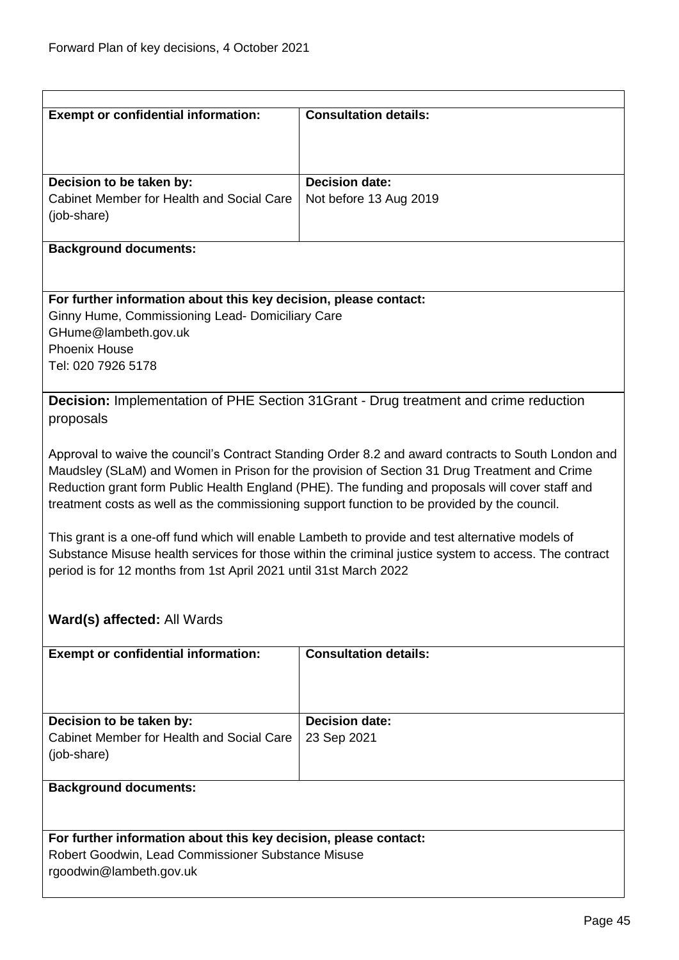| <b>Exempt or confidential information:</b>                                                            | <b>Consultation details:</b>                                                                        |
|-------------------------------------------------------------------------------------------------------|-----------------------------------------------------------------------------------------------------|
|                                                                                                       |                                                                                                     |
|                                                                                                       |                                                                                                     |
| Decision to be taken by:                                                                              | <b>Decision date:</b>                                                                               |
| Cabinet Member for Health and Social Care                                                             | Not before 13 Aug 2019                                                                              |
| (job-share)                                                                                           |                                                                                                     |
| <b>Background documents:</b>                                                                          |                                                                                                     |
|                                                                                                       |                                                                                                     |
| For further information about this key decision, please contact:                                      |                                                                                                     |
| Ginny Hume, Commissioning Lead- Domiciliary Care                                                      |                                                                                                     |
| GHume@lambeth.gov.uk                                                                                  |                                                                                                     |
| <b>Phoenix House</b>                                                                                  |                                                                                                     |
| Tel: 020 7926 5178                                                                                    |                                                                                                     |
|                                                                                                       | <b>Decision:</b> Implementation of PHE Section 31 Grant - Drug treatment and crime reduction        |
| proposals                                                                                             |                                                                                                     |
|                                                                                                       |                                                                                                     |
|                                                                                                       | Approval to waive the council's Contract Standing Order 8.2 and award contracts to South London and |
|                                                                                                       | Maudsley (SLaM) and Women in Prison for the provision of Section 31 Drug Treatment and Crime        |
|                                                                                                       | Reduction grant form Public Health England (PHE). The funding and proposals will cover staff and    |
|                                                                                                       | treatment costs as well as the commissioning support function to be provided by the council.        |
|                                                                                                       |                                                                                                     |
| This grant is a one-off fund which will enable Lambeth to provide and test alternative models of      |                                                                                                     |
| Substance Misuse health services for those within the criminal justice system to access. The contract |                                                                                                     |
| period is for 12 months from 1st April 2021 until 31st March 2022                                     |                                                                                                     |
|                                                                                                       |                                                                                                     |
| Ward(s) affected: All Wards                                                                           |                                                                                                     |
| <b>Exempt or confidential information:</b>                                                            | <b>Consultation details:</b>                                                                        |
|                                                                                                       |                                                                                                     |
|                                                                                                       |                                                                                                     |
| Decision to be taken by:                                                                              | <b>Decision date:</b>                                                                               |
| Cabinet Member for Health and Social Care                                                             | 23 Sep 2021                                                                                         |
| (job-share)                                                                                           |                                                                                                     |
|                                                                                                       |                                                                                                     |
| <b>Background documents:</b>                                                                          |                                                                                                     |
|                                                                                                       |                                                                                                     |
| For further information about this key decision, please contact:                                      |                                                                                                     |
| Robert Goodwin, Lead Commissioner Substance Misuse                                                    |                                                                                                     |
| rgoodwin@lambeth.gov.uk                                                                               |                                                                                                     |
|                                                                                                       |                                                                                                     |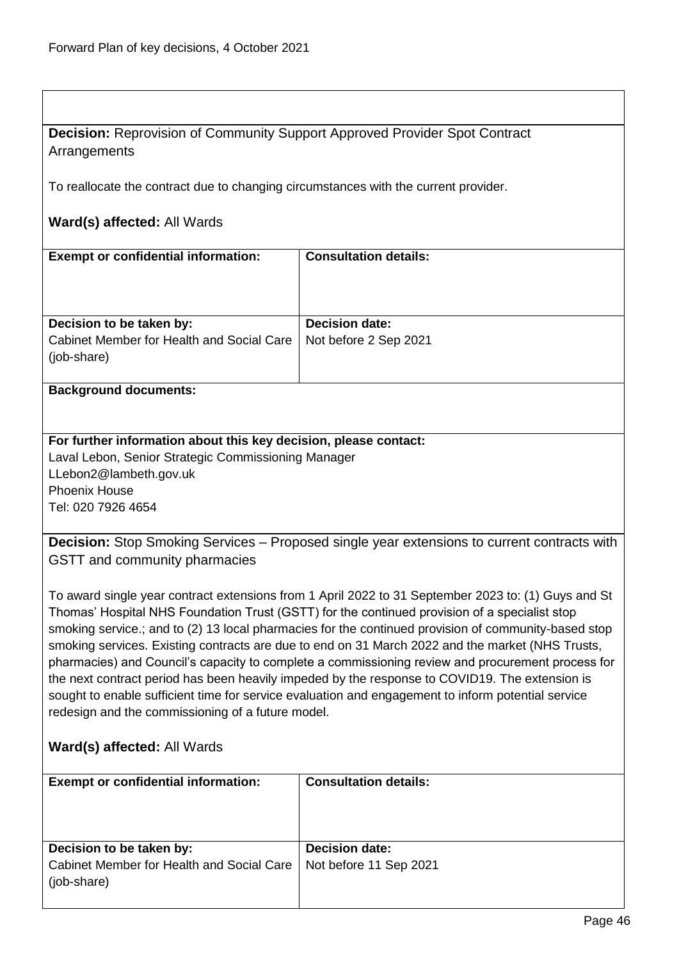# **Decision:** Reprovision of Community Support Approved Provider Spot Contract **Arrangements**

To reallocate the contract due to changing circumstances with the current provider.

## **Ward(s) affected:** All Wards

| <b>Exempt or confidential information:</b> | <b>Consultation details:</b> |
|--------------------------------------------|------------------------------|
| Decision to be taken by:                   | <b>Decision date:</b>        |
| Cabinet Member for Health and Social Care  | Not before 2 Sep 2021        |
| (job-share)                                |                              |
|                                            |                              |
| <b>Background documents:</b>               |                              |

# **For further information about this key decision, please contact:** Laval Lebon, Senior Strategic Commissioning Manager LLebon2@lambeth.gov.uk

Phoenix House Tel: 020 7926 4654

**Decision:** Stop Smoking Services – Proposed single year extensions to current contracts with GSTT and community pharmacies

To award single year contract extensions from 1 April 2022 to 31 September 2023 to: (1) Guys and St Thomas' Hospital NHS Foundation Trust (GSTT) for the continued provision of a specialist stop smoking service.; and to (2) 13 local pharmacies for the continued provision of community-based stop smoking services. Existing contracts are due to end on 31 March 2022 and the market (NHS Trusts, pharmacies) and Council's capacity to complete a commissioning review and procurement process for the next contract period has been heavily impeded by the response to COVID19. The extension is sought to enable sufficient time for service evaluation and engagement to inform potential service redesign and the commissioning of a future model.

# **Ward(s) affected:** All Wards

| <b>Exempt or confidential information:</b>               | <b>Consultation details:</b> |
|----------------------------------------------------------|------------------------------|
| Decision to be taken by:                                 | <b>Decision date:</b>        |
| Cabinet Member for Health and Social Care<br>(job-share) | Not before 11 Sep 2021       |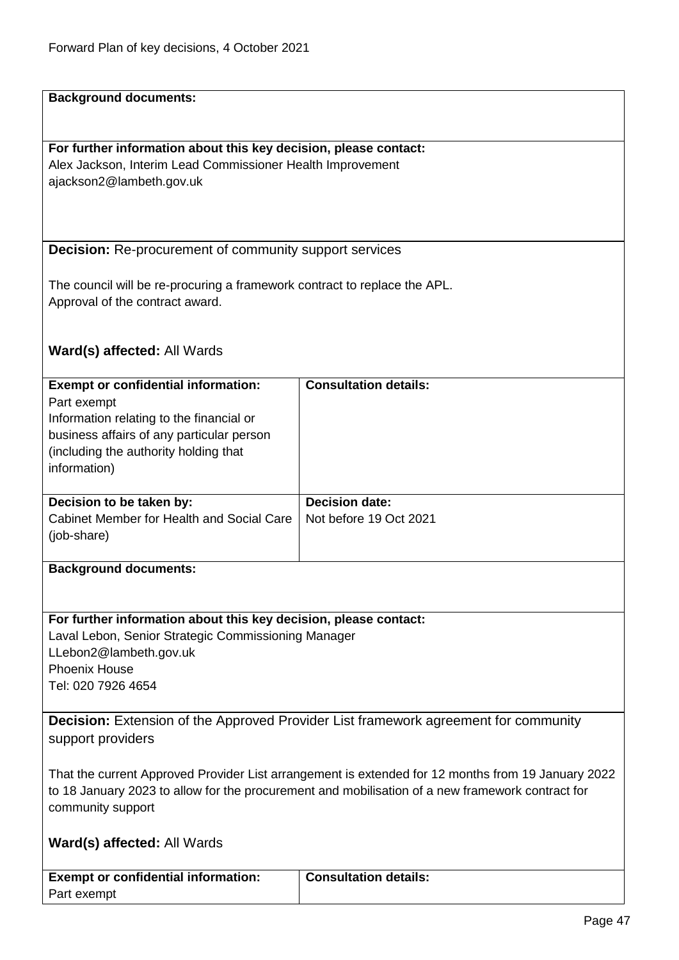| <b>Background documents:</b>                                                                                                                                                                           |                                                 |
|--------------------------------------------------------------------------------------------------------------------------------------------------------------------------------------------------------|-------------------------------------------------|
|                                                                                                                                                                                                        |                                                 |
| For further information about this key decision, please contact:                                                                                                                                       |                                                 |
| Alex Jackson, Interim Lead Commissioner Health Improvement                                                                                                                                             |                                                 |
| ajackson2@lambeth.gov.uk                                                                                                                                                                               |                                                 |
|                                                                                                                                                                                                        |                                                 |
|                                                                                                                                                                                                        |                                                 |
|                                                                                                                                                                                                        |                                                 |
| <b>Decision:</b> Re-procurement of community support services                                                                                                                                          |                                                 |
| The council will be re-procuring a framework contract to replace the APL.                                                                                                                              |                                                 |
| Approval of the contract award.                                                                                                                                                                        |                                                 |
|                                                                                                                                                                                                        |                                                 |
|                                                                                                                                                                                                        |                                                 |
| Ward(s) affected: All Wards                                                                                                                                                                            |                                                 |
| <b>Exempt or confidential information:</b>                                                                                                                                                             | <b>Consultation details:</b>                    |
| Part exempt                                                                                                                                                                                            |                                                 |
| Information relating to the financial or                                                                                                                                                               |                                                 |
| business affairs of any particular person                                                                                                                                                              |                                                 |
| (including the authority holding that                                                                                                                                                                  |                                                 |
| information)                                                                                                                                                                                           |                                                 |
|                                                                                                                                                                                                        |                                                 |
| Decision to be taken by:<br>Cabinet Member for Health and Social Care                                                                                                                                  | <b>Decision date:</b><br>Not before 19 Oct 2021 |
| (job-share)                                                                                                                                                                                            |                                                 |
|                                                                                                                                                                                                        |                                                 |
| <b>Background documents:</b>                                                                                                                                                                           |                                                 |
|                                                                                                                                                                                                        |                                                 |
| For further information about this key decision, please contact:                                                                                                                                       |                                                 |
| Laval Lebon, Senior Strategic Commissioning Manager                                                                                                                                                    |                                                 |
| LLebon2@lambeth.gov.uk                                                                                                                                                                                 |                                                 |
| <b>Phoenix House</b>                                                                                                                                                                                   |                                                 |
| Tel: 020 7926 4654                                                                                                                                                                                     |                                                 |
|                                                                                                                                                                                                        |                                                 |
| <b>Decision:</b> Extension of the Approved Provider List framework agreement for community                                                                                                             |                                                 |
| support providers                                                                                                                                                                                      |                                                 |
|                                                                                                                                                                                                        |                                                 |
| That the current Approved Provider List arrangement is extended for 12 months from 19 January 2022<br>to 18 January 2023 to allow for the procurement and mobilisation of a new framework contract for |                                                 |
| community support                                                                                                                                                                                      |                                                 |
|                                                                                                                                                                                                        |                                                 |
| <b>Ward(s) affected: All Wards</b>                                                                                                                                                                     |                                                 |
|                                                                                                                                                                                                        |                                                 |
| <b>Exempt or confidential information:</b>                                                                                                                                                             | <b>Consultation details:</b>                    |
| Part exempt                                                                                                                                                                                            |                                                 |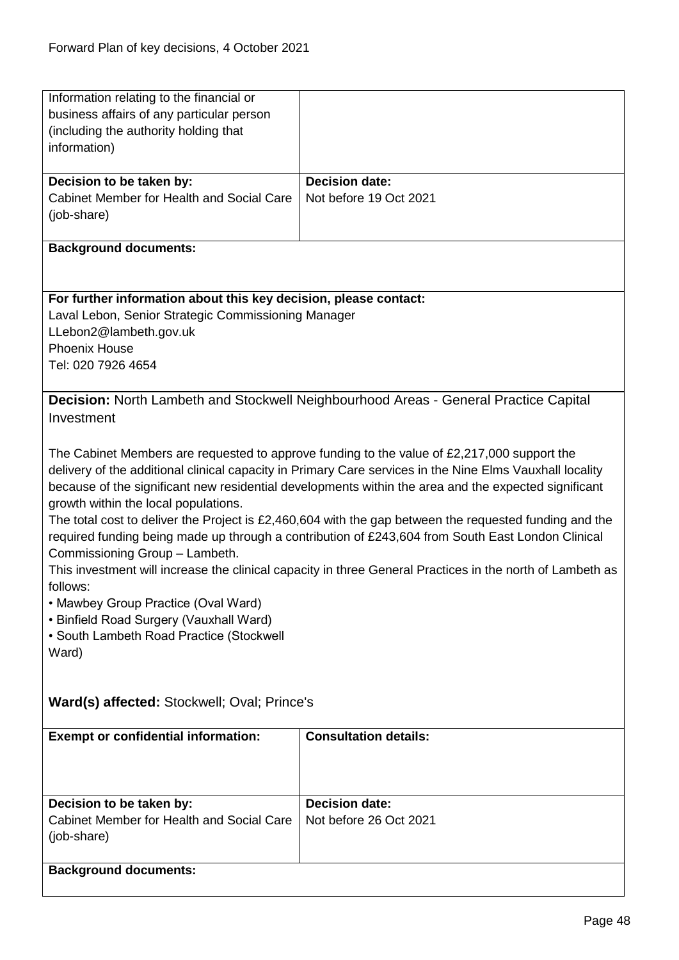| Information relating to the financial or                         |                                                                                                           |
|------------------------------------------------------------------|-----------------------------------------------------------------------------------------------------------|
| business affairs of any particular person                        |                                                                                                           |
| (including the authority holding that                            |                                                                                                           |
| information)                                                     |                                                                                                           |
|                                                                  |                                                                                                           |
| Decision to be taken by:                                         | <b>Decision date:</b>                                                                                     |
| Cabinet Member for Health and Social Care                        | Not before 19 Oct 2021                                                                                    |
|                                                                  |                                                                                                           |
| (job-share)                                                      |                                                                                                           |
|                                                                  |                                                                                                           |
| <b>Background documents:</b>                                     |                                                                                                           |
|                                                                  |                                                                                                           |
|                                                                  |                                                                                                           |
| For further information about this key decision, please contact: |                                                                                                           |
| Laval Lebon, Senior Strategic Commissioning Manager              |                                                                                                           |
| LLebon2@lambeth.gov.uk                                           |                                                                                                           |
| <b>Phoenix House</b>                                             |                                                                                                           |
| Tel: 020 7926 4654                                               |                                                                                                           |
|                                                                  |                                                                                                           |
|                                                                  | Decision: North Lambeth and Stockwell Neighbourhood Areas - General Practice Capital                      |
| Investment                                                       |                                                                                                           |
|                                                                  |                                                                                                           |
|                                                                  | The Cabinet Members are requested to approve funding to the value of £2,217,000 support the               |
|                                                                  | delivery of the additional clinical capacity in Primary Care services in the Nine Elms Vauxhall locality  |
|                                                                  |                                                                                                           |
|                                                                  | because of the significant new residential developments within the area and the expected significant      |
| growth within the local populations.                             |                                                                                                           |
|                                                                  | The total cost to deliver the Project is £2,460,604 with the gap between the requested funding and the    |
|                                                                  | required funding being made up through a contribution of £243,604 from South East London Clinical         |
| Commissioning Group - Lambeth.                                   |                                                                                                           |
|                                                                  | This investment will increase the clinical capacity in three General Practices in the north of Lambeth as |
| follows:                                                         |                                                                                                           |
| • Mawbey Group Practice (Oval Ward)                              |                                                                                                           |
| • Binfield Road Surgery (Vauxhall Ward)                          |                                                                                                           |
| • South Lambeth Road Practice (Stockwell                         |                                                                                                           |
| Ward)                                                            |                                                                                                           |
|                                                                  |                                                                                                           |
|                                                                  |                                                                                                           |
| Ward(s) affected: Stockwell; Oval; Prince's                      |                                                                                                           |
|                                                                  |                                                                                                           |
| <b>Exempt or confidential information:</b>                       | <b>Consultation details:</b>                                                                              |
|                                                                  |                                                                                                           |
|                                                                  |                                                                                                           |
|                                                                  |                                                                                                           |
|                                                                  |                                                                                                           |
| Decision to be taken by:                                         | <b>Decision date:</b>                                                                                     |
| Cabinet Member for Health and Social Care                        | Not before 26 Oct 2021                                                                                    |
| (job-share)                                                      |                                                                                                           |
|                                                                  |                                                                                                           |
| <b>Background documents:</b>                                     |                                                                                                           |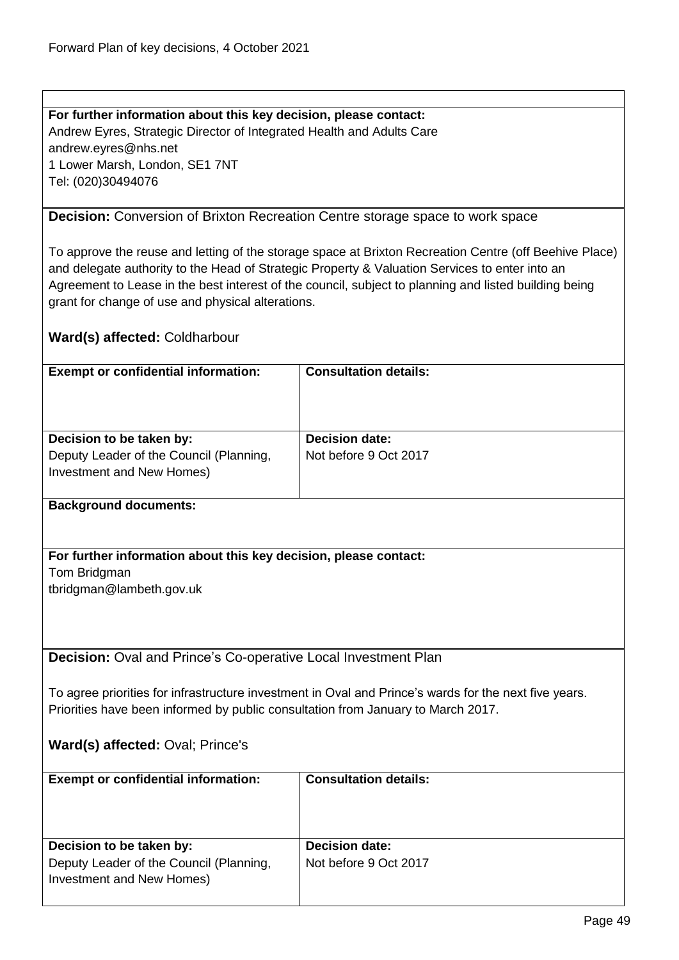**For further information about this key decision, please contact:** Andrew Eyres, Strategic Director of Integrated Health and Adults Care andrew.eyres@nhs.net 1 Lower Marsh, London, SE1 7NT Tel: (020)30494076

## **Decision:** Conversion of Brixton Recreation Centre storage space to work space

To approve the reuse and letting of the storage space at Brixton Recreation Centre (off Beehive Place) and delegate authority to the Head of Strategic Property & Valuation Services to enter into an Agreement to Lease in the best interest of the council, subject to planning and listed building being grant for change of use and physical alterations.

## **Ward(s) affected:** Coldharbour

| <b>Exempt or confidential information:</b>                                                       | <b>Consultation details:</b>                   |
|--------------------------------------------------------------------------------------------------|------------------------------------------------|
| Decision to be taken by:<br>Deputy Leader of the Council (Planning,<br>Investment and New Homes) | <b>Decision date:</b><br>Not before 9 Oct 2017 |

## **Background documents:**

## **For further information about this key decision, please contact:**

Tom Bridgman

tbridgman@lambeth.gov.uk

**Decision:** Oval and Prince's Co-operative Local Investment Plan

To agree priorities for infrastructure investment in Oval and Prince's wards for the next five years. Priorities have been informed by public consultation from January to March 2017.

## **Ward(s) affected:** Oval; Prince's

| <b>Exempt or confidential information:</b>                                                       | <b>Consultation details:</b>                   |
|--------------------------------------------------------------------------------------------------|------------------------------------------------|
| Decision to be taken by:<br>Deputy Leader of the Council (Planning,<br>Investment and New Homes) | <b>Decision date:</b><br>Not before 9 Oct 2017 |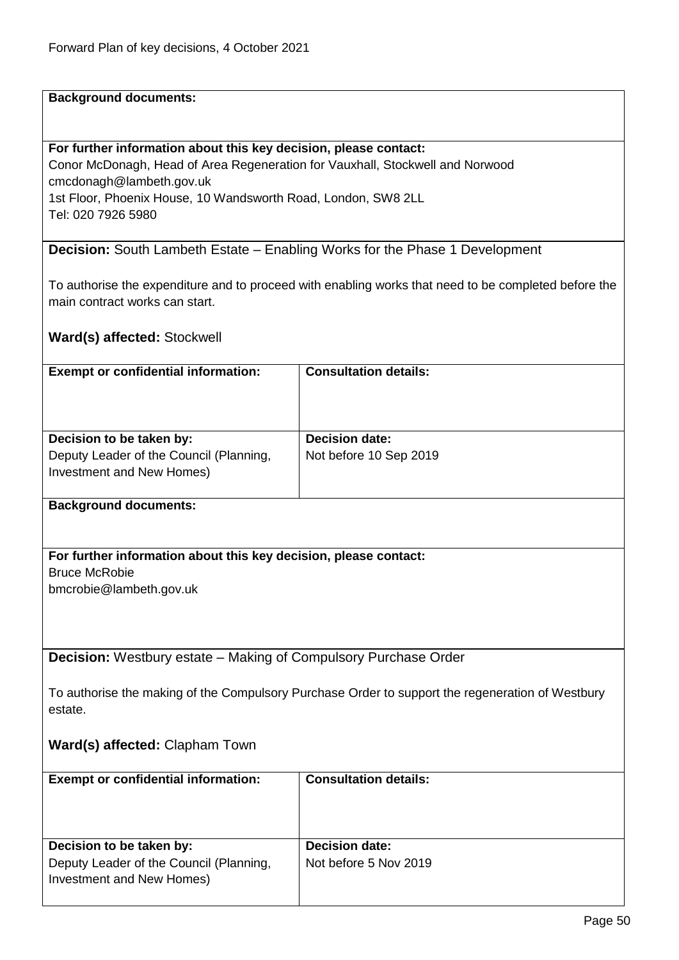#### **Background documents:**

#### **For further information about this key decision, please contact:**

Conor McDonagh, Head of Area Regeneration for Vauxhall, Stockwell and Norwood cmcdonagh@lambeth.gov.uk 1st Floor, Phoenix House, 10 Wandsworth Road, London, SW8 2LL Tel: 020 7926 5980

**Decision:** South Lambeth Estate – Enabling Works for the Phase 1 Development

To authorise the expenditure and to proceed with enabling works that need to be completed before the main contract works can start.

## **Ward(s) affected:** Stockwell

| <b>Exempt or confidential information:</b> | <b>Consultation details:</b> |
|--------------------------------------------|------------------------------|
| Decision to be taken by:                   | <b>Decision date:</b>        |
| Deputy Leader of the Council (Planning,    | Not before 10 Sep 2019       |
| Investment and New Homes)                  |                              |

#### **Background documents:**

#### **For further information about this key decision, please contact:**

Bruce McRobie bmcrobie@lambeth.gov.uk

**Decision:** Westbury estate – Making of Compulsory Purchase Order

To authorise the making of the Compulsory Purchase Order to support the regeneration of Westbury estate.

# **Ward(s) affected:** Clapham Town

| <b>Exempt or confidential information:</b>                                                       | <b>Consultation details:</b>                   |
|--------------------------------------------------------------------------------------------------|------------------------------------------------|
| Decision to be taken by:<br>Deputy Leader of the Council (Planning,<br>Investment and New Homes) | <b>Decision date:</b><br>Not before 5 Nov 2019 |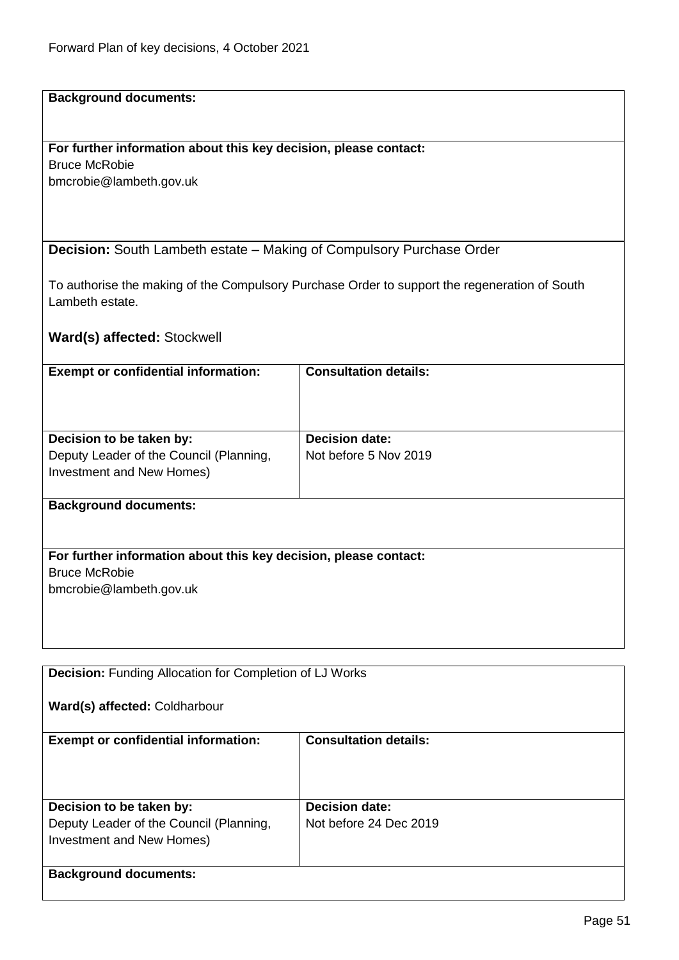# **Background documents:**

## **For further information about this key decision, please contact:**

Bruce McRobie bmcrobie@lambeth.gov.uk

**Decision:** South Lambeth estate – Making of Compulsory Purchase Order

To authorise the making of the Compulsory Purchase Order to support the regeneration of South Lambeth estate.

**Ward(s) affected:** Stockwell

| <b>Exempt or confidential information:</b>                           | <b>Consultation details:</b> |
|----------------------------------------------------------------------|------------------------------|
| Decision to be taken by:                                             | <b>Decision date:</b>        |
| Deputy Leader of the Council (Planning,<br>Investment and New Homes) | Not before 5 Nov 2019        |
| <b>Background documents:</b>                                         |                              |
| For further information about this key decision, please contact:     |                              |
| <b>Bruce McRobie</b>                                                 |                              |
| bmcrobie@lambeth.gov.uk                                              |                              |

**Decision:** Funding Allocation for Completion of LJ Works **Ward(s) affected:** Coldharbour **Exempt or confidential information:** Consultation details: **Decision to be taken by:** Deputy Leader of the Council (Planning, Investment and New Homes) **Decision date:** Not before 24 Dec 2019 **Background documents:**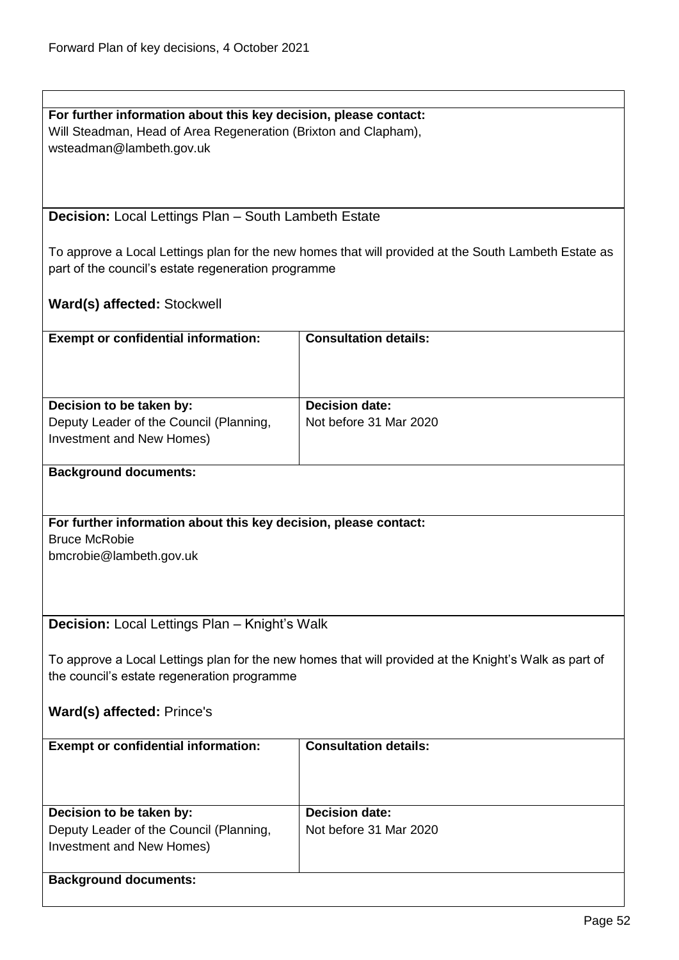| For further information about this key decision, please contact: |
|------------------------------------------------------------------|
| Will Steadman, Head of Area Regeneration (Brixton and Clapham),  |
| wsteadman@lambeth.gov.uk                                         |

**Decision:** Local Lettings Plan – South Lambeth Estate

To approve a Local Lettings plan for the new homes that will provided at the South Lambeth Estate as part of the council's estate regeneration programme

# **Ward(s) affected:** Stockwell

| <b>Exempt or confidential information:</b>                       | <b>Consultation details:</b>                                                                          |  |
|------------------------------------------------------------------|-------------------------------------------------------------------------------------------------------|--|
|                                                                  |                                                                                                       |  |
|                                                                  |                                                                                                       |  |
| Decision to be taken by:                                         | <b>Decision date:</b>                                                                                 |  |
| Deputy Leader of the Council (Planning,                          | Not before 31 Mar 2020                                                                                |  |
| Investment and New Homes)                                        |                                                                                                       |  |
| <b>Background documents:</b>                                     |                                                                                                       |  |
|                                                                  |                                                                                                       |  |
|                                                                  |                                                                                                       |  |
| For further information about this key decision, please contact: |                                                                                                       |  |
| <b>Bruce McRobie</b>                                             |                                                                                                       |  |
| bmcrobie@lambeth.gov.uk                                          |                                                                                                       |  |
|                                                                  |                                                                                                       |  |
|                                                                  |                                                                                                       |  |
| Decision: Local Lettings Plan - Knight's Walk                    |                                                                                                       |  |
|                                                                  |                                                                                                       |  |
|                                                                  | To approve a Local Lettings plan for the new homes that will provided at the Knight's Walk as part of |  |
| the council's estate regeneration programme                      |                                                                                                       |  |
|                                                                  |                                                                                                       |  |
| Ward(s) affected: Prince's                                       |                                                                                                       |  |
| <b>Exempt or confidential information:</b>                       | <b>Consultation details:</b>                                                                          |  |
|                                                                  |                                                                                                       |  |
|                                                                  |                                                                                                       |  |
|                                                                  |                                                                                                       |  |
| Decision to be taken by:                                         | <b>Decision date:</b>                                                                                 |  |
| Deputy Leader of the Council (Planning,                          | Not before 31 Mar 2020                                                                                |  |
| Investment and New Homes)                                        |                                                                                                       |  |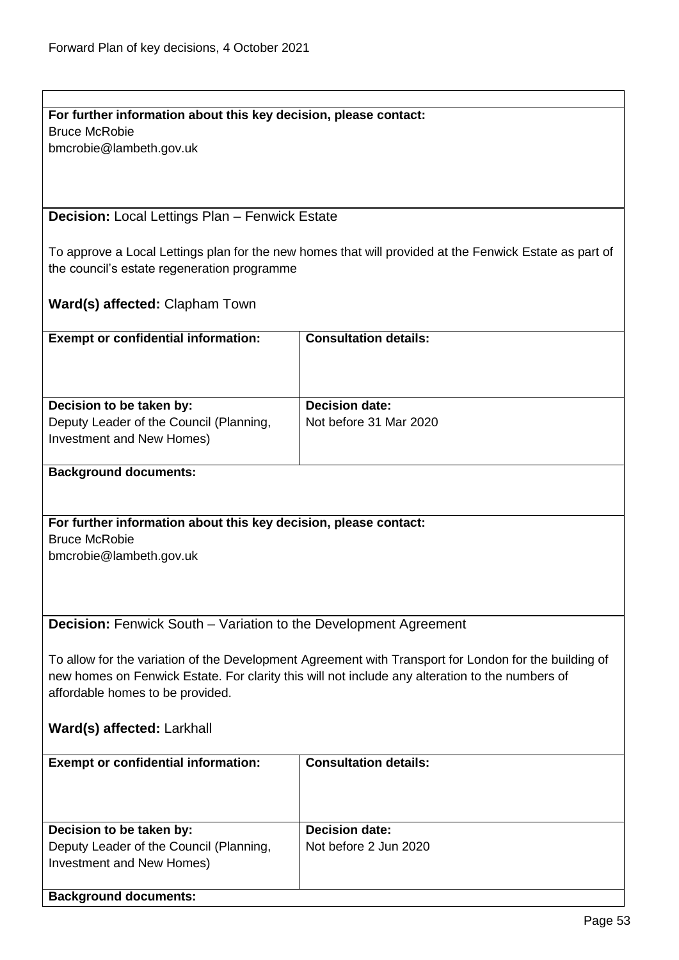| For further information about this key decision, please contact:                                      |                                                                                                        |
|-------------------------------------------------------------------------------------------------------|--------------------------------------------------------------------------------------------------------|
| <b>Bruce McRobie</b>                                                                                  |                                                                                                        |
| bmcrobie@lambeth.gov.uk                                                                               |                                                                                                        |
|                                                                                                       |                                                                                                        |
|                                                                                                       |                                                                                                        |
|                                                                                                       |                                                                                                        |
| <b>Decision: Local Lettings Plan - Fenwick Estate</b>                                                 |                                                                                                        |
|                                                                                                       |                                                                                                        |
|                                                                                                       |                                                                                                        |
|                                                                                                       | To approve a Local Lettings plan for the new homes that will provided at the Fenwick Estate as part of |
| the council's estate regeneration programme                                                           |                                                                                                        |
|                                                                                                       |                                                                                                        |
| <b>Ward(s) affected: Clapham Town</b>                                                                 |                                                                                                        |
|                                                                                                       |                                                                                                        |
| <b>Exempt or confidential information:</b>                                                            | <b>Consultation details:</b>                                                                           |
|                                                                                                       |                                                                                                        |
|                                                                                                       |                                                                                                        |
|                                                                                                       |                                                                                                        |
|                                                                                                       |                                                                                                        |
| Decision to be taken by:                                                                              | <b>Decision date:</b>                                                                                  |
| Deputy Leader of the Council (Planning,                                                               | Not before 31 Mar 2020                                                                                 |
| Investment and New Homes)                                                                             |                                                                                                        |
|                                                                                                       |                                                                                                        |
| <b>Background documents:</b>                                                                          |                                                                                                        |
|                                                                                                       |                                                                                                        |
|                                                                                                       |                                                                                                        |
| For further information about this key decision, please contact:                                      |                                                                                                        |
| <b>Bruce McRobie</b>                                                                                  |                                                                                                        |
| bmcrobie@lambeth.gov.uk                                                                               |                                                                                                        |
|                                                                                                       |                                                                                                        |
|                                                                                                       |                                                                                                        |
|                                                                                                       |                                                                                                        |
|                                                                                                       |                                                                                                        |
| <b>Decision:</b> Fenwick South - Variation to the Development Agreement                               |                                                                                                        |
|                                                                                                       |                                                                                                        |
| To allow for the variation of the Development Agreement with Transport for London for the building of |                                                                                                        |
|                                                                                                       | new homes on Fenwick Estate. For clarity this will not include any alteration to the numbers of        |
| affordable homes to be provided.                                                                      |                                                                                                        |
|                                                                                                       |                                                                                                        |
|                                                                                                       |                                                                                                        |
| Ward(s) affected: Larkhall                                                                            |                                                                                                        |
|                                                                                                       |                                                                                                        |
| <b>Exempt or confidential information:</b>                                                            | <b>Consultation details:</b>                                                                           |
|                                                                                                       |                                                                                                        |
|                                                                                                       |                                                                                                        |
|                                                                                                       |                                                                                                        |
| Decision to be taken by:                                                                              | <b>Decision date:</b>                                                                                  |
| Deputy Leader of the Council (Planning,                                                               | Not before 2 Jun 2020                                                                                  |
| Investment and New Homes)                                                                             |                                                                                                        |
|                                                                                                       |                                                                                                        |
|                                                                                                       |                                                                                                        |
| <b>Background documents:</b>                                                                          |                                                                                                        |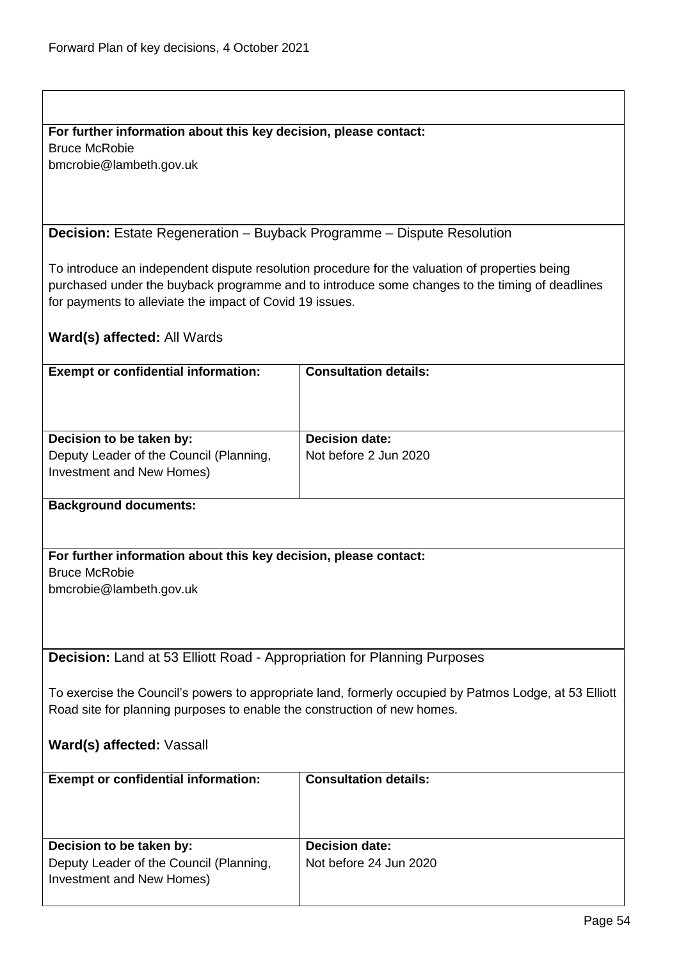# **For further information about this key decision, please contact:**

Bruce McRobie bmcrobie@lambeth.gov.uk

**Decision:** Estate Regeneration – Buyback Programme – Dispute Resolution

To introduce an independent dispute resolution procedure for the valuation of properties being purchased under the buyback programme and to introduce some changes to the timing of deadlines for payments to alleviate the impact of Covid 19 issues.

**Ward(s) affected:** All Wards

| <b>Exempt or confidential information:</b>                                                       | <b>Consultation details:</b>                   |
|--------------------------------------------------------------------------------------------------|------------------------------------------------|
| Decision to be taken by:<br>Deputy Leader of the Council (Planning,<br>Investment and New Homes) | <b>Decision date:</b><br>Not before 2 Jun 2020 |

## **Background documents:**

## **For further information about this key decision, please contact:**

Bruce McRobie

bmcrobie@lambeth.gov.uk

**Decision:** Land at 53 Elliott Road - Appropriation for Planning Purposes

To exercise the Council's powers to appropriate land, formerly occupied by Patmos Lodge, at 53 Elliott Road site for planning purposes to enable the construction of new homes.

# **Ward(s) affected:** Vassall

| <b>Exempt or confidential information:</b> | <b>Consultation details:</b> |
|--------------------------------------------|------------------------------|
| Decision to be taken by:                   | <b>Decision date:</b>        |
| Deputy Leader of the Council (Planning,    | Not before 24 Jun 2020       |
| Investment and New Homes)                  |                              |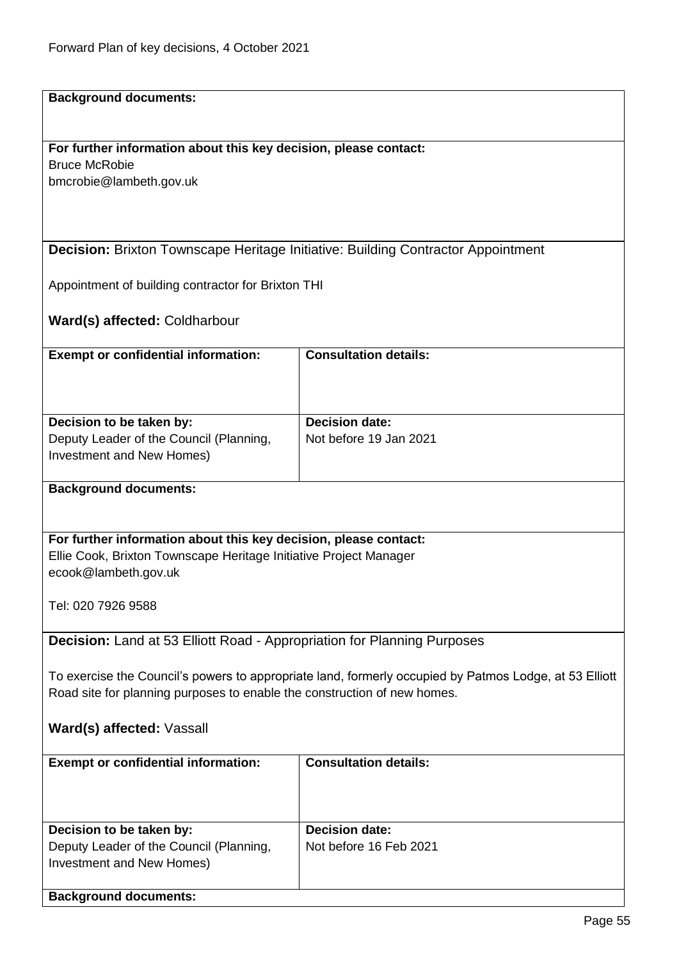**Background documents:**

## **For further information about this key decision, please contact:** Bruce McRobie

bmcrobie@lambeth.gov.uk

## **Decision:** Brixton Townscape Heritage Initiative: Building Contractor Appointment

Appointment of building contractor for Brixton THI

**Ward(s) affected:** Coldharbour

| <b>Decision date:</b><br>Not before 19 Jan 2021 |
|-------------------------------------------------|
|                                                 |

## **Background documents:**

**For further information about this key decision, please contact:** Ellie Cook, Brixton Townscape Heritage Initiative Project Manager ecook@lambeth.gov.uk

Tel: 020 7926 9588

**Decision:** Land at 53 Elliott Road - Appropriation for Planning Purposes

To exercise the Council's powers to appropriate land, formerly occupied by Patmos Lodge, at 53 Elliott Road site for planning purposes to enable the construction of new homes.

## **Ward(s) affected:** Vassall

| <b>Exempt or confidential information:</b> | <b>Consultation details:</b> |
|--------------------------------------------|------------------------------|
| Decision to be taken by:                   | <b>Decision date:</b>        |
|                                            |                              |
| Deputy Leader of the Council (Planning,    | Not before 16 Feb 2021       |
| Investment and New Homes)                  |                              |
|                                            |                              |
| <b>Background documents:</b>               |                              |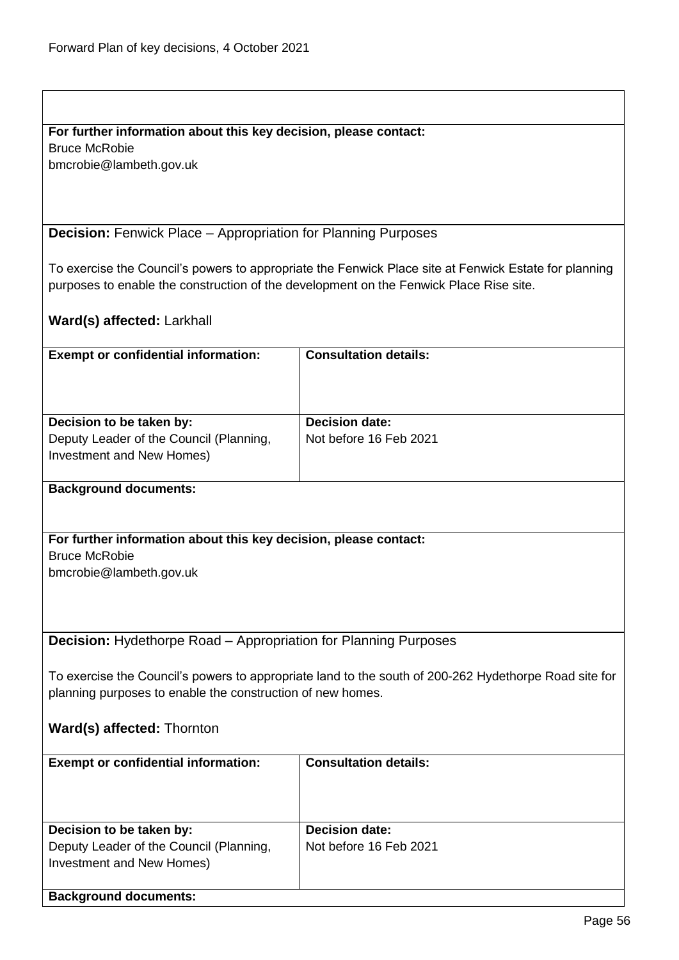# **For further information about this key decision, please contact:**

Bruce McRobie

bmcrobie@lambeth.gov.uk

**Decision:** Fenwick Place – Appropriation for Planning Purposes

To exercise the Council's powers to appropriate the Fenwick Place site at Fenwick Estate for planning purposes to enable the construction of the development on the Fenwick Place Rise site.

# **Ward(s) affected:** Larkhall

| <b>Exempt or confidential information:</b>                             | <b>Consultation details:</b> |
|------------------------------------------------------------------------|------------------------------|
|                                                                        |                              |
|                                                                        |                              |
|                                                                        |                              |
| Decision to be taken by:                                               | <b>Decision date:</b>        |
| Deputy Leader of the Council (Planning,                                | Not before 16 Feb 2021       |
| Investment and New Homes)                                              |                              |
|                                                                        |                              |
| <b>Background documents:</b>                                           |                              |
|                                                                        |                              |
|                                                                        |                              |
|                                                                        |                              |
| For further information about this key decision, please contact:       |                              |
| <b>Bruce McRobie</b>                                                   |                              |
| bmcrobie@lambeth.gov.uk                                                |                              |
|                                                                        |                              |
|                                                                        |                              |
|                                                                        |                              |
|                                                                        |                              |
| <b>Decision:</b> Hydethorpe Road – Appropriation for Planning Purposes |                              |

To exercise the Council's powers to appropriate land to the south of 200-262 Hydethorpe Road site for planning purposes to enable the construction of new homes.

# **Ward(s) affected:** Thornton

| <b>Exempt or confidential information:</b> | <b>Consultation details:</b> |
|--------------------------------------------|------------------------------|
|                                            |                              |
|                                            |                              |
|                                            |                              |
|                                            |                              |
|                                            |                              |
|                                            |                              |
| Decision to be taken by:                   | <b>Decision date:</b>        |
| Deputy Leader of the Council (Planning,    | Not before 16 Feb 2021       |
|                                            |                              |
| Investment and New Homes)                  |                              |
|                                            |                              |
|                                            |                              |
| <b>Background documents:</b>               |                              |
|                                            |                              |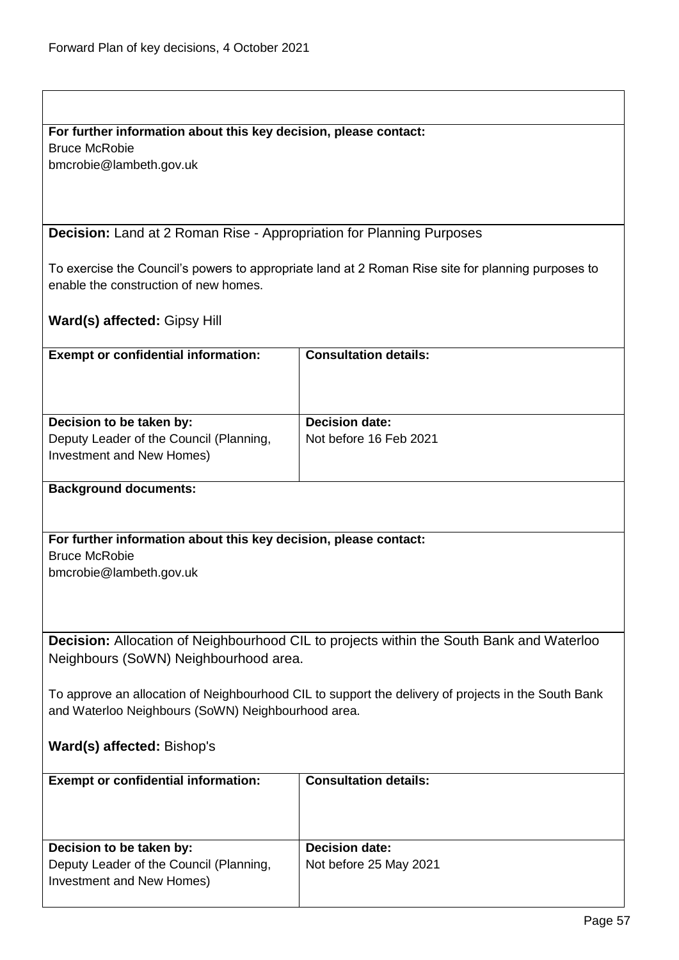# **For further information about this key decision, please contact:**

Bruce McRobie

bmcrobie@lambeth.gov.uk

**Decision:** Land at 2 Roman Rise - Appropriation for Planning Purposes

To exercise the Council's powers to appropriate land at 2 Roman Rise site for planning purposes to enable the construction of new homes.

**Ward(s) affected:** Gipsy Hill

| <b>Exempt or confidential information:</b>                                                       | <b>Consultation details:</b>                    |
|--------------------------------------------------------------------------------------------------|-------------------------------------------------|
| Decision to be taken by:<br>Deputy Leader of the Council (Planning,<br>Investment and New Homes) | <b>Decision date:</b><br>Not before 16 Feb 2021 |

## **Background documents:**

**For further information about this key decision, please contact:** Bruce McRobie bmcrobie@lambeth.gov.uk

**Decision:** Allocation of Neighbourhood CIL to projects within the South Bank and Waterloo Neighbours (SoWN) Neighbourhood area.

To approve an allocation of Neighbourhood CIL to support the delivery of projects in the South Bank and Waterloo Neighbours (SoWN) Neighbourhood area.

# **Ward(s) affected:** Bishop's

| <b>Exempt or confidential information:</b> | <b>Consultation details:</b> |
|--------------------------------------------|------------------------------|
| Decision to be taken by:                   | <b>Decision date:</b>        |
| Deputy Leader of the Council (Planning,    | Not before 25 May 2021       |
| Investment and New Homes)                  |                              |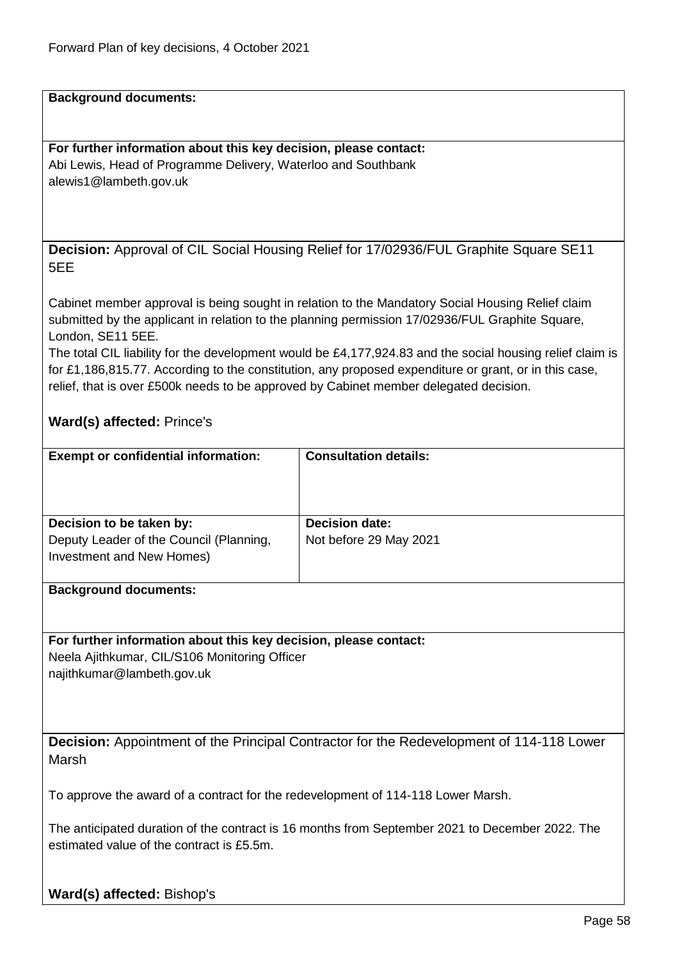**Background documents:**

**For further information about this key decision, please contact:** Abi Lewis, Head of Programme Delivery, Waterloo and Southbank alewis1@lambeth.gov.uk

**Decision:** Approval of CIL Social Housing Relief for 17/02936/FUL Graphite Square SE11 5EE

Cabinet member approval is being sought in relation to the Mandatory Social Housing Relief claim submitted by the applicant in relation to the planning permission 17/02936/FUL Graphite Square, London, SE11 5EE.

The total CIL liability for the development would be £4,177,924.83 and the social housing relief claim is for £1,186,815.77. According to the constitution, any proposed expenditure or grant, or in this case, relief, that is over £500k needs to be approved by Cabinet member delegated decision.

# **Ward(s) affected:** Prince's

| <b>Exempt or confidential information:</b>                                                       | <b>Consultation details:</b>                    |
|--------------------------------------------------------------------------------------------------|-------------------------------------------------|
| Decision to be taken by:<br>Deputy Leader of the Council (Planning,<br>Investment and New Homes) | <b>Decision date:</b><br>Not before 29 May 2021 |

#### **Background documents:**

## **For further information about this key decision, please contact:**

Neela Ajithkumar, CIL/S106 Monitoring Officer najithkumar@lambeth.gov.uk

**Decision:** Appointment of the Principal Contractor for the Redevelopment of 114-118 Lower Marsh

To approve the award of a contract for the redevelopment of 114-118 Lower Marsh.

The anticipated duration of the contract is 16 months from September 2021 to December 2022. The estimated value of the contract is £5.5m.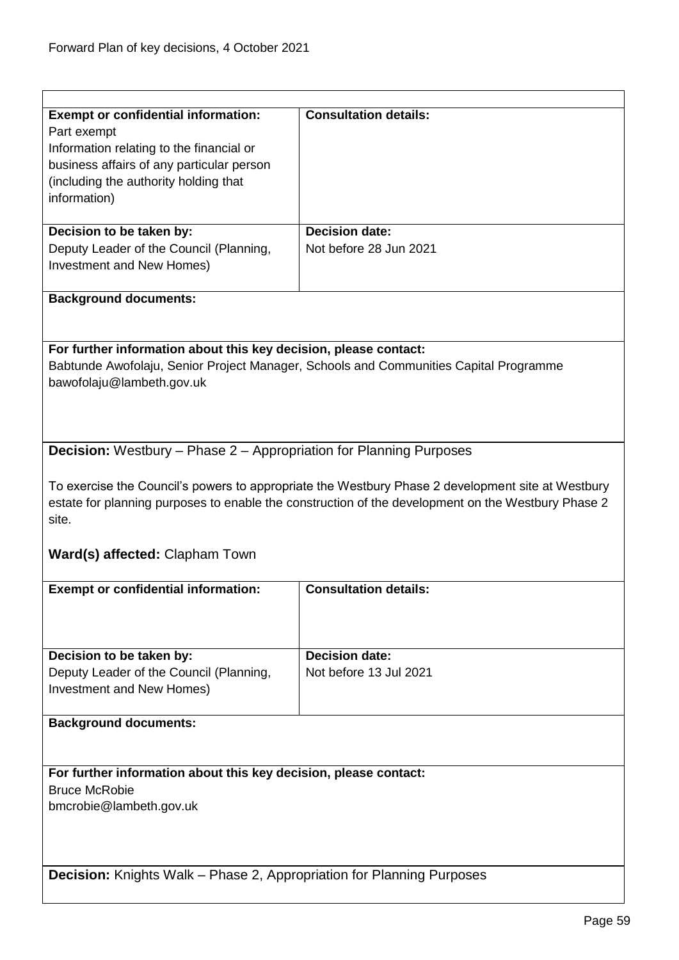| <b>Exempt or confidential information:</b><br>Part exempt<br>Information relating to the financial or<br>business affairs of any particular person                                                               | <b>Consultation details:</b> |  |
|------------------------------------------------------------------------------------------------------------------------------------------------------------------------------------------------------------------|------------------------------|--|
| (including the authority holding that<br>information)                                                                                                                                                            |                              |  |
| Decision to be taken by:                                                                                                                                                                                         | <b>Decision date:</b>        |  |
| Deputy Leader of the Council (Planning,<br>Investment and New Homes)                                                                                                                                             | Not before 28 Jun 2021       |  |
| <b>Background documents:</b>                                                                                                                                                                                     |                              |  |
|                                                                                                                                                                                                                  |                              |  |
| For further information about this key decision, please contact:<br>Babtunde Awofolaju, Senior Project Manager, Schools and Communities Capital Programme<br>bawofolaju@lambeth.gov.uk                           |                              |  |
| <b>Decision:</b> Westbury - Phase 2 - Appropriation for Planning Purposes                                                                                                                                        |                              |  |
| To exercise the Council's powers to appropriate the Westbury Phase 2 development site at Westbury<br>estate for planning purposes to enable the construction of the development on the Westbury Phase 2<br>site. |                              |  |
| <b>Ward(s) affected: Clapham Town</b>                                                                                                                                                                            |                              |  |
| <b>Exempt or confidential information:</b>                                                                                                                                                                       | <b>Consultation details:</b> |  |
|                                                                                                                                                                                                                  |                              |  |
| Decision to be taken by:                                                                                                                                                                                         | <b>Decision date:</b>        |  |
| Deputy Leader of the Council (Planning,<br>Investment and New Homes)                                                                                                                                             | Not before 13 Jul 2021       |  |
| <b>Background documents:</b>                                                                                                                                                                                     |                              |  |
| For further information about this key decision, please contact:                                                                                                                                                 |                              |  |
| <b>Bruce McRobie</b>                                                                                                                                                                                             |                              |  |
| bmcrobie@lambeth.gov.uk                                                                                                                                                                                          |                              |  |
|                                                                                                                                                                                                                  |                              |  |
|                                                                                                                                                                                                                  |                              |  |
| <b>Decision:</b> Knights Walk – Phase 2, Appropriation for Planning Purposes                                                                                                                                     |                              |  |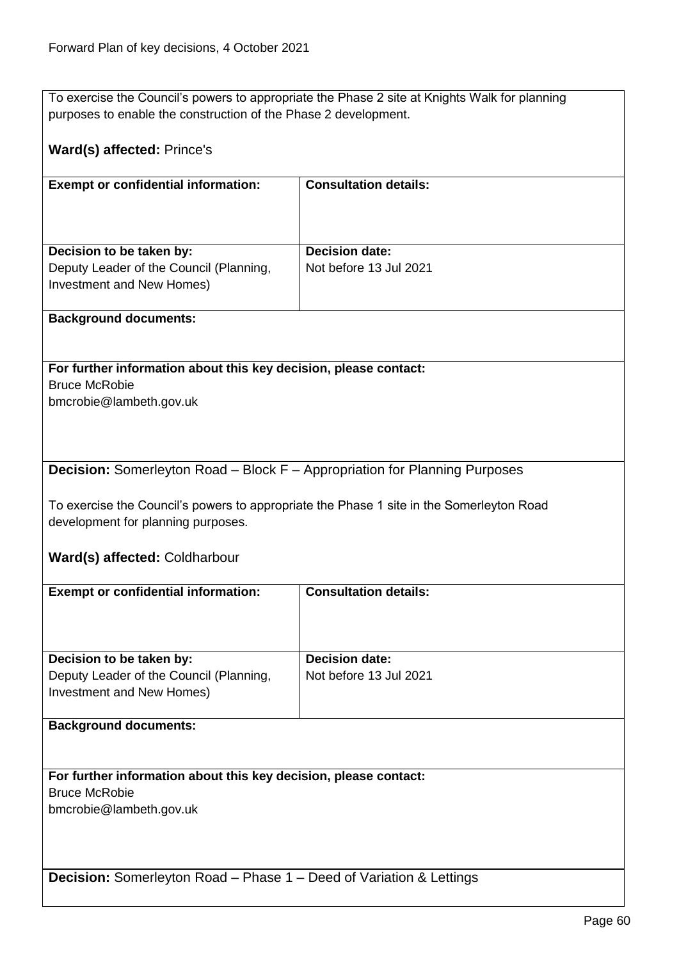To exercise the Council's powers to appropriate the Phase 2 site at Knights Walk for planning purposes to enable the construction of the Phase 2 development.

# **Ward(s) affected:** Prince's

| <b>Exempt or confidential information:</b>                           | <b>Consultation details:</b> |
|----------------------------------------------------------------------|------------------------------|
| Decision to be taken by:                                             | <b>Decision date:</b>        |
| Deputy Leader of the Council (Planning,<br>Investment and New Homes) | Not before 13 Jul 2021       |

## **Background documents:**

**For further information about this key decision, please contact:** Bruce McRobie bmcrobie@lambeth.gov.uk

# **Decision:** Somerleyton Road – Block F – Appropriation for Planning Purposes

To exercise the Council's powers to appropriate the Phase 1 site in the Somerleyton Road development for planning purposes.

**Ward(s) affected:** Coldharbour

| <b>Exempt or confidential information:</b>                                 | <b>Consultation details:</b> |  |
|----------------------------------------------------------------------------|------------------------------|--|
|                                                                            |                              |  |
|                                                                            |                              |  |
|                                                                            |                              |  |
| Decision to be taken by:                                                   | <b>Decision date:</b>        |  |
| Deputy Leader of the Council (Planning,                                    | Not before 13 Jul 2021       |  |
| Investment and New Homes)                                                  |                              |  |
|                                                                            |                              |  |
| <b>Background documents:</b>                                               |                              |  |
|                                                                            |                              |  |
|                                                                            |                              |  |
| For further information about this key decision, please contact:           |                              |  |
| <b>Bruce McRobie</b>                                                       |                              |  |
| bmcrobie@lambeth.gov.uk                                                    |                              |  |
|                                                                            |                              |  |
|                                                                            |                              |  |
|                                                                            |                              |  |
| <b>Decision:</b> Somerleyton Road – Phase 1 – Deed of Variation & Lettings |                              |  |
|                                                                            |                              |  |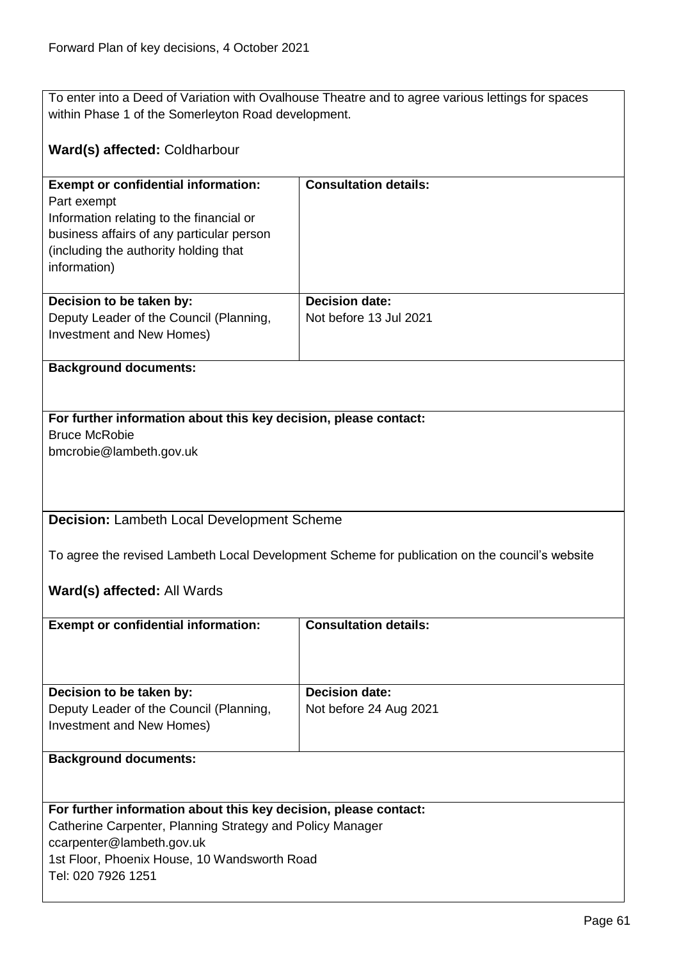To enter into a Deed of Variation with Ovalhouse Theatre and to agree various lettings for spaces within Phase 1 of the Somerleyton Road development.

# **Ward(s) affected:** Coldharbour

| <b>Exempt or confidential information:</b><br>Part exempt<br>Information relating to the financial or<br>business affairs of any particular person<br>(including the authority holding that)<br>information) | <b>Consultation details:</b>                    |
|--------------------------------------------------------------------------------------------------------------------------------------------------------------------------------------------------------------|-------------------------------------------------|
| Decision to be taken by:<br>Deputy Leader of the Council (Planning,<br>Investment and New Homes)                                                                                                             | <b>Decision date:</b><br>Not before 13 Jul 2021 |

## **Background documents:**

# **For further information about this key decision, please contact:** Bruce McRobie

bmcrobie@lambeth.gov.uk

**Decision:** Lambeth Local Development Scheme

To agree the revised Lambeth Local Development Scheme for publication on the council's website

# **Ward(s) affected:** All Wards

| <b>Exempt or confidential information:</b>                                                       | <b>Consultation details:</b>                    |
|--------------------------------------------------------------------------------------------------|-------------------------------------------------|
| Decision to be taken by:<br>Deputy Leader of the Council (Planning,<br>Investment and New Homes) | <b>Decision date:</b><br>Not before 24 Aug 2021 |
|                                                                                                  |                                                 |

## **Background documents:**

## **For further information about this key decision, please contact:**

Catherine Carpenter, Planning Strategy and Policy Manager ccarpenter@lambeth.gov.uk

1st Floor, Phoenix House, 10 Wandsworth Road

Tel: 020 7926 1251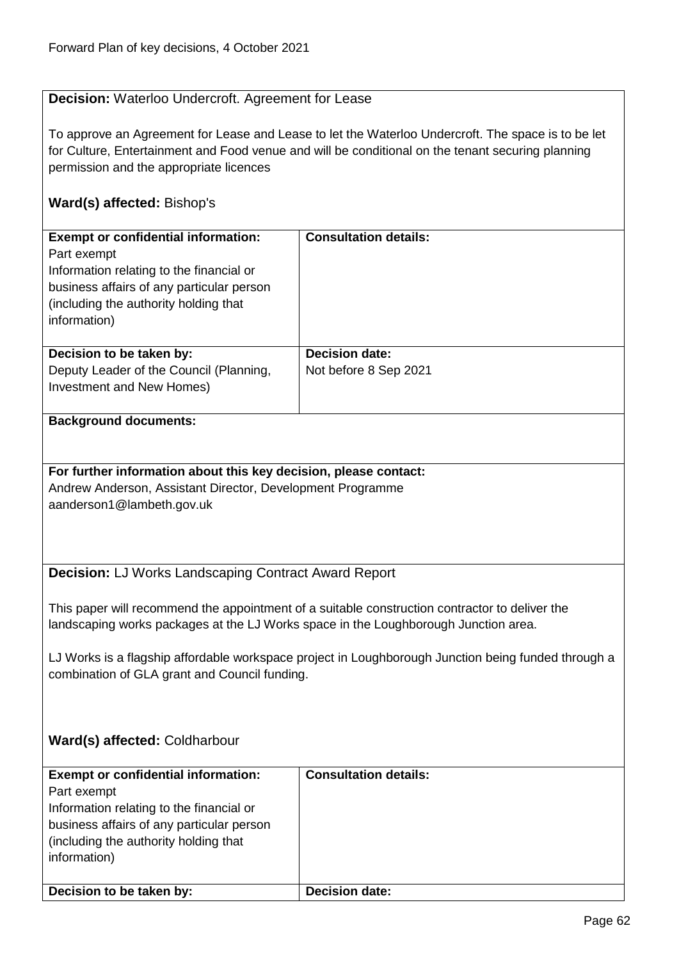# **Decision:** Waterloo Undercroft. Agreement for Lease

To approve an Agreement for Lease and Lease to let the Waterloo Undercroft. The space is to be let for Culture, Entertainment and Food venue and will be conditional on the tenant securing planning permission and the appropriate licences

# **Ward(s) affected:** Bishop's

| <b>Exempt or confidential information:</b><br>Part exempt<br>Information relating to the financial or<br>business affairs of any particular person<br>(including the authority holding that)<br>information) | <b>Consultation details:</b>                   |
|--------------------------------------------------------------------------------------------------------------------------------------------------------------------------------------------------------------|------------------------------------------------|
| Decision to be taken by:<br>Deputy Leader of the Council (Planning,<br>Investment and New Homes)                                                                                                             | <b>Decision date:</b><br>Not before 8 Sep 2021 |

## **Background documents:**

**For further information about this key decision, please contact:** Andrew Anderson, Assistant Director, Development Programme aanderson1@lambeth.gov.uk

# **Decision:** LJ Works Landscaping Contract Award Report

This paper will recommend the appointment of a suitable construction contractor to deliver the landscaping works packages at the LJ Works space in the Loughborough Junction area.

LJ Works is a flagship affordable workspace project in Loughborough Junction being funded through a combination of GLA grant and Council funding.

# **Ward(s) affected:** Coldharbour

| <b>Exempt or confidential information:</b><br>Part exempt<br>Information relating to the financial or<br>business affairs of any particular person<br>(including the authority holding that<br>information) | <b>Consultation details:</b> |
|-------------------------------------------------------------------------------------------------------------------------------------------------------------------------------------------------------------|------------------------------|
| Decision to be taken by:                                                                                                                                                                                    | <b>Decision date:</b>        |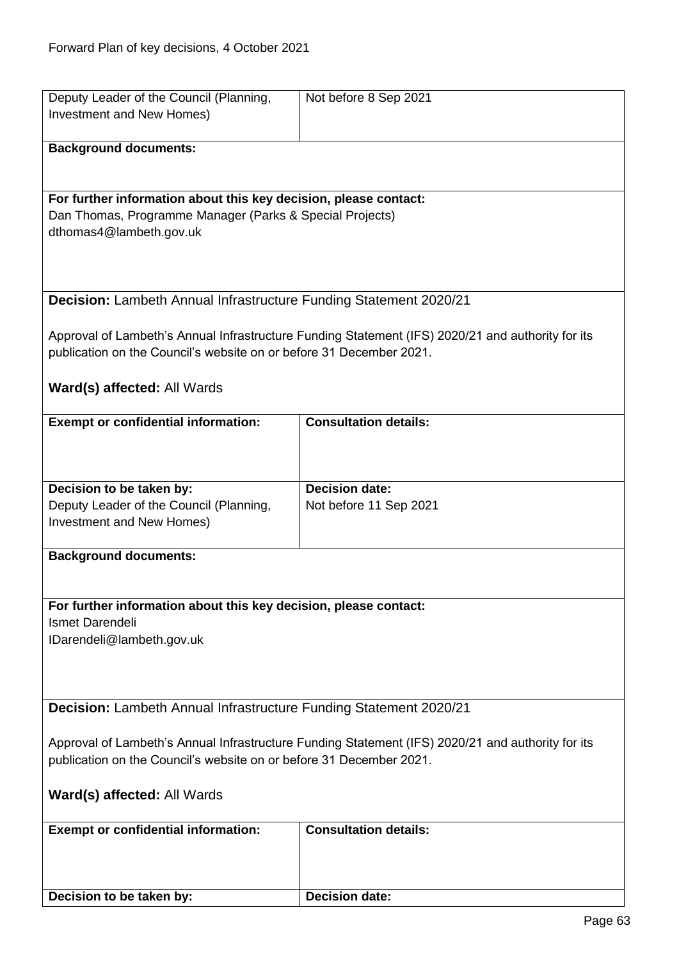| Deputy Leader of the Council (Planning,                                                                                      | Not before 8 Sep 2021                                                                             |
|------------------------------------------------------------------------------------------------------------------------------|---------------------------------------------------------------------------------------------------|
| Investment and New Homes)                                                                                                    |                                                                                                   |
| <b>Background documents:</b>                                                                                                 |                                                                                                   |
|                                                                                                                              |                                                                                                   |
|                                                                                                                              |                                                                                                   |
| For further information about this key decision, please contact:<br>Dan Thomas, Programme Manager (Parks & Special Projects) |                                                                                                   |
| dthomas4@lambeth.gov.uk                                                                                                      |                                                                                                   |
|                                                                                                                              |                                                                                                   |
|                                                                                                                              |                                                                                                   |
| <b>Decision:</b> Lambeth Annual Infrastructure Funding Statement 2020/21                                                     |                                                                                                   |
|                                                                                                                              |                                                                                                   |
|                                                                                                                              | Approval of Lambeth's Annual Infrastructure Funding Statement (IFS) 2020/21 and authority for its |
| publication on the Council's website on or before 31 December 2021.                                                          |                                                                                                   |
| Ward(s) affected: All Wards                                                                                                  |                                                                                                   |
|                                                                                                                              |                                                                                                   |
| <b>Exempt or confidential information:</b>                                                                                   | <b>Consultation details:</b>                                                                      |
|                                                                                                                              |                                                                                                   |
|                                                                                                                              |                                                                                                   |
| Decision to be taken by:                                                                                                     | <b>Decision date:</b>                                                                             |
| Deputy Leader of the Council (Planning,                                                                                      | Not before 11 Sep 2021                                                                            |
| Investment and New Homes)                                                                                                    |                                                                                                   |
| <b>Background documents:</b>                                                                                                 |                                                                                                   |
|                                                                                                                              |                                                                                                   |
|                                                                                                                              |                                                                                                   |
| For further information about this key decision, please contact:<br>Ismet Darendeli                                          |                                                                                                   |
| IDarendeli@lambeth.gov.uk                                                                                                    |                                                                                                   |
|                                                                                                                              |                                                                                                   |
|                                                                                                                              |                                                                                                   |
| Decision: Lambeth Annual Infrastructure Funding Statement 2020/21                                                            |                                                                                                   |
|                                                                                                                              |                                                                                                   |
| Approval of Lambeth's Annual Infrastructure Funding Statement (IFS) 2020/21 and authority for its                            |                                                                                                   |
| publication on the Council's website on or before 31 December 2021.                                                          |                                                                                                   |
| Ward(s) affected: All Wards                                                                                                  |                                                                                                   |
|                                                                                                                              |                                                                                                   |
| <b>Exempt or confidential information:</b>                                                                                   | <b>Consultation details:</b>                                                                      |
|                                                                                                                              |                                                                                                   |
|                                                                                                                              |                                                                                                   |
| Decision to be taken by:                                                                                                     | <b>Decision date:</b>                                                                             |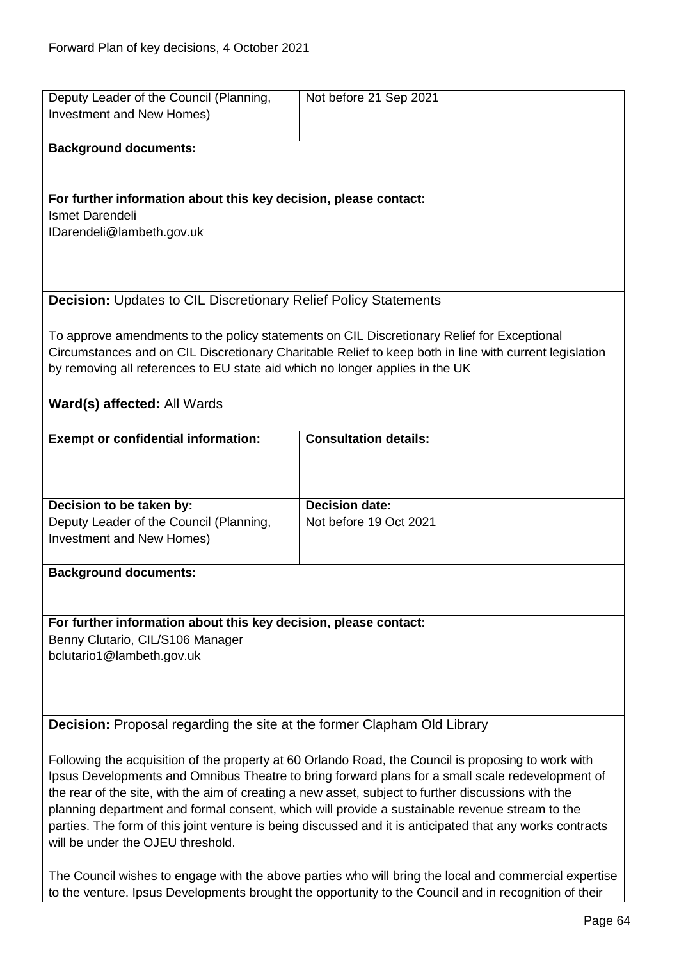| Deputy Leader of the Council (Planning,                                                                   | Not before 21 Sep 2021                                                                                 |
|-----------------------------------------------------------------------------------------------------------|--------------------------------------------------------------------------------------------------------|
| Investment and New Homes)                                                                                 |                                                                                                        |
|                                                                                                           |                                                                                                        |
| <b>Background documents:</b>                                                                              |                                                                                                        |
|                                                                                                           |                                                                                                        |
|                                                                                                           |                                                                                                        |
| For further information about this key decision, please contact:                                          |                                                                                                        |
| Ismet Darendeli                                                                                           |                                                                                                        |
| IDarendeli@lambeth.gov.uk                                                                                 |                                                                                                        |
|                                                                                                           |                                                                                                        |
|                                                                                                           |                                                                                                        |
|                                                                                                           |                                                                                                        |
| <b>Decision: Updates to CIL Discretionary Relief Policy Statements</b>                                    |                                                                                                        |
|                                                                                                           |                                                                                                        |
|                                                                                                           | To approve amendments to the policy statements on CIL Discretionary Relief for Exceptional             |
|                                                                                                           | Circumstances and on CIL Discretionary Charitable Relief to keep both in line with current legislation |
|                                                                                                           |                                                                                                        |
| by removing all references to EU state aid which no longer applies in the UK                              |                                                                                                        |
|                                                                                                           |                                                                                                        |
| Ward(s) affected: All Wards                                                                               |                                                                                                        |
|                                                                                                           |                                                                                                        |
| <b>Exempt or confidential information:</b>                                                                | <b>Consultation details:</b>                                                                           |
|                                                                                                           |                                                                                                        |
|                                                                                                           |                                                                                                        |
|                                                                                                           |                                                                                                        |
| Decision to be taken by:                                                                                  | <b>Decision date:</b>                                                                                  |
| Deputy Leader of the Council (Planning,                                                                   | Not before 19 Oct 2021                                                                                 |
| Investment and New Homes)                                                                                 |                                                                                                        |
|                                                                                                           |                                                                                                        |
| <b>Background documents:</b>                                                                              |                                                                                                        |
|                                                                                                           |                                                                                                        |
|                                                                                                           |                                                                                                        |
| For further information about this key decision, please contact:                                          |                                                                                                        |
| Benny Clutario, CIL/S106 Manager                                                                          |                                                                                                        |
| bclutario1@lambeth.gov.uk                                                                                 |                                                                                                        |
|                                                                                                           |                                                                                                        |
|                                                                                                           |                                                                                                        |
|                                                                                                           |                                                                                                        |
| <b>Decision:</b> Proposal regarding the site at the former Clapham Old Library                            |                                                                                                        |
|                                                                                                           |                                                                                                        |
| Following the acquisition of the property at 60 Orlando Road, the Council is proposing to work with       |                                                                                                        |
| Ipsus Developments and Omnibus Theatre to bring forward plans for a small scale redevelopment of          |                                                                                                        |
| the rear of the site, with the aim of creating a new asset, subject to further discussions with the       |                                                                                                        |
| planning department and formal consent, which will provide a sustainable revenue stream to the            |                                                                                                        |
| parties. The form of this joint venture is being discussed and it is anticipated that any works contracts |                                                                                                        |
| will be under the OJEU threshold.                                                                         |                                                                                                        |
|                                                                                                           |                                                                                                        |
| The Council wishes to engage with the above parties who will bring the local and commercial expertise     |                                                                                                        |
| to the venture. Ipsus Developments brought the opportunity to the Council and in recognition of their     |                                                                                                        |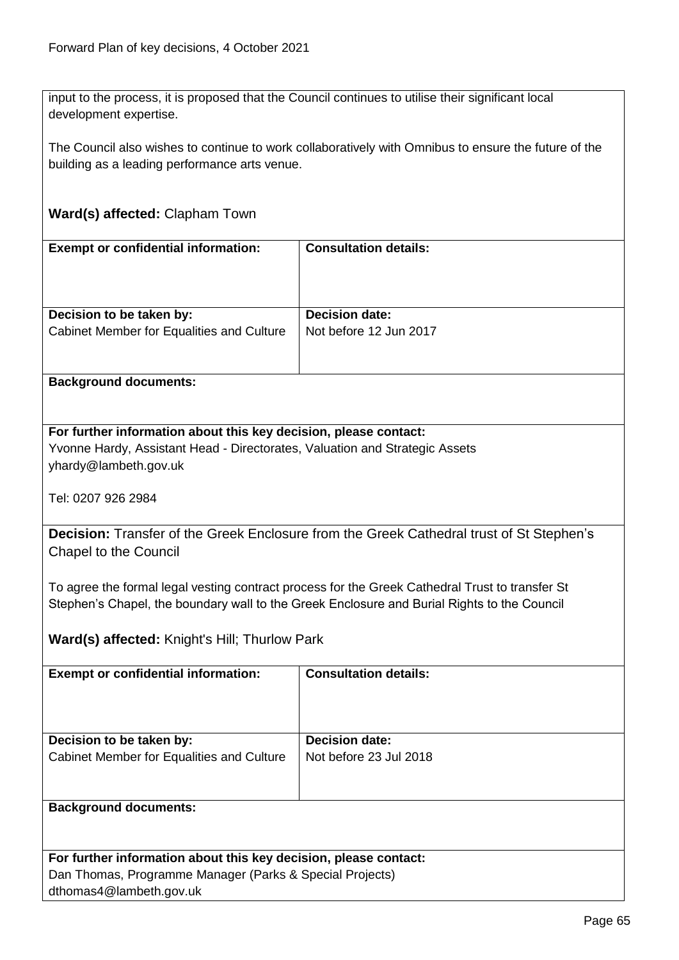input to the process, it is proposed that the Council continues to utilise their significant local development expertise.

The Council also wishes to continue to work collaboratively with Omnibus to ensure the future of the building as a leading performance arts venue.

# **Ward(s) affected:** Clapham Town

| <b>Exempt or confidential information:</b> | <b>Consultation details:</b> |
|--------------------------------------------|------------------------------|
| Decision to be taken by:                   | <b>Decision date:</b>        |
| Cabinet Member for Equalities and Culture  | Not before 12 Jun 2017       |

# **Background documents:**

# **For further information about this key decision, please contact:** Yvonne Hardy, Assistant Head - Directorates, Valuation and Strategic Assets yhardy@lambeth.gov.uk

Tel: 0207 926 2984

**Decision:** Transfer of the Greek Enclosure from the Greek Cathedral trust of St Stephen's Chapel to the Council

To agree the formal legal vesting contract process for the Greek Cathedral Trust to transfer St Stephen's Chapel, the boundary wall to the Greek Enclosure and Burial Rights to the Council

**Ward(s) affected:** Knight's Hill; Thurlow Park

| <b>Exempt or confidential information:</b> | <b>Consultation details:</b> |
|--------------------------------------------|------------------------------|
| Decision to be taken by:                   | <b>Decision date:</b>        |
| Cabinet Member for Equalities and Culture  | Not before 23 Jul 2018       |
|                                            |                              |
| <b>Background documents:</b>               |                              |
|                                            |                              |

| For further information about this key decision, please contact: |
|------------------------------------------------------------------|
| Dan Thomas, Programme Manager (Parks & Special Projects)         |
| dthomas4@lambeth.gov.uk                                          |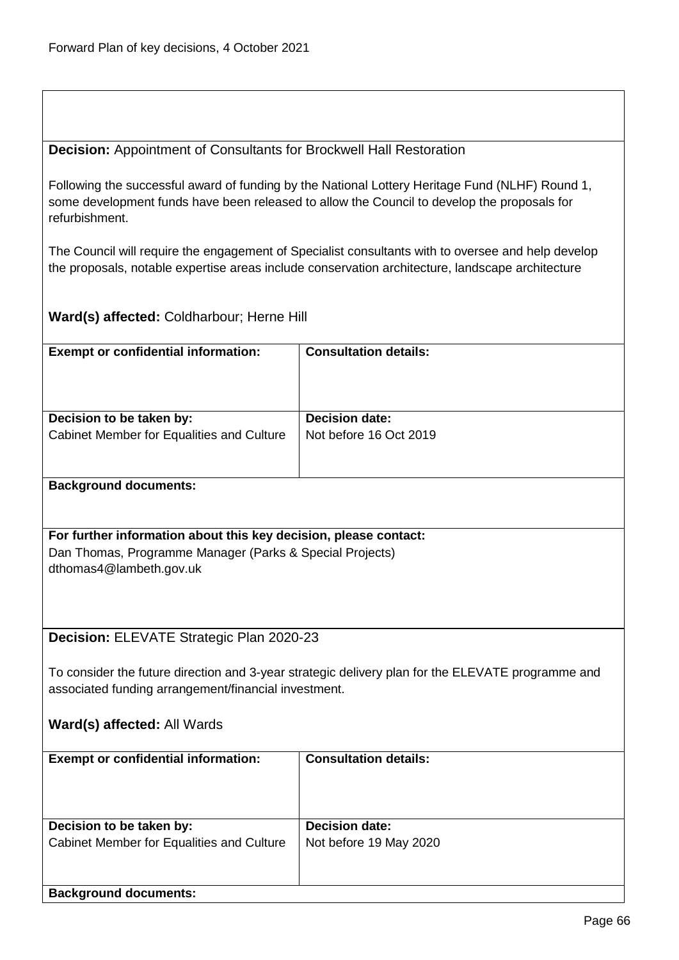**Decision:** Appointment of Consultants for Brockwell Hall Restoration

Following the successful award of funding by the National Lottery Heritage Fund (NLHF) Round 1, some development funds have been released to allow the Council to develop the proposals for refurbishment.

The Council will require the engagement of Specialist consultants with to oversee and help develop the proposals, notable expertise areas include conservation architecture, landscape architecture

**Ward(s) affected:** Coldharbour; Herne Hill

| <b>Exempt or confidential information:</b>                                                        | <b>Consultation details:</b> |  |
|---------------------------------------------------------------------------------------------------|------------------------------|--|
|                                                                                                   |                              |  |
|                                                                                                   |                              |  |
|                                                                                                   |                              |  |
| Decision to be taken by:                                                                          | <b>Decision date:</b>        |  |
|                                                                                                   | Not before 16 Oct 2019       |  |
| Cabinet Member for Equalities and Culture                                                         |                              |  |
|                                                                                                   |                              |  |
|                                                                                                   |                              |  |
| <b>Background documents:</b>                                                                      |                              |  |
|                                                                                                   |                              |  |
|                                                                                                   |                              |  |
| For further information about this key decision, please contact:                                  |                              |  |
|                                                                                                   |                              |  |
| Dan Thomas, Programme Manager (Parks & Special Projects)                                          |                              |  |
| dthomas4@lambeth.gov.uk                                                                           |                              |  |
|                                                                                                   |                              |  |
|                                                                                                   |                              |  |
|                                                                                                   |                              |  |
| Decision: ELEVATE Strategic Plan 2020-23                                                          |                              |  |
|                                                                                                   |                              |  |
|                                                                                                   |                              |  |
| To consider the future direction and 3-year strategic delivery plan for the ELEVATE programme and |                              |  |
| associated funding arrangement/financial investment.                                              |                              |  |
|                                                                                                   |                              |  |
| Ward(s) affected: All Wards                                                                       |                              |  |
|                                                                                                   |                              |  |
| <b>Exempt or confidential information:</b>                                                        | <b>Consultation details:</b> |  |
|                                                                                                   |                              |  |
|                                                                                                   |                              |  |
|                                                                                                   |                              |  |
|                                                                                                   |                              |  |
| ويمار وبمراجع مردارها ومماجئها                                                                    | Dealains de                  |  |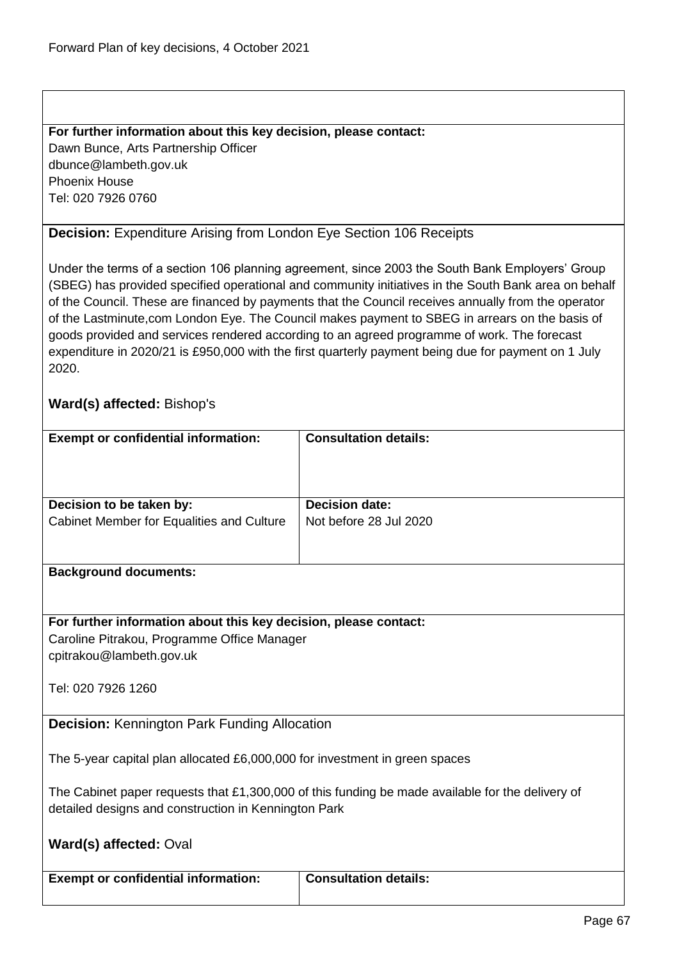## **For further information about this key decision, please contact:**

Dawn Bunce, Arts Partnership Officer dbunce@lambeth.gov.uk Phoenix House Tel: 020 7926 0760

# **Decision:** Expenditure Arising from London Eye Section 106 Receipts

Under the terms of a section 106 planning agreement, since 2003 the South Bank Employers' Group (SBEG) has provided specified operational and community initiatives in the South Bank area on behalf of the Council. These are financed by payments that the Council receives annually from the operator of the Lastminute,com London Eye. The Council makes payment to SBEG in arrears on the basis of goods provided and services rendered according to an agreed programme of work. The forecast expenditure in 2020/21 is £950,000 with the first quarterly payment being due for payment on 1 July 2020.

# **Ward(s) affected:** Bishop's

| <b>Exempt or confidential information:</b>                                                                                                               | <b>Consultation details:</b> |  |
|----------------------------------------------------------------------------------------------------------------------------------------------------------|------------------------------|--|
|                                                                                                                                                          |                              |  |
| Decision to be taken by:                                                                                                                                 | <b>Decision date:</b>        |  |
| Cabinet Member for Equalities and Culture                                                                                                                | Not before 28 Jul 2020       |  |
| <b>Background documents:</b>                                                                                                                             |                              |  |
| For further information about this key decision, please contact:<br>Caroline Pitrakou, Programme Office Manager<br>cpitrakou@lambeth.gov.uk              |                              |  |
| Tel: 020 7926 1260                                                                                                                                       |                              |  |
| <b>Decision: Kennington Park Funding Allocation</b>                                                                                                      |                              |  |
| The 5-year capital plan allocated £6,000,000 for investment in green spaces                                                                              |                              |  |
| The Cabinet paper requests that £1,300,000 of this funding be made available for the delivery of<br>detailed designs and construction in Kennington Park |                              |  |
| Ward(s) affected: Oval                                                                                                                                   |                              |  |
| <b>Exempt or confidential information:</b>                                                                                                               | <b>Consultation details:</b> |  |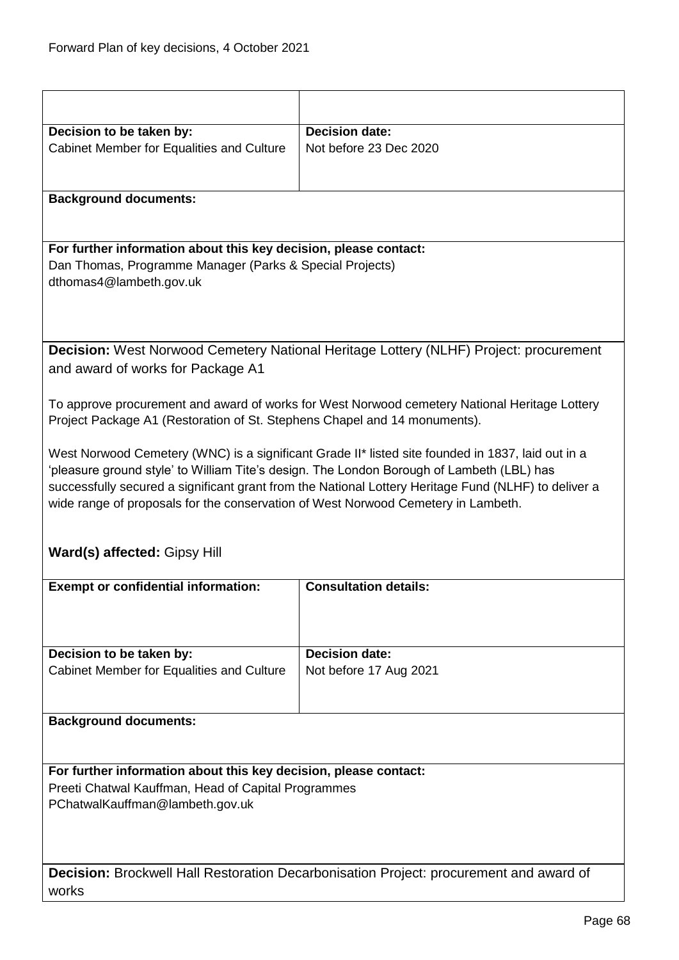| Decision to be taken by:                                                                      | <b>Decision date:</b>                                                                                |
|-----------------------------------------------------------------------------------------------|------------------------------------------------------------------------------------------------------|
| Cabinet Member for Equalities and Culture                                                     | Not before 23 Dec 2020                                                                               |
|                                                                                               |                                                                                                      |
|                                                                                               |                                                                                                      |
|                                                                                               |                                                                                                      |
| <b>Background documents:</b>                                                                  |                                                                                                      |
|                                                                                               |                                                                                                      |
|                                                                                               |                                                                                                      |
| For further information about this key decision, please contact:                              |                                                                                                      |
| Dan Thomas, Programme Manager (Parks & Special Projects)                                      |                                                                                                      |
| dthomas4@lambeth.gov.uk                                                                       |                                                                                                      |
|                                                                                               |                                                                                                      |
|                                                                                               |                                                                                                      |
|                                                                                               |                                                                                                      |
|                                                                                               | <b>Decision:</b> West Norwood Cemetery National Heritage Lottery (NLHF) Project: procurement         |
| and award of works for Package A1                                                             |                                                                                                      |
|                                                                                               |                                                                                                      |
|                                                                                               | To approve procurement and award of works for West Norwood cemetery National Heritage Lottery        |
| Project Package A1 (Restoration of St. Stephens Chapel and 14 monuments).                     |                                                                                                      |
|                                                                                               |                                                                                                      |
|                                                                                               |                                                                                                      |
|                                                                                               | West Norwood Cemetery (WNC) is a significant Grade II* listed site founded in 1837, laid out in a    |
|                                                                                               | 'pleasure ground style' to William Tite's design. The London Borough of Lambeth (LBL) has            |
|                                                                                               | successfully secured a significant grant from the National Lottery Heritage Fund (NLHF) to deliver a |
| wide range of proposals for the conservation of West Norwood Cemetery in Lambeth.             |                                                                                                      |
|                                                                                               |                                                                                                      |
|                                                                                               |                                                                                                      |
| <b>Ward(s) affected: Gipsy Hill</b>                                                           |                                                                                                      |
|                                                                                               |                                                                                                      |
| <b>Exempt or confidential information:</b>                                                    | <b>Consultation details:</b>                                                                         |
|                                                                                               |                                                                                                      |
|                                                                                               |                                                                                                      |
|                                                                                               |                                                                                                      |
| Decision to be taken by:                                                                      | <b>Decision date:</b>                                                                                |
| Cabinet Member for Equalities and Culture                                                     | Not before 17 Aug 2021                                                                               |
|                                                                                               |                                                                                                      |
|                                                                                               |                                                                                                      |
| <b>Background documents:</b>                                                                  |                                                                                                      |
|                                                                                               |                                                                                                      |
|                                                                                               |                                                                                                      |
|                                                                                               |                                                                                                      |
| For further information about this key decision, please contact:                              |                                                                                                      |
| Preeti Chatwal Kauffman, Head of Capital Programmes                                           |                                                                                                      |
| PChatwalKauffman@lambeth.gov.uk                                                               |                                                                                                      |
|                                                                                               |                                                                                                      |
|                                                                                               |                                                                                                      |
|                                                                                               |                                                                                                      |
| <b>Decision:</b> Brockwell Hall Restoration Decarbonisation Project: procurement and award of |                                                                                                      |
|                                                                                               |                                                                                                      |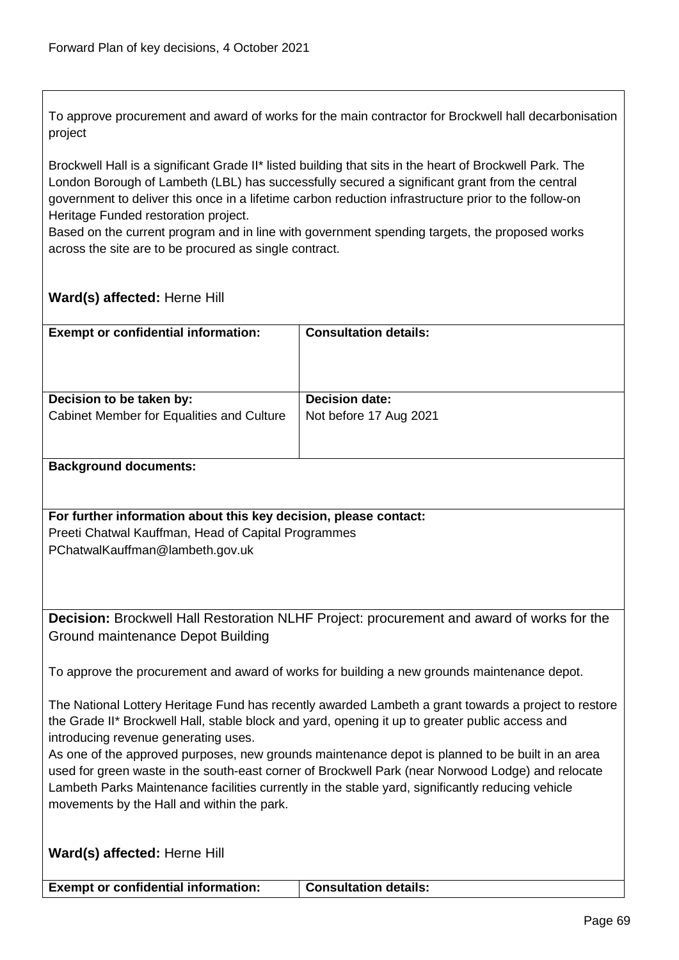To approve procurement and award of works for the main contractor for Brockwell hall decarbonisation project

Brockwell Hall is a significant Grade II\* listed building that sits in the heart of Brockwell Park. The London Borough of Lambeth (LBL) has successfully secured a significant grant from the central government to deliver this once in a lifetime carbon reduction infrastructure prior to the follow-on Heritage Funded restoration project.

Based on the current program and in line with government spending targets, the proposed works across the site are to be procured as single contract.

# **Ward(s) affected:** Herne Hill

| <b>Exempt or confidential information:</b> | <b>Consultation details:</b> |
|--------------------------------------------|------------------------------|
| Decision to be taken by:                   | <b>Decision date:</b>        |
| Cabinet Member for Equalities and Culture  | Not before 17 Aug 2021       |
|                                            |                              |
| Dookaround dooumontou                      |                              |

## **Background documents:**

## **For further information about this key decision, please contact:** Preeti Chatwal Kauffman, Head of Capital Programmes PChatwalKauffman@lambeth.gov.uk

**Decision:** Brockwell Hall Restoration NLHF Project: procurement and award of works for the Ground maintenance Depot Building

To approve the procurement and award of works for building a new grounds maintenance depot.

The National Lottery Heritage Fund has recently awarded Lambeth a grant towards a project to restore the Grade II\* Brockwell Hall, stable block and yard, opening it up to greater public access and introducing revenue generating uses.

As one of the approved purposes, new grounds maintenance depot is planned to be built in an area used for green waste in the south-east corner of Brockwell Park (near Norwood Lodge) and relocate Lambeth Parks Maintenance facilities currently in the stable yard, significantly reducing vehicle movements by the Hall and within the park.

|  |  | Ward(s) affected: Herne Hill |
|--|--|------------------------------|
|--|--|------------------------------|

**Exempt or confidential information: | Consultation details:**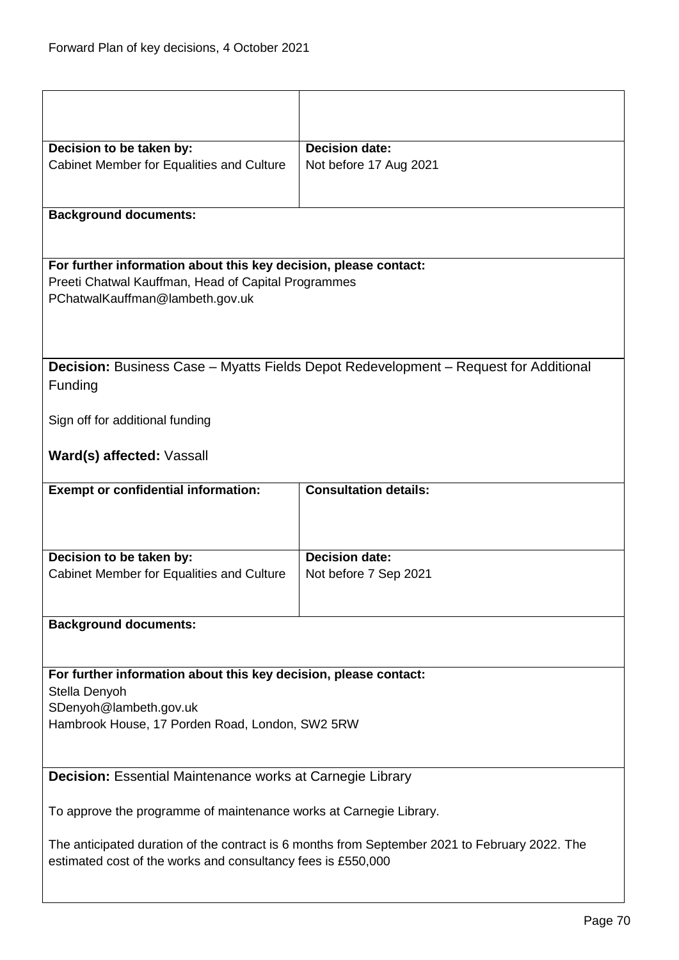| Decision to be taken by:                                                                    | <b>Decision date:</b>                                                                          |  |  |
|---------------------------------------------------------------------------------------------|------------------------------------------------------------------------------------------------|--|--|
| Cabinet Member for Equalities and Culture                                                   | Not before 17 Aug 2021                                                                         |  |  |
|                                                                                             |                                                                                                |  |  |
|                                                                                             |                                                                                                |  |  |
| <b>Background documents:</b>                                                                |                                                                                                |  |  |
|                                                                                             |                                                                                                |  |  |
|                                                                                             |                                                                                                |  |  |
| For further information about this key decision, please contact:                            |                                                                                                |  |  |
| Preeti Chatwal Kauffman, Head of Capital Programmes                                         |                                                                                                |  |  |
| PChatwalKauffman@lambeth.gov.uk                                                             |                                                                                                |  |  |
|                                                                                             |                                                                                                |  |  |
|                                                                                             |                                                                                                |  |  |
|                                                                                             |                                                                                                |  |  |
| <b>Decision:</b> Business Case – Myatts Fields Depot Redevelopment – Request for Additional |                                                                                                |  |  |
| Funding                                                                                     |                                                                                                |  |  |
|                                                                                             |                                                                                                |  |  |
| Sign off for additional funding                                                             |                                                                                                |  |  |
|                                                                                             |                                                                                                |  |  |
| Ward(s) affected: Vassall                                                                   |                                                                                                |  |  |
|                                                                                             |                                                                                                |  |  |
| <b>Exempt or confidential information:</b>                                                  |                                                                                                |  |  |
|                                                                                             | <b>Consultation details:</b>                                                                   |  |  |
|                                                                                             |                                                                                                |  |  |
|                                                                                             |                                                                                                |  |  |
|                                                                                             |                                                                                                |  |  |
| Decision to be taken by:                                                                    | <b>Decision date:</b>                                                                          |  |  |
| Cabinet Member for Equalities and Culture                                                   | Not before 7 Sep 2021                                                                          |  |  |
|                                                                                             |                                                                                                |  |  |
|                                                                                             |                                                                                                |  |  |
| <b>Background documents:</b>                                                                |                                                                                                |  |  |
|                                                                                             |                                                                                                |  |  |
|                                                                                             |                                                                                                |  |  |
| For further information about this key decision, please contact:                            |                                                                                                |  |  |
| Stella Denyoh                                                                               |                                                                                                |  |  |
| SDenyoh@lambeth.gov.uk                                                                      |                                                                                                |  |  |
| Hambrook House, 17 Porden Road, London, SW2 5RW                                             |                                                                                                |  |  |
|                                                                                             |                                                                                                |  |  |
|                                                                                             |                                                                                                |  |  |
| <b>Decision:</b> Essential Maintenance works at Carnegie Library                            |                                                                                                |  |  |
|                                                                                             |                                                                                                |  |  |
| To approve the programme of maintenance works at Carnegie Library.                          |                                                                                                |  |  |
|                                                                                             |                                                                                                |  |  |
|                                                                                             | The anticipated duration of the contract is 6 months from September 2021 to February 2022. The |  |  |
| estimated cost of the works and consultancy fees is £550,000                                |                                                                                                |  |  |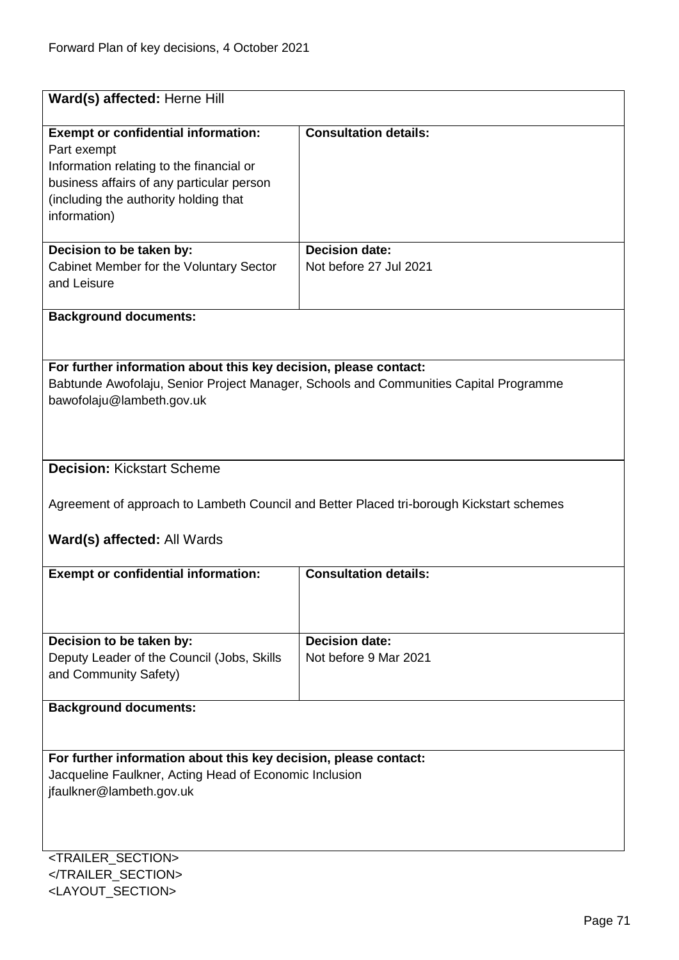| Ward(s) affected: Herne Hill                                                                                                                                                                                |                                                 |  |  |
|-------------------------------------------------------------------------------------------------------------------------------------------------------------------------------------------------------------|-------------------------------------------------|--|--|
|                                                                                                                                                                                                             |                                                 |  |  |
| <b>Exempt or confidential information:</b><br>Part exempt<br>Information relating to the financial or<br>business affairs of any particular person<br>(including the authority holding that<br>information) | <b>Consultation details:</b>                    |  |  |
| Decision to be taken by:<br>Cabinet Member for the Voluntary Sector<br>and Leisure                                                                                                                          | <b>Decision date:</b><br>Not before 27 Jul 2021 |  |  |
| <b>Background documents:</b>                                                                                                                                                                                |                                                 |  |  |
|                                                                                                                                                                                                             |                                                 |  |  |
| For further information about this key decision, please contact:<br>Babtunde Awofolaju, Senior Project Manager, Schools and Communities Capital Programme<br>bawofolaju@lambeth.gov.uk                      |                                                 |  |  |
| <b>Decision: Kickstart Scheme</b>                                                                                                                                                                           |                                                 |  |  |
| Agreement of approach to Lambeth Council and Better Placed tri-borough Kickstart schemes<br>Ward(s) affected: All Wards                                                                                     |                                                 |  |  |
| <b>Exempt or confidential information:</b>                                                                                                                                                                  | <b>Consultation details:</b>                    |  |  |
|                                                                                                                                                                                                             |                                                 |  |  |
| Decision to be taken by:                                                                                                                                                                                    | <b>Decision date:</b>                           |  |  |
| Deputy Leader of the Council (Jobs, Skills<br>and Community Safety)                                                                                                                                         | Not before 9 Mar 2021                           |  |  |
| <b>Background documents:</b>                                                                                                                                                                                |                                                 |  |  |
|                                                                                                                                                                                                             |                                                 |  |  |
| For further information about this key decision, please contact:<br>Jacqueline Faulkner, Acting Head of Economic Inclusion<br>jfaulkner@lambeth.gov.uk                                                      |                                                 |  |  |
| <trailer_section></trailer_section>                                                                                                                                                                         |                                                 |  |  |

</TRAILER\_SECTION> <LAYOUT\_SECTION>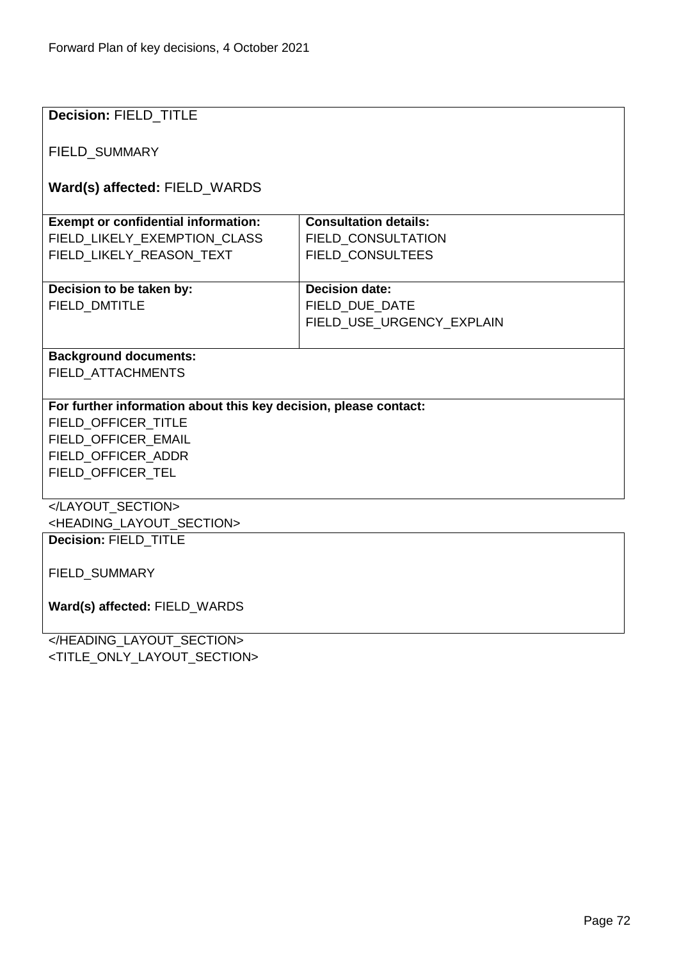| <b>Decision: FIELD TITLE</b>                                     |                              |  |  |
|------------------------------------------------------------------|------------------------------|--|--|
|                                                                  |                              |  |  |
| FIELD_SUMMARY                                                    |                              |  |  |
|                                                                  |                              |  |  |
| Ward(s) affected: FIELD_WARDS                                    |                              |  |  |
|                                                                  |                              |  |  |
| <b>Exempt or confidential information:</b>                       | <b>Consultation details:</b> |  |  |
| FIELD LIKELY EXEMPTION CLASS                                     | <b>FIELD CONSULTATION</b>    |  |  |
| FIELD_LIKELY_REASON_TEXT                                         | FIELD_CONSULTEES             |  |  |
|                                                                  |                              |  |  |
| Decision to be taken by:                                         | <b>Decision date:</b>        |  |  |
| <b>FIELD DMTITLE</b>                                             | FIELD DUE DATE               |  |  |
|                                                                  | FIELD USE URGENCY EXPLAIN    |  |  |
|                                                                  |                              |  |  |
| <b>Background documents:</b>                                     |                              |  |  |
| FIELD_ATTACHMENTS                                                |                              |  |  |
|                                                                  |                              |  |  |
| For further information about this key decision, please contact: |                              |  |  |
| FIELD OFFICER TITLE                                              |                              |  |  |
| FIELD OFFICER EMAIL                                              |                              |  |  |
| FIELD_OFFICER_ADDR                                               |                              |  |  |
| FIELD_OFFICER_TEL                                                |                              |  |  |
|                                                                  |                              |  |  |
|                                                                  |                              |  |  |
| <heading layout="" section=""></heading>                         |                              |  |  |
| Decision: FIELD_TITLE                                            |                              |  |  |
|                                                                  |                              |  |  |
| FIELD_SUMMARY                                                    |                              |  |  |
| Ward(s) affected: FIELD_WARDS                                    |                              |  |  |
|                                                                  |                              |  |  |
|                                                                  |                              |  |  |

</HEADING\_LAYOUT\_SECTION> <TITLE\_ONLY\_LAYOUT\_SECTION>